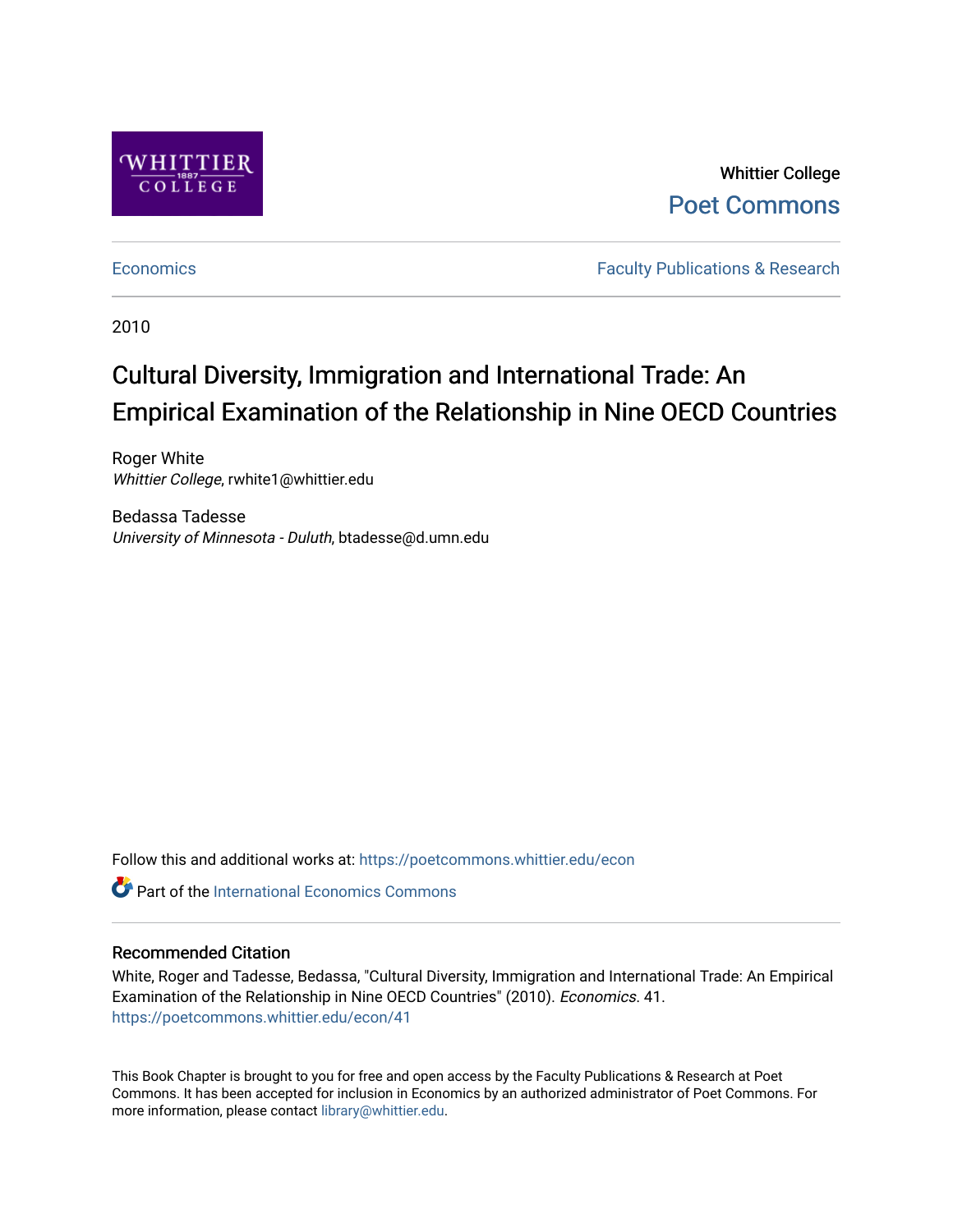

Whittier College [Poet Commons](https://poetcommons.whittier.edu/) 

[Economics](https://poetcommons.whittier.edu/econ) **Faculty Publications & Research** 

2010

# Cultural Diversity, Immigration and International Trade: An Empirical Examination of the Relationship in Nine OECD Countries

Roger White Whittier College, rwhite1@whittier.edu

Bedassa Tadesse University of Minnesota - Duluth, btadesse@d.umn.edu

Follow this and additional works at: [https://poetcommons.whittier.edu/econ](https://poetcommons.whittier.edu/econ?utm_source=poetcommons.whittier.edu%2Fecon%2F41&utm_medium=PDF&utm_campaign=PDFCoverPages)

**C** Part of the International Economics Commons

# Recommended Citation

White, Roger and Tadesse, Bedassa, "Cultural Diversity, Immigration and International Trade: An Empirical Examination of the Relationship in Nine OECD Countries" (2010). Economics. 41. [https://poetcommons.whittier.edu/econ/41](https://poetcommons.whittier.edu/econ/41?utm_source=poetcommons.whittier.edu%2Fecon%2F41&utm_medium=PDF&utm_campaign=PDFCoverPages) 

This Book Chapter is brought to you for free and open access by the Faculty Publications & Research at Poet Commons. It has been accepted for inclusion in Economics by an authorized administrator of Poet Commons. For more information, please contact [library@whittier.edu.](mailto:library@whittier.edu)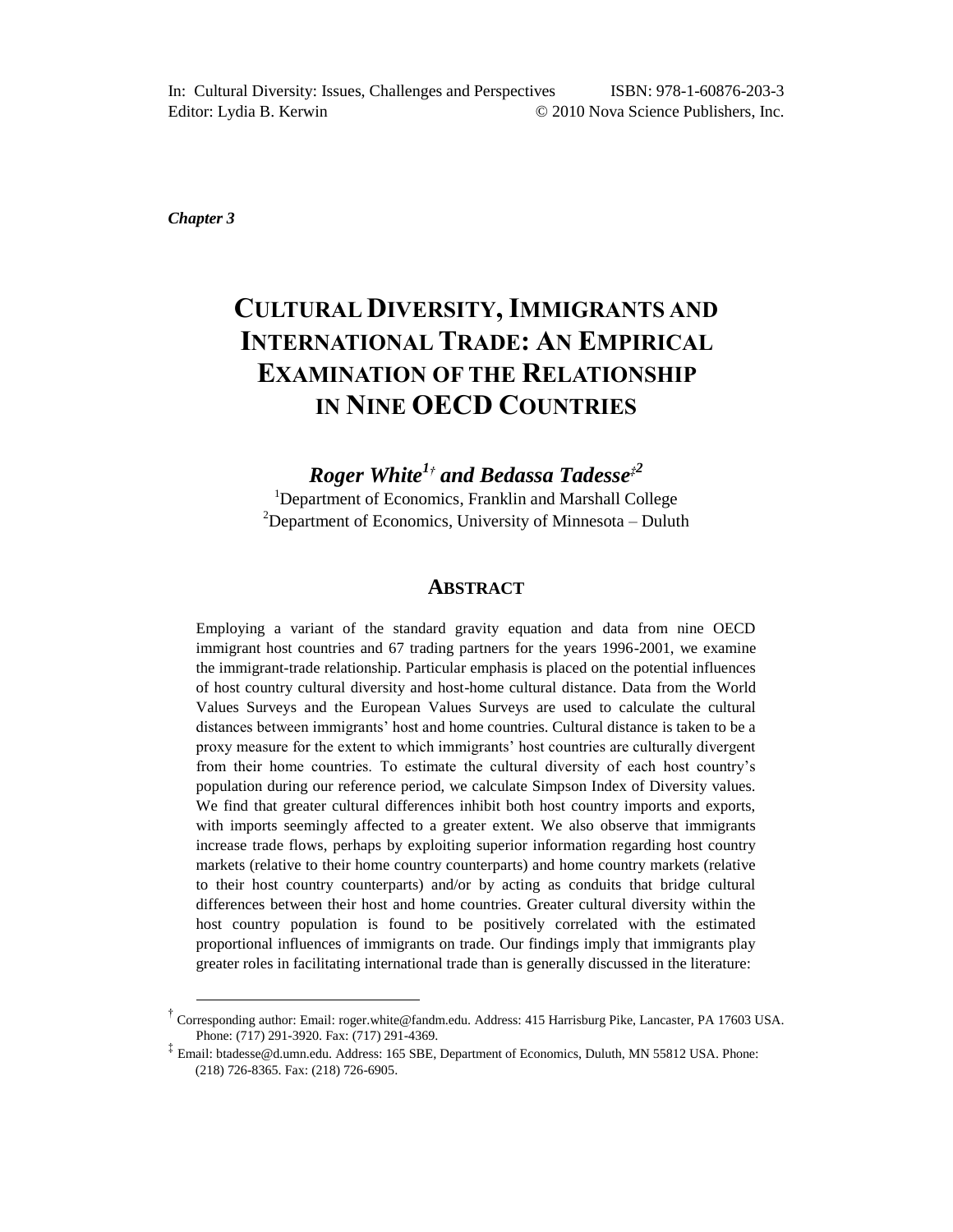*Chapter 3*

l

# **CULTURAL DIVERSITY, IMMIGRANTS AND INTERNATIONAL TRADE: AN EMPIRICAL EXAMINATION OF THE RELATIONSHIP IN NINE OECD COUNTRIES**

*Roger White<sup>1</sup>† and Bedassa Tadesse‡<sup>2</sup>* <sup>1</sup>Department of Economics, Franklin and Marshall College  $2D$ epartment of Economics, University of Minnesota – Duluth

#### **ABSTRACT**

Employing a variant of the standard gravity equation and data from nine OECD immigrant host countries and 67 trading partners for the years 1996-2001, we examine the immigrant-trade relationship. Particular emphasis is placed on the potential influences of host country cultural diversity and host-home cultural distance. Data from the World Values Surveys and the European Values Surveys are used to calculate the cultural distances between immigrants' host and home countries. Cultural distance is taken to be a proxy measure for the extent to which immigrants' host countries are culturally divergent from their home countries. To estimate the cultural diversity of each host country's population during our reference period, we calculate Simpson Index of Diversity values. We find that greater cultural differences inhibit both host country imports and exports, with imports seemingly affected to a greater extent. We also observe that immigrants increase trade flows, perhaps by exploiting superior information regarding host country markets (relative to their home country counterparts) and home country markets (relative to their host country counterparts) and/or by acting as conduits that bridge cultural differences between their host and home countries. Greater cultural diversity within the host country population is found to be positively correlated with the estimated proportional influences of immigrants on trade. Our findings imply that immigrants play greater roles in facilitating international trade than is generally discussed in the literature:

<sup>†</sup> Corresponding author: Email: roger.white@fandm.edu. Address: 415 Harrisburg Pike, Lancaster, PA 17603 USA. Phone: (717) 291-3920. Fax: (717) 291-4369.

<sup>‡</sup> Email: btadesse@d.umn.edu. Address: 165 SBE, Department of Economics, Duluth, MN 55812 USA. Phone: (218) 726-8365. Fax: (218) 726-6905.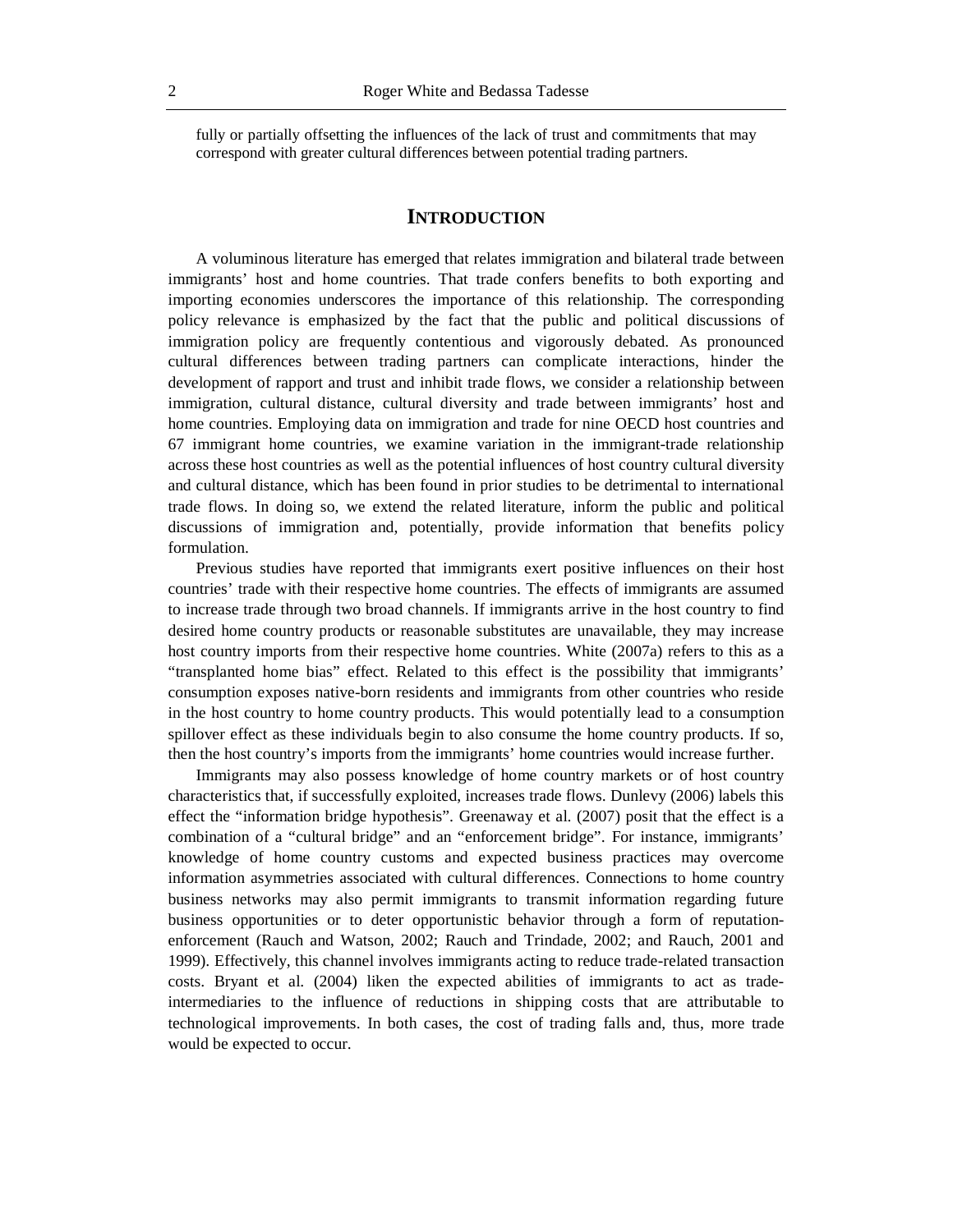fully or partially offsetting the influences of the lack of trust and commitments that may correspond with greater cultural differences between potential trading partners.

### **INTRODUCTION**

A voluminous literature has emerged that relates immigration and bilateral trade between immigrants' host and home countries. That trade confers benefits to both exporting and importing economies underscores the importance of this relationship. The corresponding policy relevance is emphasized by the fact that the public and political discussions of immigration policy are frequently contentious and vigorously debated. As pronounced cultural differences between trading partners can complicate interactions, hinder the development of rapport and trust and inhibit trade flows, we consider a relationship between immigration, cultural distance, cultural diversity and trade between immigrants' host and home countries. Employing data on immigration and trade for nine OECD host countries and 67 immigrant home countries, we examine variation in the immigrant-trade relationship across these host countries as well as the potential influences of host country cultural diversity and cultural distance, which has been found in prior studies to be detrimental to international trade flows. In doing so, we extend the related literature, inform the public and political discussions of immigration and, potentially, provide information that benefits policy formulation.

Previous studies have reported that immigrants exert positive influences on their host countries' trade with their respective home countries. The effects of immigrants are assumed to increase trade through two broad channels. If immigrants arrive in the host country to find desired home country products or reasonable substitutes are unavailable, they may increase host country imports from their respective home countries. White (2007a) refers to this as a "transplanted home bias" effect. Related to this effect is the possibility that immigrants' consumption exposes native-born residents and immigrants from other countries who reside in the host country to home country products. This would potentially lead to a consumption spillover effect as these individuals begin to also consume the home country products. If so, then the host country's imports from the immigrants' home countries would increase further.

Immigrants may also possess knowledge of home country markets or of host country characteristics that, if successfully exploited, increases trade flows. Dunlevy (2006) labels this effect the "information bridge hypothesis". Greenaway et al. (2007) posit that the effect is a combination of a "cultural bridge" and an "enforcement bridge". For instance, immigrants' knowledge of home country customs and expected business practices may overcome information asymmetries associated with cultural differences. Connections to home country business networks may also permit immigrants to transmit information regarding future business opportunities or to deter opportunistic behavior through a form of reputationenforcement (Rauch and Watson, 2002; Rauch and Trindade, 2002; and Rauch, 2001 and 1999). Effectively, this channel involves immigrants acting to reduce trade-related transaction costs. Bryant et al. (2004) liken the expected abilities of immigrants to act as tradeintermediaries to the influence of reductions in shipping costs that are attributable to technological improvements. In both cases, the cost of trading falls and, thus, more trade would be expected to occur.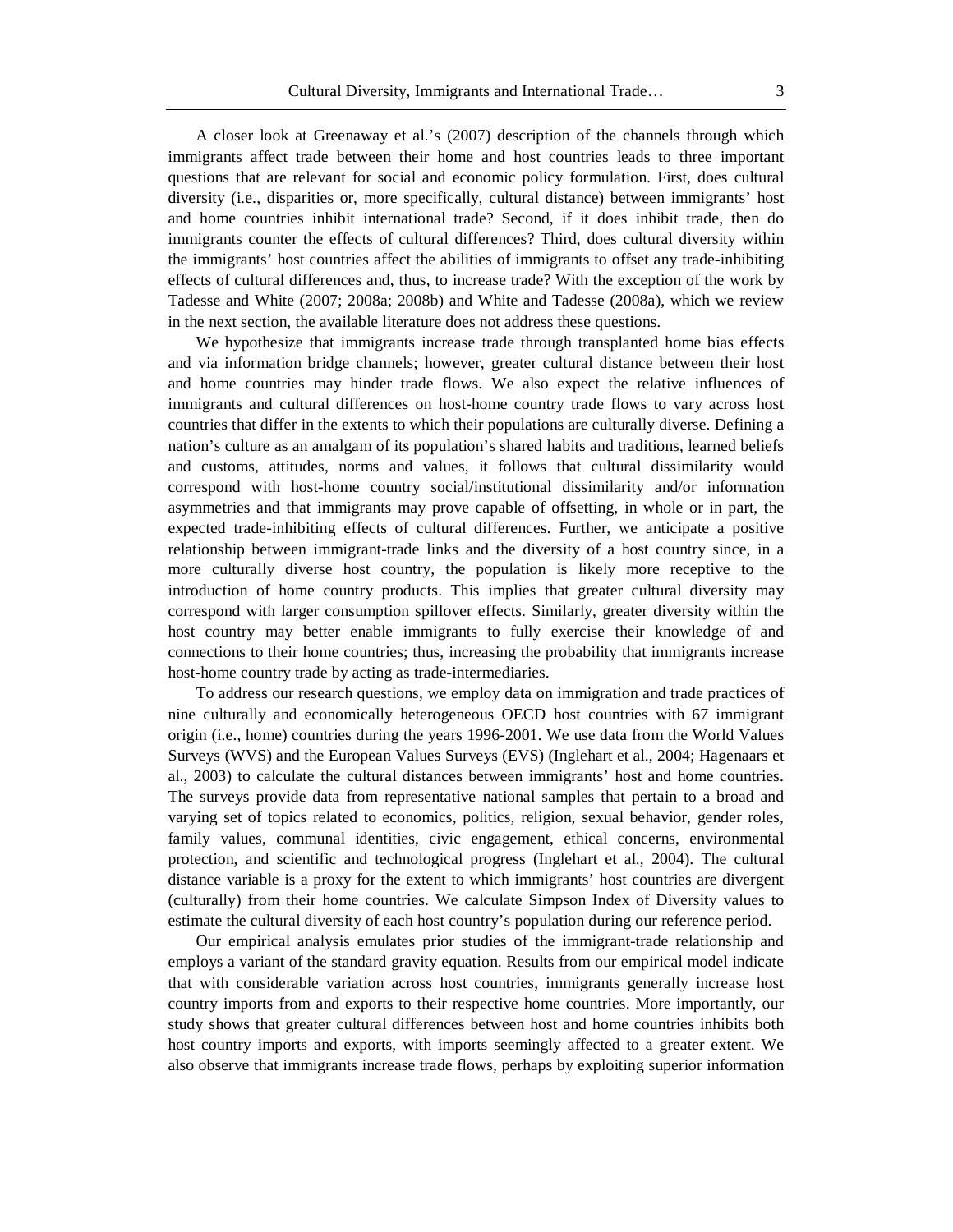A closer look at Greenaway et al.'s (2007) description of the channels through which immigrants affect trade between their home and host countries leads to three important questions that are relevant for social and economic policy formulation. First, does cultural diversity (i.e., disparities or, more specifically, cultural distance) between immigrants' host and home countries inhibit international trade? Second, if it does inhibit trade, then do immigrants counter the effects of cultural differences? Third, does cultural diversity within the immigrants' host countries affect the abilities of immigrants to offset any trade-inhibiting effects of cultural differences and, thus, to increase trade? With the exception of the work by Tadesse and White (2007; 2008a; 2008b) and White and Tadesse (2008a), which we review in the next section, the available literature does not address these questions.

We hypothesize that immigrants increase trade through transplanted home bias effects and via information bridge channels; however, greater cultural distance between their host and home countries may hinder trade flows. We also expect the relative influences of immigrants and cultural differences on host-home country trade flows to vary across host countries that differ in the extents to which their populations are culturally diverse. Defining a nation's culture as an amalgam of its population's shared habits and traditions, learned beliefs and customs, attitudes, norms and values, it follows that cultural dissimilarity would correspond with host-home country social/institutional dissimilarity and/or information asymmetries and that immigrants may prove capable of offsetting, in whole or in part, the expected trade-inhibiting effects of cultural differences. Further, we anticipate a positive relationship between immigrant-trade links and the diversity of a host country since, in a more culturally diverse host country, the population is likely more receptive to the introduction of home country products. This implies that greater cultural diversity may correspond with larger consumption spillover effects. Similarly, greater diversity within the host country may better enable immigrants to fully exercise their knowledge of and connections to their home countries; thus, increasing the probability that immigrants increase host-home country trade by acting as trade-intermediaries.

To address our research questions, we employ data on immigration and trade practices of nine culturally and economically heterogeneous OECD host countries with 67 immigrant origin (i.e., home) countries during the years 1996-2001. We use data from the World Values Surveys (WVS) and the European Values Surveys (EVS) (Inglehart et al., 2004; Hagenaars et al., 2003) to calculate the cultural distances between immigrants' host and home countries. The surveys provide data from representative national samples that pertain to a broad and varying set of topics related to economics, politics, religion, sexual behavior, gender roles, family values, communal identities, civic engagement, ethical concerns, environmental protection, and scientific and technological progress (Inglehart et al., 2004). The cultural distance variable is a proxy for the extent to which immigrants' host countries are divergent (culturally) from their home countries. We calculate Simpson Index of Diversity values to estimate the cultural diversity of each host country's population during our reference period.

Our empirical analysis emulates prior studies of the immigrant-trade relationship and employs a variant of the standard gravity equation. Results from our empirical model indicate that with considerable variation across host countries, immigrants generally increase host country imports from and exports to their respective home countries. More importantly, our study shows that greater cultural differences between host and home countries inhibits both host country imports and exports, with imports seemingly affected to a greater extent. We also observe that immigrants increase trade flows, perhaps by exploiting superior information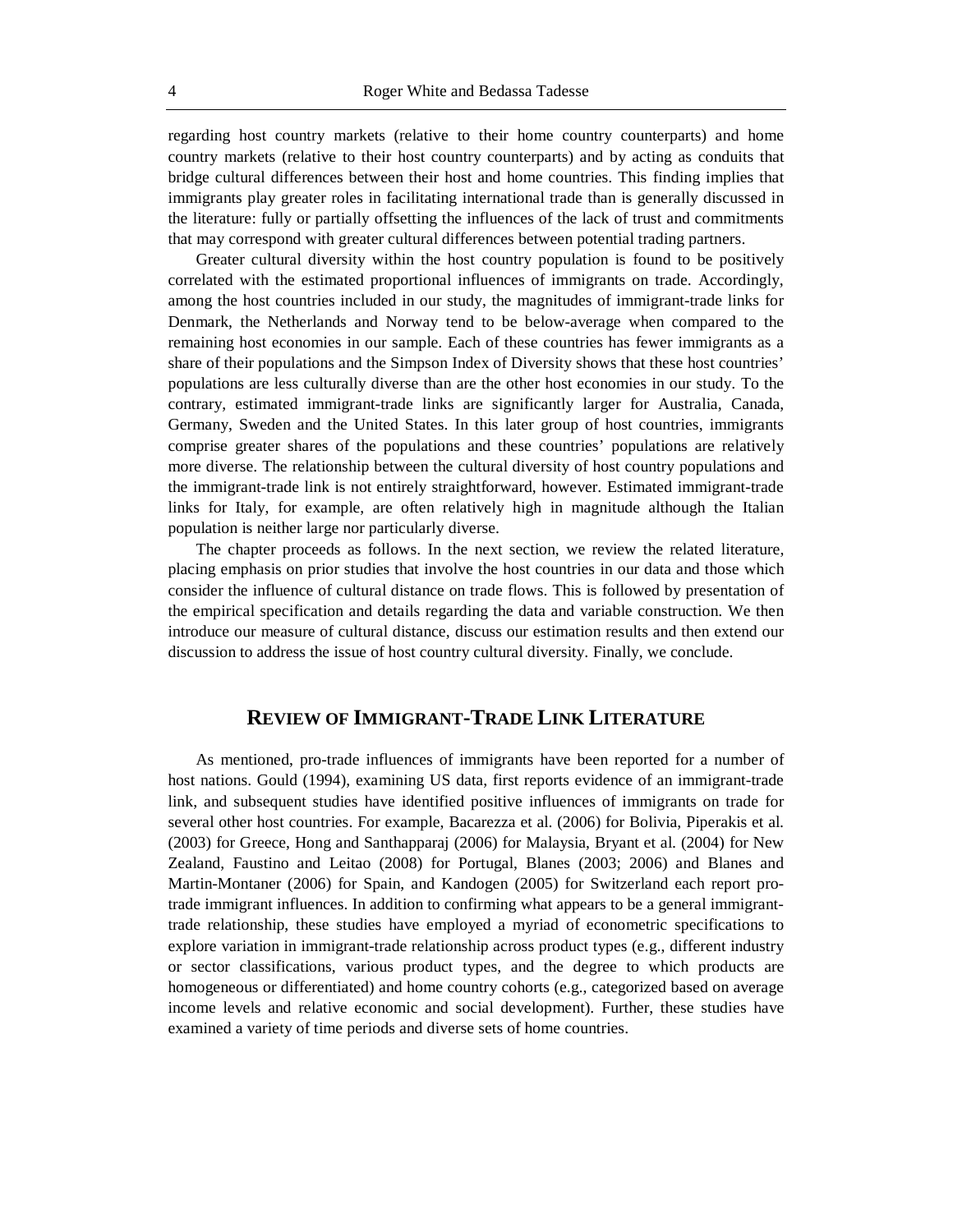regarding host country markets (relative to their home country counterparts) and home country markets (relative to their host country counterparts) and by acting as conduits that bridge cultural differences between their host and home countries. This finding implies that immigrants play greater roles in facilitating international trade than is generally discussed in the literature: fully or partially offsetting the influences of the lack of trust and commitments that may correspond with greater cultural differences between potential trading partners.

Greater cultural diversity within the host country population is found to be positively correlated with the estimated proportional influences of immigrants on trade. Accordingly, among the host countries included in our study, the magnitudes of immigrant-trade links for Denmark, the Netherlands and Norway tend to be below-average when compared to the remaining host economies in our sample. Each of these countries has fewer immigrants as a share of their populations and the Simpson Index of Diversity shows that these host countries' populations are less culturally diverse than are the other host economies in our study. To the contrary, estimated immigrant-trade links are significantly larger for Australia, Canada, Germany, Sweden and the United States. In this later group of host countries, immigrants comprise greater shares of the populations and these countries' populations are relatively more diverse. The relationship between the cultural diversity of host country populations and the immigrant-trade link is not entirely straightforward, however. Estimated immigrant-trade links for Italy, for example, are often relatively high in magnitude although the Italian population is neither large nor particularly diverse.

The chapter proceeds as follows. In the next section, we review the related literature, placing emphasis on prior studies that involve the host countries in our data and those which consider the influence of cultural distance on trade flows. This is followed by presentation of the empirical specification and details regarding the data and variable construction. We then introduce our measure of cultural distance, discuss our estimation results and then extend our discussion to address the issue of host country cultural diversity. Finally, we conclude.

# **REVIEW OF IMMIGRANT-TRADE LINK LITERATURE**

As mentioned, pro-trade influences of immigrants have been reported for a number of host nations. Gould (1994), examining US data, first reports evidence of an immigrant-trade link, and subsequent studies have identified positive influences of immigrants on trade for several other host countries. For example, Bacarezza et al. (2006) for Bolivia, Piperakis et al. (2003) for Greece, Hong and Santhapparaj (2006) for Malaysia, Bryant et al. (2004) for New Zealand, Faustino and Leitao (2008) for Portugal, Blanes (2003; 2006) and Blanes and Martin-Montaner (2006) for Spain, and Kandogen (2005) for Switzerland each report protrade immigrant influences. In addition to confirming what appears to be a general immigranttrade relationship, these studies have employed a myriad of econometric specifications to explore variation in immigrant-trade relationship across product types (e.g., different industry or sector classifications, various product types, and the degree to which products are homogeneous or differentiated) and home country cohorts (e.g., categorized based on average income levels and relative economic and social development). Further, these studies have examined a variety of time periods and diverse sets of home countries.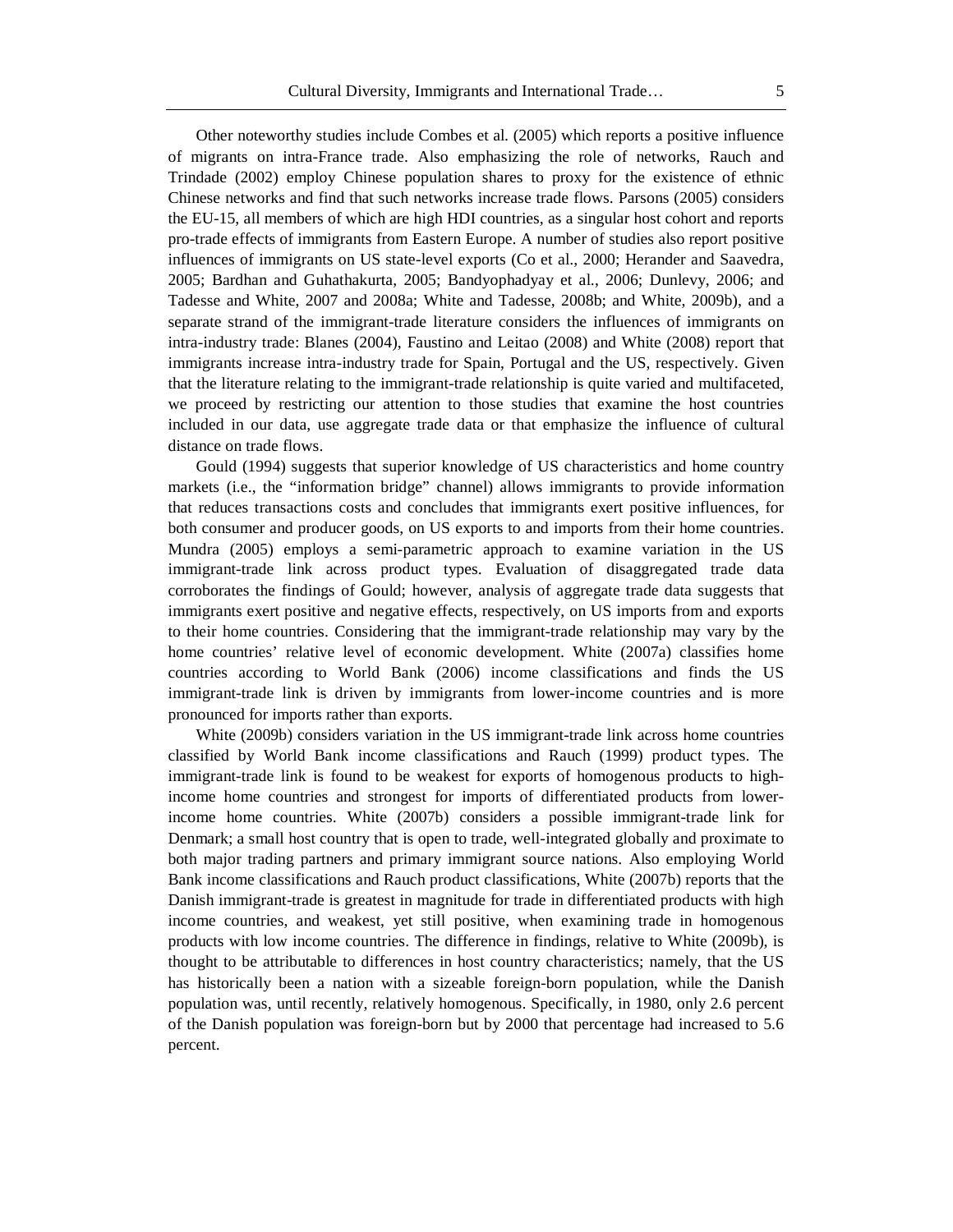Other noteworthy studies include Combes et al. (2005) which reports a positive influence of migrants on intra-France trade. Also emphasizing the role of networks, Rauch and Trindade (2002) employ Chinese population shares to proxy for the existence of ethnic Chinese networks and find that such networks increase trade flows. Parsons (2005) considers the EU-15, all members of which are high HDI countries, as a singular host cohort and reports pro-trade effects of immigrants from Eastern Europe. A number of studies also report positive influences of immigrants on US state-level exports (Co et al., 2000; Herander and Saavedra, 2005; Bardhan and Guhathakurta, 2005; Bandyophadyay et al., 2006; Dunlevy, 2006; and Tadesse and White, 2007 and 2008a; White and Tadesse, 2008b; and White, 2009b), and a separate strand of the immigrant-trade literature considers the influences of immigrants on intra-industry trade: Blanes (2004), Faustino and Leitao (2008) and White (2008) report that immigrants increase intra-industry trade for Spain, Portugal and the US, respectively. Given that the literature relating to the immigrant-trade relationship is quite varied and multifaceted, we proceed by restricting our attention to those studies that examine the host countries included in our data, use aggregate trade data or that emphasize the influence of cultural

Gould (1994) suggests that superior knowledge of US characteristics and home country markets (i.e., the "information bridge" channel) allows immigrants to provide information that reduces transactions costs and concludes that immigrants exert positive influences, for both consumer and producer goods, on US exports to and imports from their home countries. Mundra (2005) employs a semi-parametric approach to examine variation in the US immigrant-trade link across product types. Evaluation of disaggregated trade data corroborates the findings of Gould; however, analysis of aggregate trade data suggests that immigrants exert positive and negative effects, respectively, on US imports from and exports to their home countries. Considering that the immigrant-trade relationship may vary by the home countries' relative level of economic development. White (2007a) classifies home countries according to World Bank (2006) income classifications and finds the US immigrant-trade link is driven by immigrants from lower-income countries and is more pronounced for imports rather than exports.

distance on trade flows.

White (2009b) considers variation in the US immigrant-trade link across home countries classified by World Bank income classifications and Rauch (1999) product types. The immigrant-trade link is found to be weakest for exports of homogenous products to highincome home countries and strongest for imports of differentiated products from lowerincome home countries. White (2007b) considers a possible immigrant-trade link for Denmark; a small host country that is open to trade, well-integrated globally and proximate to both major trading partners and primary immigrant source nations. Also employing World Bank income classifications and Rauch product classifications, White (2007b) reports that the Danish immigrant-trade is greatest in magnitude for trade in differentiated products with high income countries, and weakest, yet still positive, when examining trade in homogenous products with low income countries. The difference in findings, relative to White (2009b), is thought to be attributable to differences in host country characteristics; namely, that the US has historically been a nation with a sizeable foreign-born population, while the Danish population was, until recently, relatively homogenous. Specifically, in 1980, only 2.6 percent of the Danish population was foreign-born but by 2000 that percentage had increased to 5.6 percent.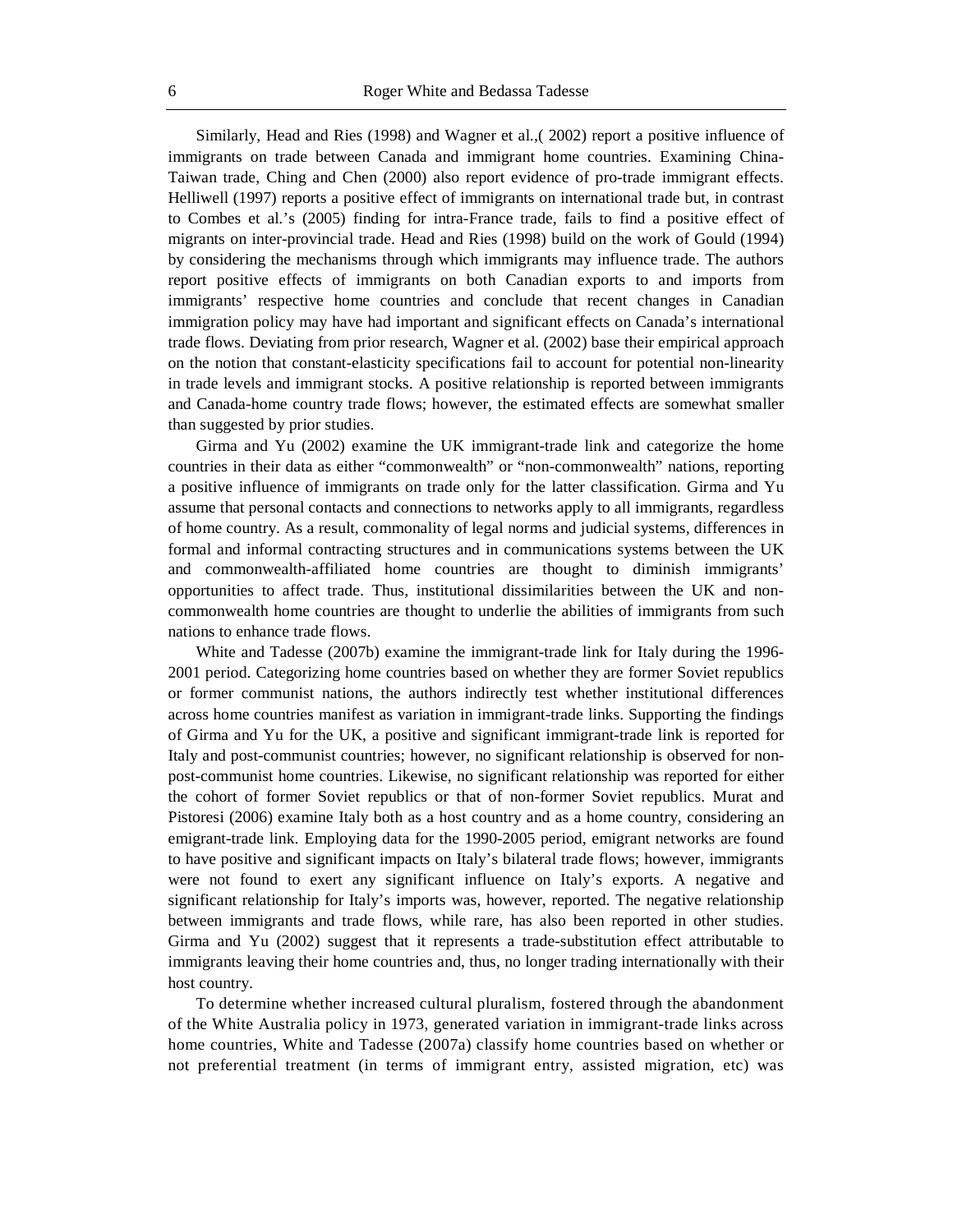Similarly, Head and Ries (1998) and Wagner et al.,( 2002) report a positive influence of immigrants on trade between Canada and immigrant home countries. Examining China-Taiwan trade, Ching and Chen (2000) also report evidence of pro-trade immigrant effects. Helliwell (1997) reports a positive effect of immigrants on international trade but, in contrast to Combes et al.'s (2005) finding for intra-France trade, fails to find a positive effect of migrants on inter-provincial trade. Head and Ries (1998) build on the work of Gould (1994) by considering the mechanisms through which immigrants may influence trade. The authors report positive effects of immigrants on both Canadian exports to and imports from immigrants' respective home countries and conclude that recent changes in Canadian immigration policy may have had important and significant effects on Canada's international trade flows. Deviating from prior research, Wagner et al. (2002) base their empirical approach on the notion that constant-elasticity specifications fail to account for potential non-linearity in trade levels and immigrant stocks. A positive relationship is reported between immigrants and Canada-home country trade flows; however, the estimated effects are somewhat smaller than suggested by prior studies.

Girma and Yu (2002) examine the UK immigrant-trade link and categorize the home countries in their data as either "commonwealth" or "non-commonwealth" nations, reporting a positive influence of immigrants on trade only for the latter classification. Girma and Yu assume that personal contacts and connections to networks apply to all immigrants, regardless of home country. As a result, commonality of legal norms and judicial systems, differences in formal and informal contracting structures and in communications systems between the UK and commonwealth-affiliated home countries are thought to diminish immigrants' opportunities to affect trade. Thus, institutional dissimilarities between the UK and noncommonwealth home countries are thought to underlie the abilities of immigrants from such nations to enhance trade flows.

White and Tadesse (2007b) examine the immigrant-trade link for Italy during the 1996- 2001 period. Categorizing home countries based on whether they are former Soviet republics or former communist nations, the authors indirectly test whether institutional differences across home countries manifest as variation in immigrant-trade links. Supporting the findings of Girma and Yu for the UK, a positive and significant immigrant-trade link is reported for Italy and post-communist countries; however, no significant relationship is observed for nonpost-communist home countries. Likewise, no significant relationship was reported for either the cohort of former Soviet republics or that of non-former Soviet republics. Murat and Pistoresi (2006) examine Italy both as a host country and as a home country, considering an emigrant-trade link. Employing data for the 1990-2005 period, emigrant networks are found to have positive and significant impacts on Italy's bilateral trade flows; however, immigrants were not found to exert any significant influence on Italy's exports. A negative and significant relationship for Italy's imports was, however, reported. The negative relationship between immigrants and trade flows, while rare, has also been reported in other studies. Girma and Yu (2002) suggest that it represents a trade-substitution effect attributable to immigrants leaving their home countries and, thus, no longer trading internationally with their host country.

To determine whether increased cultural pluralism, fostered through the abandonment of the White Australia policy in 1973, generated variation in immigrant-trade links across home countries, White and Tadesse (2007a) classify home countries based on whether or not preferential treatment (in terms of immigrant entry, assisted migration, etc) was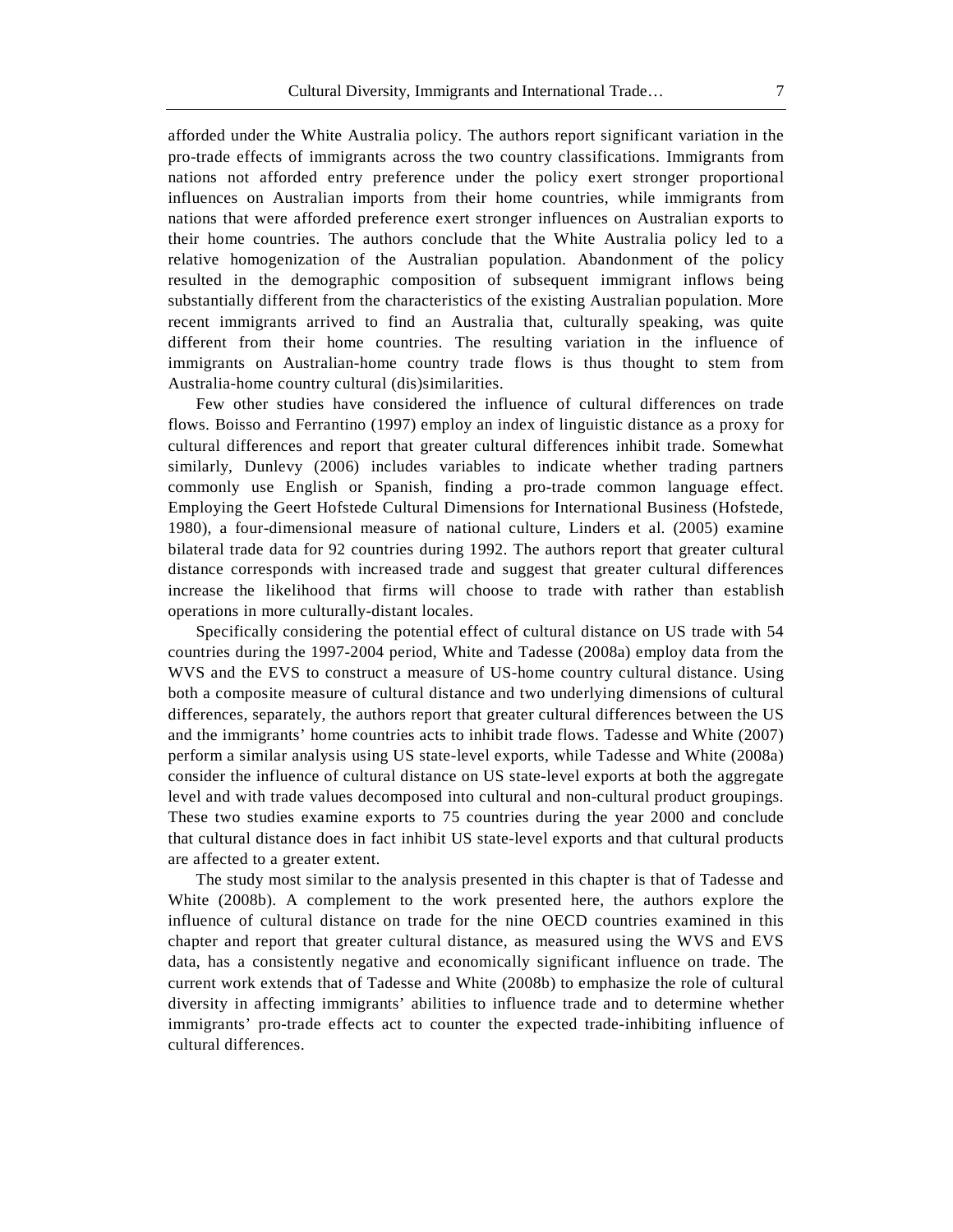afforded under the White Australia policy. The authors report significant variation in the pro-trade effects of immigrants across the two country classifications. Immigrants from nations not afforded entry preference under the policy exert stronger proportional influences on Australian imports from their home countries, while immigrants from nations that were afforded preference exert stronger influences on Australian exports to their home countries. The authors conclude that the White Australia policy led to a relative homogenization of the Australian population. Abandonment of the policy resulted in the demographic composition of subsequent immigrant inflows being substantially different from the characteristics of the existing Australian population. More recent immigrants arrived to find an Australia that, culturally speaking, was quite different from their home countries. The resulting variation in the influence of immigrants on Australian-home country trade flows is thus thought to stem from Australia-home country cultural (dis)similarities.

Few other studies have considered the influence of cultural differences on trade flows. Boisso and Ferrantino (1997) employ an index of linguistic distance as a proxy for cultural differences and report that greater cultural differences inhibit trade. Somewhat similarly, Dunlevy (2006) includes variables to indicate whether trading partners commonly use English or Spanish, finding a pro-trade common language effect. Employing the Geert Hofstede Cultural Dimensions for International Business (Hofstede, 1980), a four-dimensional measure of national culture, Linders et al. (2005) examine bilateral trade data for 92 countries during 1992. The authors report that greater cultural distance corresponds with increased trade and suggest that greater cultural differences increase the likelihood that firms will choose to trade with rather than establish operations in more culturally-distant locales.

Specifically considering the potential effect of cultural distance on US trade with 54 countries during the 1997-2004 period, White and Tadesse (2008a) employ data from the WVS and the EVS to construct a measure of US-home country cultural distance. Using both a composite measure of cultural distance and two underlying dimensions of cultural differences, separately, the authors report that greater cultural differences between the US and the immigrants' home countries acts to inhibit trade flows. Tadesse and White (2007) perform a similar analysis using US state-level exports, while Tadesse and White (2008a) consider the influence of cultural distance on US state-level exports at both the aggregate level and with trade values decomposed into cultural and non-cultural product groupings. These two studies examine exports to 75 countries during the year 2000 and conclude that cultural distance does in fact inhibit US state-level exports and that cultural products are affected to a greater extent.

The study most similar to the analysis presented in this chapter is that of Tadesse and White (2008b). A complement to the work presented here, the authors explore the influence of cultural distance on trade for the nine OECD countries examined in this chapter and report that greater cultural distance, as measured using the WVS and EVS data, has a consistently negative and economically significant influence on trade. The current work extends that of Tadesse and White (2008b) to emphasize the role of cultural diversity in affecting immigrants' abilities to influence trade and to determine whether immigrants' pro-trade effects act to counter the expected trade-inhibiting influence of cultural differences.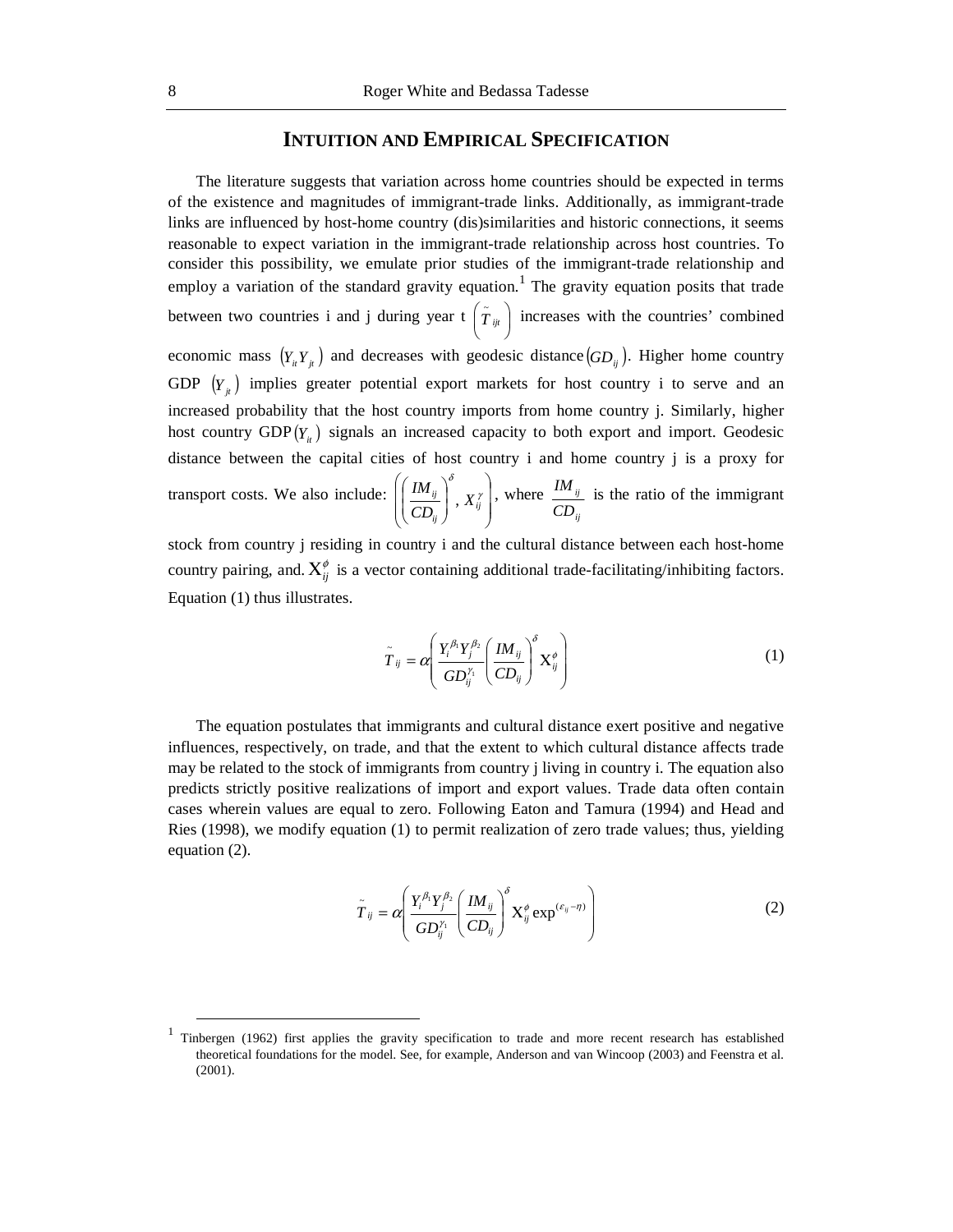# **INTUITION AND EMPIRICAL SPECIFICATION**

The literature suggests that variation across home countries should be expected in terms of the existence and magnitudes of immigrant-trade links. Additionally, as immigrant-trade links are influenced by host-home country (dis)similarities and historic connections, it seems reasonable to expect variation in the immigrant-trade relationship across host countries. To consider this possibility, we emulate prior studies of the immigrant-trade relationship and employ a variation of the standard gravity equation.<sup>1</sup> The gravity equation posits that trade between two countries i and j during year  $\mathfrak{t}$   $\left(\tilde{T}_{ijt}\right)$  $\left(\tilde{r}_{ijt}\right)$  increases with the countries' combined economic mass  $(Y_i Y_i)$  and decreases with geodesic distance  $(GD_i)$ . Higher home country GDP  $(Y_i)$  implies greater potential export markets for host country i to serve and an increased probability that the host country imports from home country j. Similarly, higher host country  $GDP(Y_i)$  signals an increased capacity to both export and import. Geodesic distance between the capital cities of host country i and home country j is a proxy for transport costs. We also include:  $\overline{\phantom{a}}$  $\overline{\phantom{a}}$ J  $\backslash$  $\overline{\phantom{a}}$ L  $\overline{\mathcal{L}}$ ſ  $\overline{\phantom{a}}$ J  $\backslash$  $\overline{\phantom{a}}$  $\backslash$  $\left(\, {I\!M}_{i j} \,\right)^{\delta} \,\,\left.{\bm \nabla} \, \gamma \,\right.$ *ij ij*  $\frac{ij}{\cdot}$   $\vert$  ,  $X$  $\left[\frac{IM_{ij}}{CD_{ii}}\right]$ ,  $X_{ij}^{\gamma}$ , where *ij ij CD*  $\frac{I M_{ij}}{I}$  is the ratio of the immigrant

stock from country j residing in country i and the cultural distance between each host-home country pairing, and.  $X_{ij}^{\phi}$  is a vector containing additional trade-facilitating/inhibiting factors. Equation (1) thus illustrates.

$$
\tilde{T}_{ij} = \alpha \left( \frac{Y_i^{\beta_1} Y_j^{\beta_2}}{GD_{ij}^{\gamma_1}} \left( \frac{IM_{ij}}{CD_{ij}} \right)^{\delta} X_{ij}^{\phi} \right)
$$
\n(1)

The equation postulates that immigrants and cultural distance exert positive and negative influences, respectively, on trade, and that the extent to which cultural distance affects trade may be related to the stock of immigrants from country j living in country i. The equation also predicts strictly positive realizations of import and export values. Trade data often contain cases wherein values are equal to zero. Following Eaton and Tamura (1994) and Head and Ries (1998), we modify equation (1) to permit realization of zero trade values; thus, yielding equation (2).

$$
\tilde{T}_{ij} = \alpha \left( \frac{Y_i^{\beta_1} Y_j^{\beta_2}}{GD_{ij}^{\gamma_1}} \left( \frac{IM_{ij}}{CD_{ij}} \right)^{\delta} X_{ij}^{\phi} \exp^{(\varepsilon_{ij} - \eta)} \right)
$$
(2)

<sup>&</sup>lt;sup>1</sup> Tinbergen (1962) first applies the gravity specification to trade and more recent research has established theoretical foundations for the model. See, for example, Anderson and van Wincoop (2003) and Feenstra et al. (2001).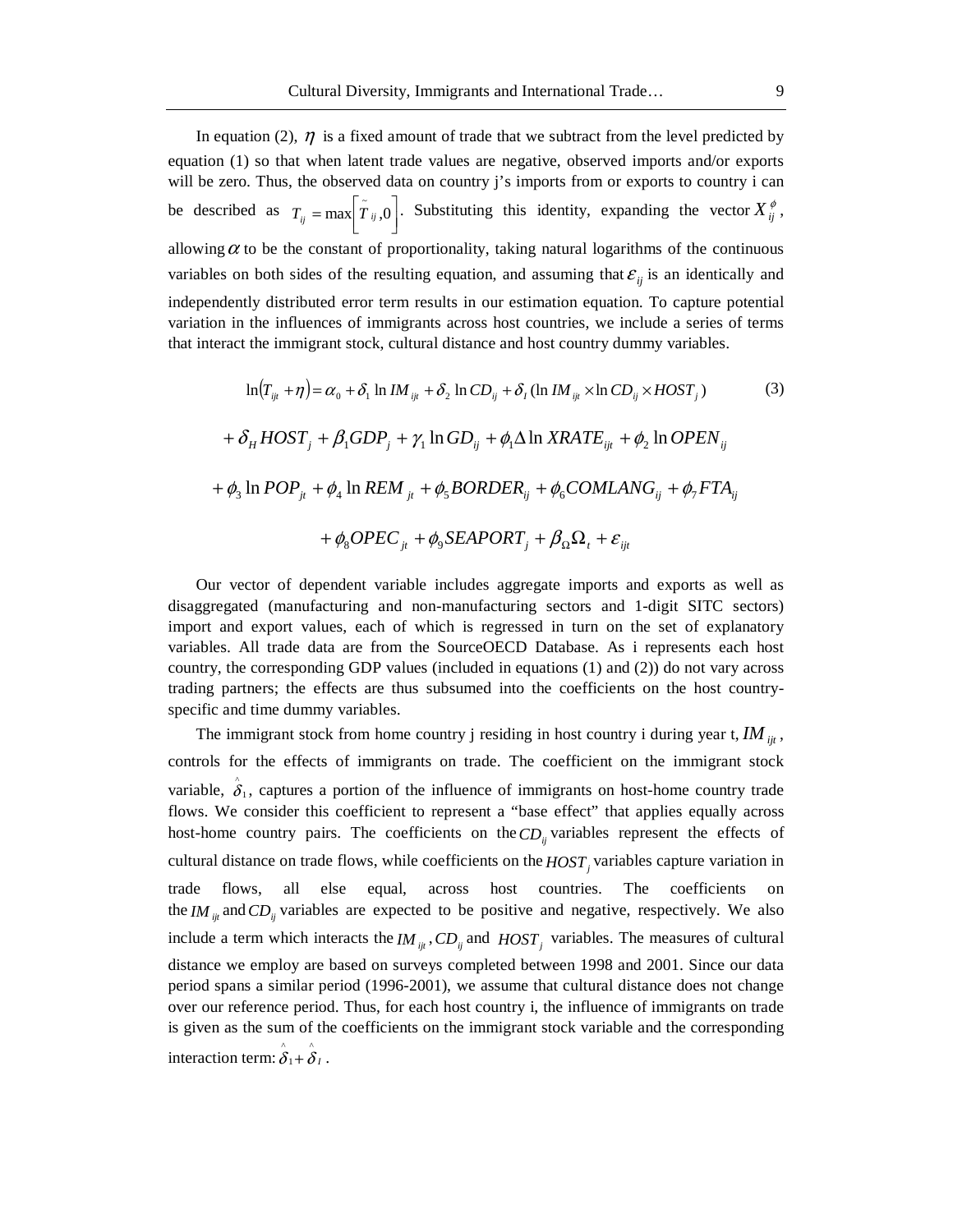In equation (2),  $\eta$  is a fixed amount of trade that we subtract from the level predicted by equation (1) so that when latent trade values are negative, observed imports and/or exports will be zero. Thus, the observed data on country j's imports from or exports to country i can be described as  $T_{ij} = \max \left[ \tilde{T}_{ij}, 0 \right]$  $T_{ij} = \max \left| \tilde{T}_{ij}, 0 \right|$ . Substituting this identity, expanding the vector  $X_{ij}^{\phi}$ , allowing  $\alpha$  to be the constant of proportionality, taking natural logarithms of the continuous variables on both sides of the resulting equation, and assuming that  $\varepsilon_{ii}$  is an identically and independently distributed error term results in our estimation equation. To capture potential variation in the influences of immigrants across host countries, we include a series of terms that interact the immigrant stock, cultural distance and host country dummy variables.

$$
\ln(T_{ij} + \eta) = \alpha_0 + \delta_1 \ln IM_{ijt} + \delta_2 \ln CD_{ij} + \delta_1 (\ln IM_{ijt} \times \ln CD_{ij} \times HOST_j)
$$
(3)  
+  $\delta_H HOST_j + \beta_1 GDP_j + \gamma_1 \ln GD_{ij} + \phi_1 \Delta \ln XRATE_{ijt} + \phi_2 \ln OPEN_{ij}$   
+  $\phi_3 \ln POP_{jt} + \phi_4 \ln REM_{jt} + \phi_5 BORDER_{ij} + \phi_6 COMLANG_{ij} + \phi_7 FTA_{ij}$   
+  $\phi_8 OPEC_{jt} + \phi_9 SEAPORT_j + \beta_9 \Omega_t + \varepsilon_{ijt}$ 

Our vector of dependent variable includes aggregate imports and exports as well as disaggregated (manufacturing and non-manufacturing sectors and 1-digit SITC sectors) import and export values, each of which is regressed in turn on the set of explanatory variables. All trade data are from the SourceOECD Database. As i represents each host country, the corresponding GDP values (included in equations (1) and (2)) do not vary across trading partners; the effects are thus subsumed into the coefficients on the host countryspecific and time dummy variables.

The immigrant stock from home country j residing in host country i during year t,  $IM_{ijt}$ , controls for the effects of immigrants on trade. The coefficient on the immigrant stock variable,  $\hat{\delta}_1$ , captures a portion of the influence of immigrants on host-home country trade flows. We consider this coefficient to represent a "base effect" that applies equally across host-home country pairs. The coefficients on the  $CD_{ii}$  variables represent the effects of cultural distance on trade flows, while coefficients on the *HOST*, variables capture variation in trade flows, all else equal, across host countries. The coefficients on the *IM*  $_{ii}$  and *CD*<sub>*ii*</sub> variables are expected to be positive and negative, respectively. We also include a term which interacts the  $IM_{ijt}$ ,  $CD_{ij}$  and  $HOST_j$  variables. The measures of cultural distance we employ are based on surveys completed between 1998 and 2001. Since our data period spans a similar period (1996-2001), we assume that cultural distance does not change over our reference period. Thus, for each host country i, the influence of immigrants on trade is given as the sum of the coefficients on the immigrant stock variable and the corresponding interaction term:  $\hat{\delta}_1 + \hat{\delta}_1$ 1  $\hat{\delta}_1 + \hat{\delta}_1$ .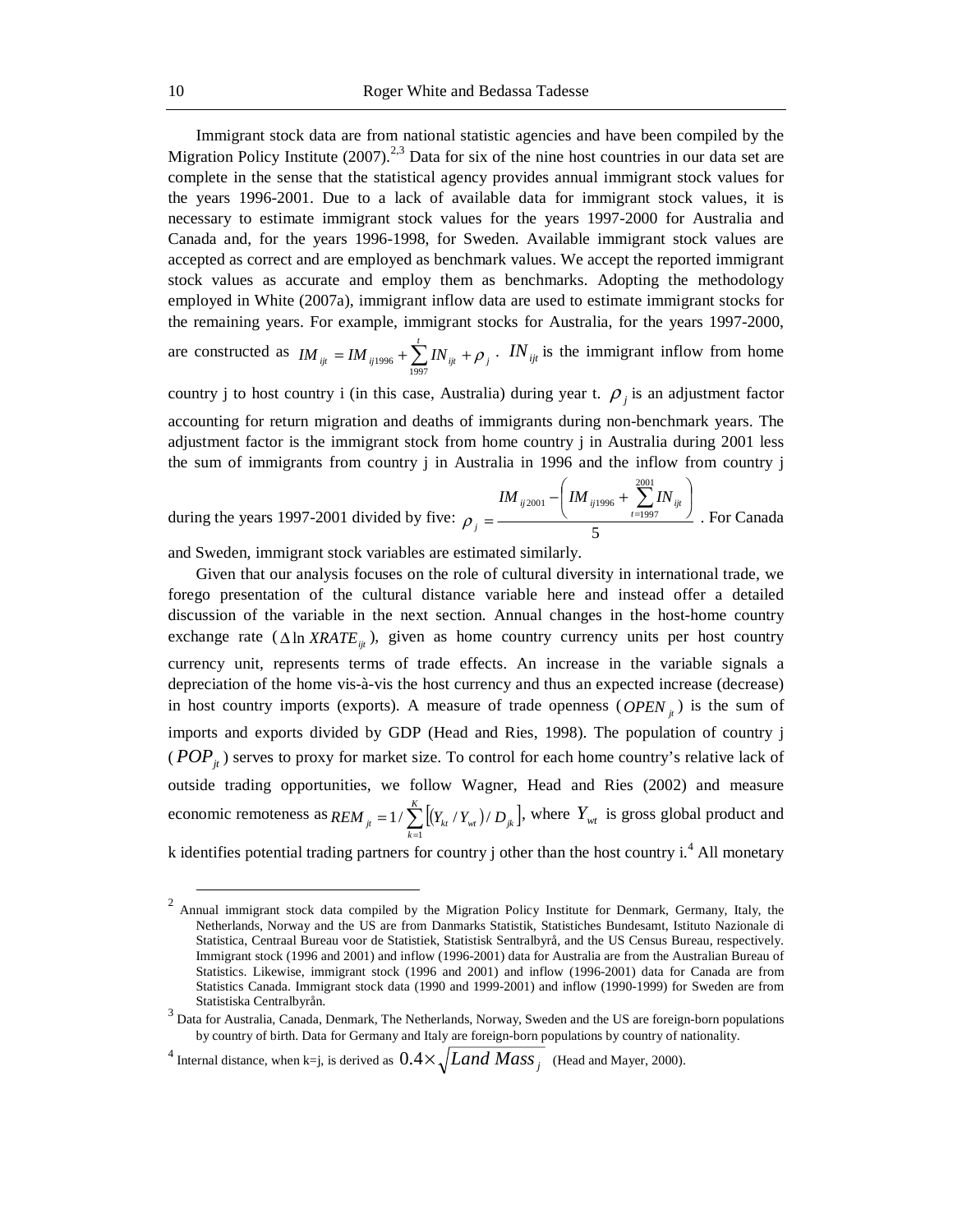Immigrant stock data are from national statistic agencies and have been compiled by the Migration Policy Institute  $(2007)$ <sup>2,3</sup> Data for six of the nine host countries in our data set are complete in the sense that the statistical agency provides annual immigrant stock values for the years 1996-2001. Due to a lack of available data for immigrant stock values, it is necessary to estimate immigrant stock values for the years 1997-2000 for Australia and Canada and, for the years 1996-1998, for Sweden. Available immigrant stock values are accepted as correct and are employed as benchmark values. We accept the reported immigrant stock values as accurate and employ them as benchmarks. Adopting the methodology employed in White (2007a), immigrant inflow data are used to estimate immigrant stocks for the remaining years. For example, immigrant stocks for Australia, for the years 1997-2000,

are constructed as  $IM_{ijt} = IM_{ij1996} + \sum_{1997}^{t} IN_{ijt} + \rho_j$ .  $IN_{ijt}$  is the immigrant inflow from home

country j to host country i (in this case, Australia) during year t.  $\rho_i$  is an adjustment factor accounting for return migration and deaths of immigrants during non-benchmark years. The adjustment factor is the immigrant stock from home country j in Australia during 2001 less the sum of immigrants from country j in Australia in 1996 and the inflow from country j

during the years 1997-2001 divided by five: 
$$
\rho_j = \frac{IM_{ij2001} - \left( IM_{ij1996} + \sum_{t=1997}^{2001} IN_{ijt}\right)}{5}
$$
. For Canada

and Sweden, immigrant stock variables are estimated similarly.

Given that our analysis focuses on the role of cultural diversity in international trade, we forego presentation of the cultural distance variable here and instead offer a detailed discussion of the variable in the next section. Annual changes in the host-home country exchange rate ( $\Delta \ln XRATE_{ii}$ ), given as home country currency units per host country currency unit, represents terms of trade effects. An increase in the variable signals a depreciation of the home vis-à-vis the host currency and thus an expected increase (decrease) in host country imports (exports). A measure of trade openness ( $OPEN<sub>i</sub>$ ) is the sum of imports and exports divided by GDP (Head and Ries, 1998). The population of country j ( $POP_{it}$ ) serves to proxy for market size. To control for each home country's relative lack of outside trading opportunities, we follow Wagner, Head and Ries (2002) and measure economic remoteness as  $REM_{ji} = 1 / \sum_{k=1}^{K} \left[ (Y_{kt} / Y_{wt}) / D_{jk} \right]$  $REM_{it} = 1 / \sum_{k=1}^N \left[ (Y_{kt} / Y_{wt}) / D_{jk} \right]$  $1/\sum_{i=1}^{n} [(Y_{kt}/Y_{wt})/D_{tk}]$ , where  $Y_{wt}$  is gross global product and

k identifies potential trading partners for country j other than the host country  $i^4$ . All monetary

<sup>&</sup>lt;sup>2</sup> Annual immigrant stock data compiled by the Migration Policy Institute for Denmark, Germany, Italy, the Netherlands, Norway and the US are from Danmarks Statistik, Statistiches Bundesamt, Istituto Nazionale di Statistica, Centraal Bureau voor de Statistiek, Statistisk Sentralbyrå, and the US Census Bureau, respectively. Immigrant stock (1996 and 2001) and inflow (1996-2001) data for Australia are from the Australian Bureau of Statistics. Likewise, immigrant stock (1996 and 2001) and inflow (1996-2001) data for Canada are from Statistics Canada. Immigrant stock data (1990 and 1999-2001) and inflow (1990-1999) for Sweden are from

Statistiska Centralbyrån.<br><sup>3</sup> Data for Australia, Canada, Denmark, The Netherlands, Norway, Sweden and the US are foreign-born populations by country of birth. Data for Germany and Italy are foreign-born populations by country of nationality.

<sup>&</sup>lt;sup>4</sup> Internal distance, when k=j, is derived as  $0.4\times\sqrt{Land\,Mass_{j}}$  (Head and Mayer, 2000).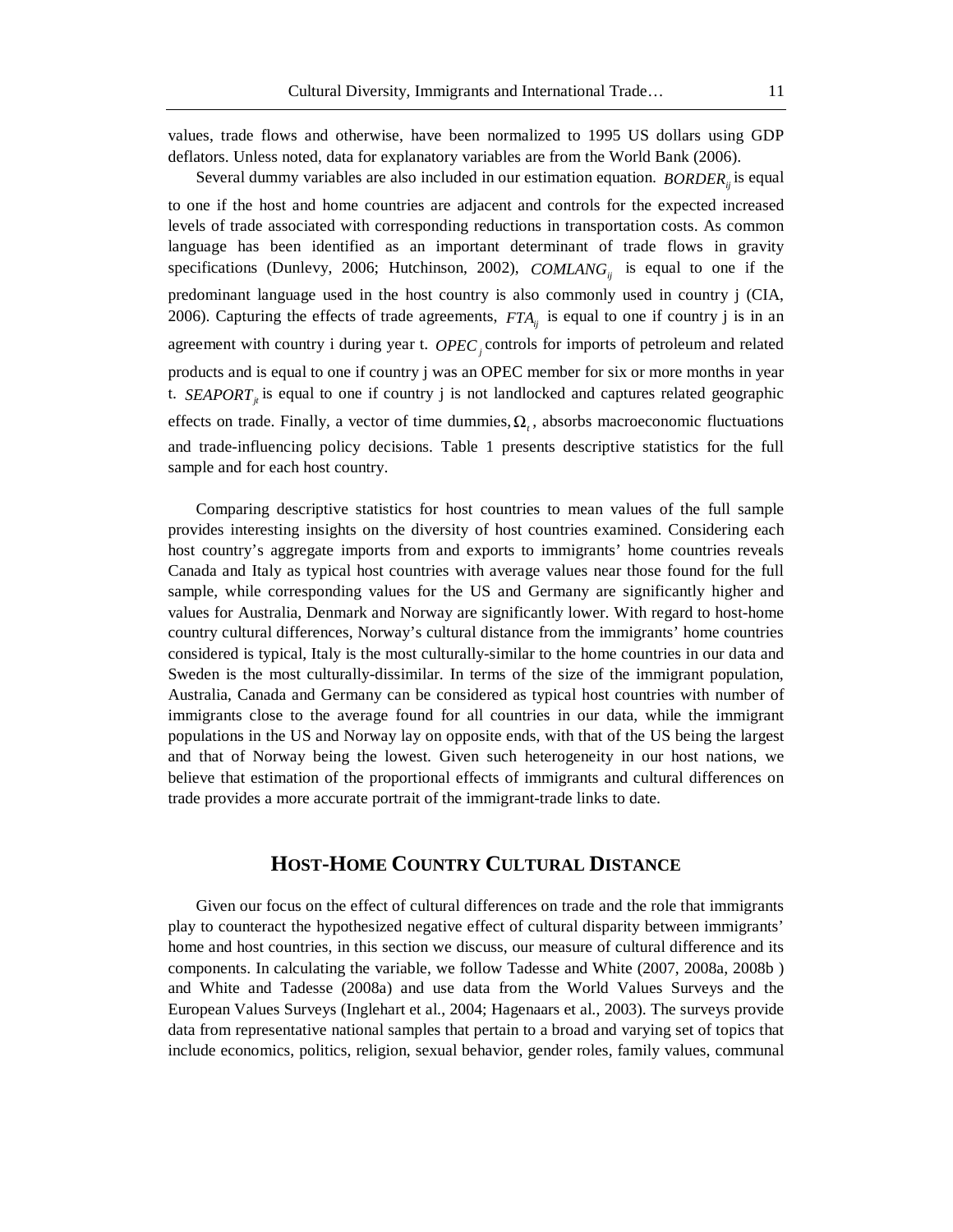values, trade flows and otherwise, have been normalized to 1995 US dollars using GDP deflators. Unless noted, data for explanatory variables are from the World Bank (2006).

Several dummy variables are also included in our estimation equation. *BORDER*<sub>ii</sub> is equal to one if the host and home countries are adjacent and controls for the expected increased levels of trade associated with corresponding reductions in transportation costs. As common language has been identified as an important determinant of trade flows in gravity specifications (Dunlevy, 2006; Hutchinson, 2002), *COMLANG<sub>ij</sub>* is equal to one if the predominant language used in the host country is also commonly used in country j (CIA, 2006). Capturing the effects of trade agreements,  $FTA_{ii}$  is equal to one if country j is in an agreement with country i during year t. *OPEC<sub>j</sub>* controls for imports of petroleum and related products and is equal to one if country j was an OPEC member for six or more months in year t. *SEAPORT*<sub>*i*</sub> is equal to one if country j is not landlocked and captures related geographic effects on trade. Finally, a vector of time dummies,  $\Omega$ , absorbs macroeconomic fluctuations and trade-influencing policy decisions. Table 1 presents descriptive statistics for the full sample and for each host country.

Comparing descriptive statistics for host countries to mean values of the full sample provides interesting insights on the diversity of host countries examined. Considering each host country's aggregate imports from and exports to immigrants' home countries reveals Canada and Italy as typical host countries with average values near those found for the full sample, while corresponding values for the US and Germany are significantly higher and values for Australia, Denmark and Norway are significantly lower. With regard to host-home country cultural differences, Norway's cultural distance from the immigrants' home countries considered is typical, Italy is the most culturally-similar to the home countries in our data and Sweden is the most culturally-dissimilar. In terms of the size of the immigrant population, Australia, Canada and Germany can be considered as typical host countries with number of immigrants close to the average found for all countries in our data, while the immigrant populations in the US and Norway lay on opposite ends, with that of the US being the largest and that of Norway being the lowest. Given such heterogeneity in our host nations, we believe that estimation of the proportional effects of immigrants and cultural differences on trade provides a more accurate portrait of the immigrant-trade links to date.

# **HOST-HOME COUNTRY CULTURAL DISTANCE**

Given our focus on the effect of cultural differences on trade and the role that immigrants play to counteract the hypothesized negative effect of cultural disparity between immigrants' home and host countries, in this section we discuss, our measure of cultural difference and its components. In calculating the variable, we follow Tadesse and White (2007, 2008a, 2008b ) and White and Tadesse (2008a) and use data from the World Values Surveys and the European Values Surveys (Inglehart et al., 2004; Hagenaars et al., 2003). The surveys provide data from representative national samples that pertain to a broad and varying set of topics that include economics, politics, religion, sexual behavior, gender roles, family values, communal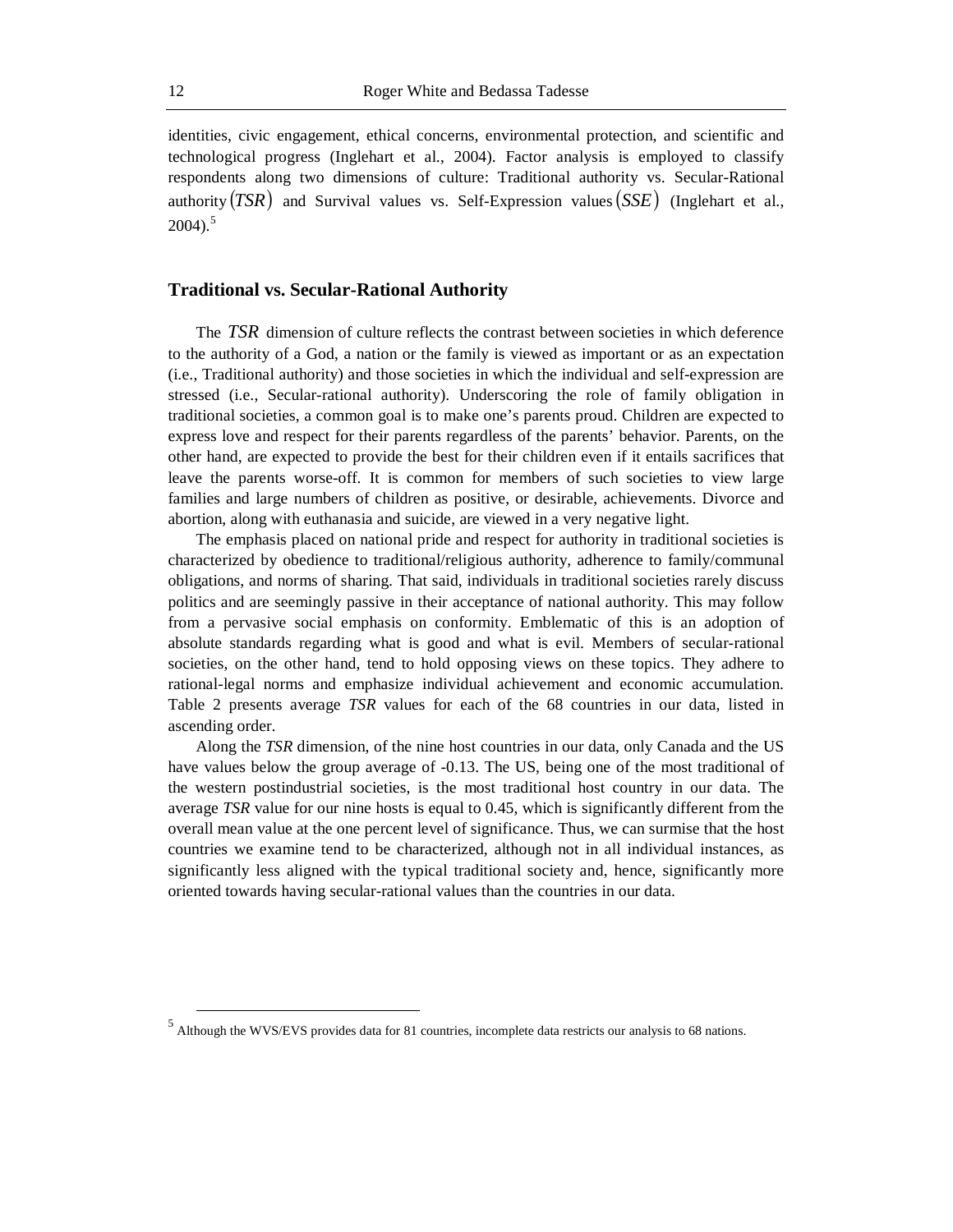identities, civic engagement, ethical concerns, environmental protection, and scientific and technological progress (Inglehart et al., 2004). Factor analysis is employed to classify respondents along two dimensions of culture: Traditional authority vs. Secular-Rational authority  $(TSR)$  and Survival values vs. Self-Expression values  $(SSE)$  (Inglehart et al.,  $2004$ ).<sup>5</sup>

### **Traditional vs. Secular-Rational Authority**

The *TSR* dimension of culture reflects the contrast between societies in which deference to the authority of a God, a nation or the family is viewed as important or as an expectation (i.e., Traditional authority) and those societies in which the individual and self-expression are stressed (i.e., Secular-rational authority). Underscoring the role of family obligation in traditional societies, a common goal is to make one's parents proud. Children are expected to express love and respect for their parents regardless of the parents' behavior. Parents, on the other hand, are expected to provide the best for their children even if it entails sacrifices that leave the parents worse-off. It is common for members of such societies to view large families and large numbers of children as positive, or desirable, achievements. Divorce and abortion, along with euthanasia and suicide, are viewed in a very negative light.

The emphasis placed on national pride and respect for authority in traditional societies is characterized by obedience to traditional/religious authority, adherence to family/communal obligations, and norms of sharing. That said, individuals in traditional societies rarely discuss politics and are seemingly passive in their acceptance of national authority. This may follow from a pervasive social emphasis on conformity. Emblematic of this is an adoption of absolute standards regarding what is good and what is evil. Members of secular-rational societies, on the other hand, tend to hold opposing views on these topics. They adhere to rational-legal norms and emphasize individual achievement and economic accumulation. Table 2 presents average *TSR* values for each of the 68 countries in our data, listed in ascending order.

Along the *TSR* dimension, of the nine host countries in our data, only Canada and the US have values below the group average of -0.13. The US, being one of the most traditional of the western postindustrial societies, is the most traditional host country in our data. The average *TSR* value for our nine hosts is equal to 0.45, which is significantly different from the overall mean value at the one percent level of significance. Thus, we can surmise that the host countries we examine tend to be characterized, although not in all individual instances, as significantly less aligned with the typical traditional society and, hence, significantly more oriented towards having secular-rational values than the countries in our data.

<sup>&</sup>lt;sup>5</sup><br>Although the WVS/EVS provides data for 81 countries, incomplete data restricts our analysis to 68 nations.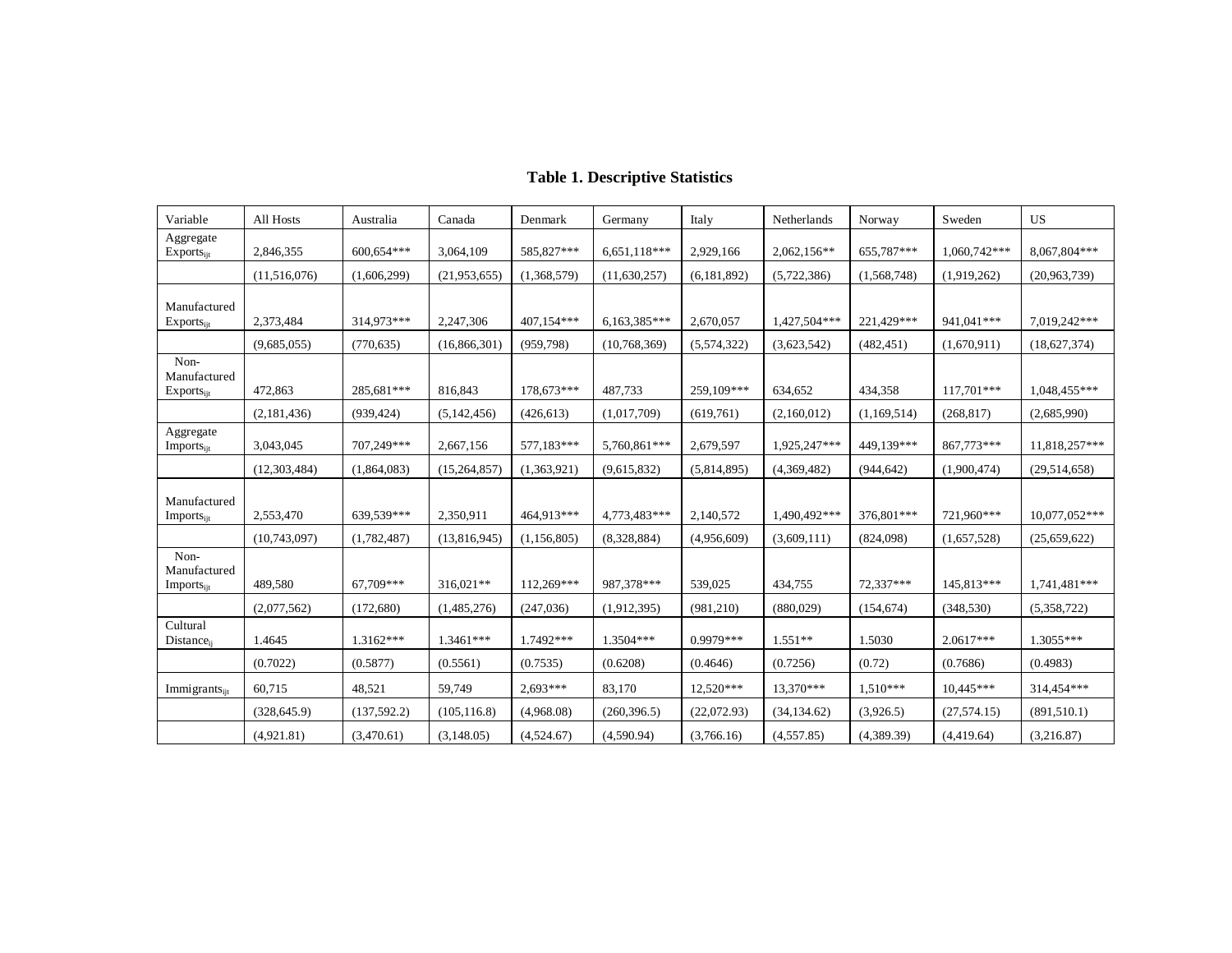| Variable                                              | All Hosts      | Australia    | Canada         | Denmark     | Germany        | Italy         | Netherlands   | Norway      | Sweden       | US            |
|-------------------------------------------------------|----------------|--------------|----------------|-------------|----------------|---------------|---------------|-------------|--------------|---------------|
| Aggregate<br>$Exports_{ijt}$                          | 2,846,355      | 600,654***   | 3,064,109      | 585,827***  | 6,651,118***   | 2,929,166     | $2,062,156**$ | 655,787***  | 1,060,742*** | 8,067,804***  |
|                                                       | (11,516,076)   | (1,606,299)  | (21, 953, 655) | (1,368,579) | (11,630,257)   | (6, 181, 892) | (5,722,386)   | (1,568,748) | (1,919,262)  | (20,963,739)  |
| Manufactured<br>$Exports_{ii}$                        | 2,373,484      | 314,973***   | 2,247,306      | 407,154***  | $6,163,385***$ | 2,670,057     | 1,427,504***  | 221,429***  | 941,041***   | 7,019,242***  |
|                                                       | (9,685,055)    | (770, 635)   | (16, 866, 301) | (959,798)   | (10,768,369)   | (5,574,322)   | (3,623,542)   | (482, 451)  | (1,670,911)  | (18,627,374)  |
| Non-<br>Manufactured<br>$Exports_{ijt}$               | 472,863        | 285,681***   | 816,843        | 178,673***  | 487,733        | 259,109***    | 634,652       | 434,358     | 117,701***   | 1,048,455***  |
|                                                       | (2,181,436)    | (939, 424)   | (5,142,456)    | (426, 613)  | (1,017,709)    | (619,761)     | (2,160,012)   | (1,169,514) | (268, 817)   | (2,685,990)   |
| Aggregate<br>Imports <sub>ijt</sub>                   | 3,043,045      | 707,249***   | 2,667,156      | 577,183***  | 5,760,861***   | 2,679,597     | 1,925,247***  | 449,139***  | 867,773***   | 11,818,257*** |
|                                                       | (12, 303, 484) | (1,864,083)  | (15, 264, 857) | (1,363,921) | (9,615,832)    | (5,814,895)   | (4,369,482)   | (944, 642)  | (1,900,474)  | (29,514,658)  |
| Manufactured<br><b>Imports</b> <sub>iit</sub>         | 2,553,470      | 639,539***   | 2,350,911      | 464,913***  | 4,773,483***   | 2,140,572     | 1,490,492***  | 376,801***  | 721,960***   | 10,077,052*** |
|                                                       | (10,743,097)   | (1,782,487)  | (13,816,945)   | (1,156,805) | (8,328,884)    | (4,956,609)   | (3,609,111)   | (824,098)   | (1,657,528)  | (25,659,622)  |
| Non-<br>Manufactured<br><b>Imports</b> <sub>iit</sub> | 489,580        | 67,709***    | 316,021**      | 112,269***  | 987,378***     | 539,025       | 434,755       | 72,337***   | 145,813***   | 1,741,481***  |
|                                                       | (2,077,562)    | (172,680)    | (1,485,276)    | (247, 036)  | (1,912,395)    | (981, 210)    | (880,029)     | (154, 674)  | (348, 530)   | (5,358,722)   |
| Cultural<br><b>Distance</b> <sub>ii</sub>             | 1.4645         | $1.3162***$  | $1.3461***$    | 1.7492***   | 1.3504***      | $0.9979***$   | $1.551**$     | 1.5030      | $2.0617***$  | $1.3055***$   |
|                                                       | (0.7022)       | (0.5877)     | (0.5561)       | (0.7535)    | (0.6208)       | (0.4646)      | (0.7256)      | (0.72)      | (0.7686)     | (0.4983)      |
| Immigrants <sub>ijt</sub>                             | 60,715         | 48,521       | 59,749         | 2,693***    | 83,170         | 12,520***     | 13,370***     | $1,510***$  | $10,445***$  | 314,454***    |
|                                                       | (328, 645.9)   | (137, 592.2) | (105, 116.8)   | (4,968.08)  | (260, 396.5)   | (22,072.93)   | (34, 134.62)  | (3,926.5)   | (27, 574.15) | (891, 510.1)  |
|                                                       | (4,921.81)     | (3,470.61)   | (3,148.05)     | (4,524.67)  | (4,590.94)     | (3,766.16)    | (4,557.85)    | (4,389.39)  | (4,419.64)   | (3,216.87)    |

# **Table 1. Descriptive Statistics**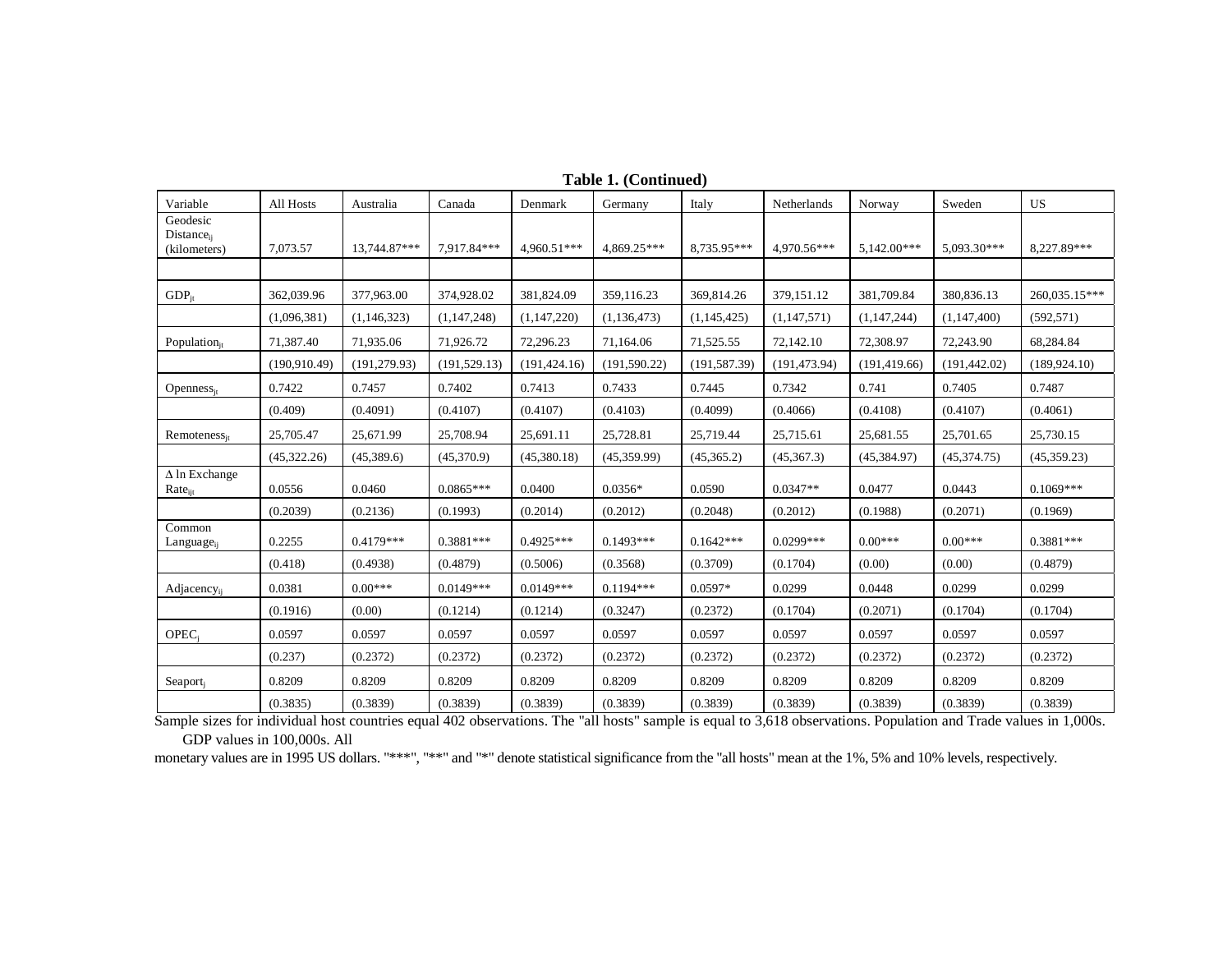| Variable                                           | All Hosts     | Australia     | Canada        | Denmark       | Germany       | Italy         | Netherlands   | Norway        | Sweden        | US            |
|----------------------------------------------------|---------------|---------------|---------------|---------------|---------------|---------------|---------------|---------------|---------------|---------------|
| Geodesic<br>Distance <sub>ij</sub><br>(kilometers) | 7,073.57      | 13,744.87***  | 7,917.84***   | 4,960.51***   | 4,869.25***   | 8.735.95***   | 4,970.56***   | 5.142.00***   | $5.093.30***$ | 8,227.89***   |
|                                                    |               |               |               |               |               |               |               |               |               |               |
| $GDP_{it}$                                         | 362,039.96    | 377,963.00    | 374,928.02    | 381,824.09    | 359,116.23    | 369,814.26    | 379,151.12    | 381,709.84    | 380,836.13    | 260,035.15*** |
|                                                    | (1,096,381)   | (1,146,323)   | (1,147,248)   | (1,147,220)   | (1,136,473)   | (1,145,425)   | (1,147,571)   | (1,147,244)   | (1,147,400)   | (592, 571)    |
| Population $_{it}$                                 | 71,387.40     | 71,935.06     | 71,926.72     | 72,296.23     | 71,164.06     | 71,525.55     | 72,142.10     | 72,308.97     | 72,243.90     | 68,284.84     |
|                                                    | (190, 910.49) | (191, 279.93) | (191, 529.13) | (191, 424.16) | (191, 590.22) | (191, 587.39) | (191, 473.94) | (191, 419.66) | (191, 442.02) | (189, 924.10) |
| $Openness_{it}$                                    | 0.7422        | 0.7457        | 0.7402        | 0.7413        | 0.7433        | 0.7445        | 0.7342        | 0.741         | 0.7405        | 0.7487        |
|                                                    | (0.409)       | (0.4091)      | (0.4107)      | (0.4107)      | (0.4103)      | (0.4099)      | (0.4066)      | (0.4108)      | (0.4107)      | (0.4061)      |
| $Remoteness_{it}$                                  | 25,705.47     | 25,671.99     | 25,708.94     | 25,691.11     | 25,728.81     | 25,719.44     | 25,715.61     | 25,681.55     | 25,701.65     | 25,730.15     |
|                                                    | (45,322.26)   | (45,389.6)    | (45,370.9)    | (45,380.18)   | (45,359.99)   | (45,365.2)    | (45,367.3)    | (45, 384.97)  | (45,374.75)   | (45, 359.23)  |
| $\Delta$ ln Exchange<br>$Rate_{ijt}$               | 0.0556        | 0.0460        | $0.0865***$   | 0.0400        | $0.0356*$     | 0.0590        | $0.0347**$    | 0.0477        | 0.0443        | $0.1069***$   |
|                                                    | (0.2039)      | (0.2136)      | (0.1993)      | (0.2014)      | (0.2012)      | (0.2048)      | (0.2012)      | (0.1988)      | (0.2071)      | (0.1969)      |
| Common<br>Language <sub>ij</sub>                   | 0.2255        | $0.4179***$   | $0.3881***$   | $0.4925***$   | $0.1493***$   | $0.1642***$   | $0.0299***$   | $0.00***$     | $0.00***$     | $0.3881***$   |
|                                                    | (0.418)       | (0.4938)      | (0.4879)      | (0.5006)      | (0.3568)      | (0.3709)      | (0.1704)      | (0.00)        | (0.00)        | (0.4879)      |
| Adjacency <sub>ij</sub>                            | 0.0381        | $0.00***$     | $0.0149***$   | $0.0149***$   | $0.1194***$   | $0.0597*$     | 0.0299        | 0.0448        | 0.0299        | 0.0299        |
|                                                    | (0.1916)      | (0.00)        | (0.1214)      | (0.1214)      | (0.3247)      | (0.2372)      | (0.1704)      | (0.2071)      | (0.1704)      | (0.1704)      |
| OPEC <sub>i</sub>                                  | 0.0597        | 0.0597        | 0.0597        | 0.0597        | 0.0597        | 0.0597        | 0.0597        | 0.0597        | 0.0597        | 0.0597        |
|                                                    | (0.237)       | (0.2372)      | (0.2372)      | (0.2372)      | (0.2372)      | (0.2372)      | (0.2372)      | (0.2372)      | (0.2372)      | (0.2372)      |
| Seaport <sub>i</sub>                               | 0.8209        | 0.8209        | 0.8209        | 0.8209        | 0.8209        | 0.8209        | 0.8209        | 0.8209        | 0.8209        | 0.8209        |
|                                                    | (0.3835)      | (0.3839)      | (0.3839)      | (0.3839)      | (0.3839)      | (0.3839)      | (0.3839)      | (0.3839)      | (0.3839)      | (0.3839)      |

**Table 1. (Continued)** 

Sample sizes for individual host countries equal 402 observations. The "all hosts" sample is equal to 3,618 observations. Population and Trade values in 1,000s. GDP values in 100,000s. All

monetary values are in 1995 US dollars. "\*\*\*", "\*\*" and "\*" denote statistical significance from the "all hosts" mean at the 1%, 5% and 10% levels, respectively.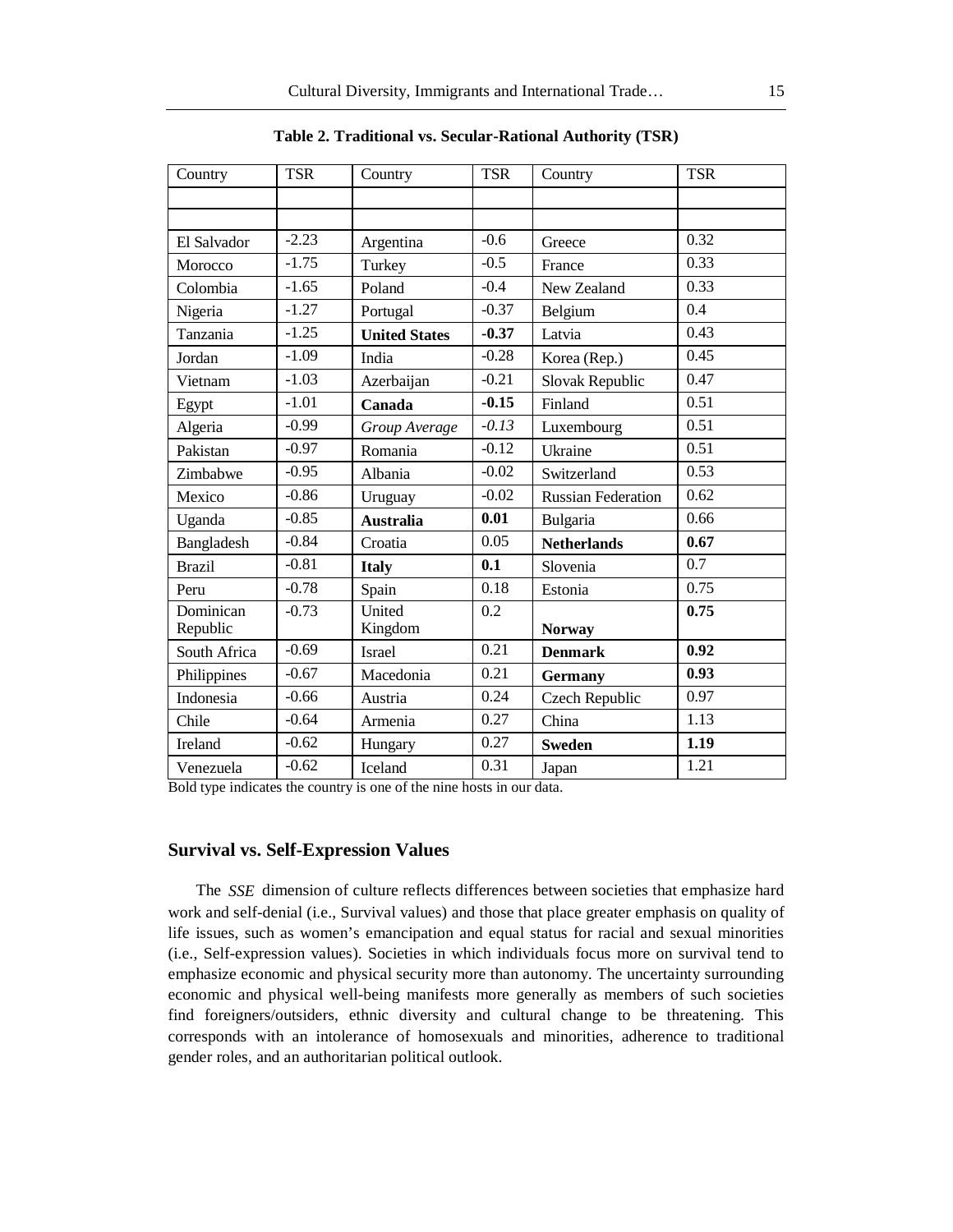| Country       | <b>TSR</b> | Country              | <b>TSR</b> | Country                   | <b>TSR</b> |
|---------------|------------|----------------------|------------|---------------------------|------------|
|               |            |                      |            |                           |            |
|               |            |                      |            |                           |            |
| El Salvador   | $-2.23$    | Argentina            | $-0.6$     | Greece                    | 0.32       |
| Morocco       | $-1.75$    | Turkey               | $-0.5$     | France                    | 0.33       |
| Colombia      | $-1.65$    | Poland               | $-0.4$     | New Zealand               | 0.33       |
| Nigeria       | $-1.27$    | Portugal             | $-0.37$    | Belgium                   | 0.4        |
| Tanzania      | $-1.25$    | <b>United States</b> | $-0.37$    | Latvia                    | 0.43       |
| Jordan        | $-1.09$    | India                | $-0.28$    | Korea (Rep.)              | 0.45       |
| Vietnam       | $-1.03$    | Azerbaijan           | $-0.21$    | Slovak Republic           | 0.47       |
| Egypt         | $-1.01$    | Canada               | $-0.15$    | Finland                   | 0.51       |
| Algeria       | $-0.99$    | Group Average        | $-0.13$    | Luxembourg                | 0.51       |
| Pakistan      | $-0.97$    | Romania              | $-0.12$    | Ukraine                   | 0.51       |
| Zimbabwe      | $-0.95$    | Albania              | $-0.02$    | Switzerland               | 0.53       |
| Mexico        | $-0.86$    | Uruguay              | $-0.02$    | <b>Russian Federation</b> | 0.62       |
| Uganda        | $-0.85$    | <b>Australia</b>     | 0.01       | Bulgaria                  | 0.66       |
| Bangladesh    | $-0.84$    | Croatia              | 0.05       | <b>Netherlands</b>        | 0.67       |
| <b>Brazil</b> | $-0.81$    | <b>Italy</b>         | 0.1        | Slovenia                  | 0.7        |
| Peru          | $-0.78$    | Spain                | 0.18       | Estonia                   | 0.75       |
| Dominican     | $-0.73$    | United               | 0.2        |                           | 0.75       |
| Republic      |            | Kingdom              |            | <b>Norway</b>             |            |
| South Africa  | $-0.69$    | Israel               | 0.21       | <b>Denmark</b>            | 0.92       |
| Philippines   | $-0.67$    | Macedonia            | 0.21       | <b>Germany</b>            | 0.93       |
| Indonesia     | $-0.66$    | Austria              | 0.24       | Czech Republic            | 0.97       |
| Chile         | $-0.64$    | Armenia              | 0.27       | China                     | 1.13       |
| Ireland       | $-0.62$    | Hungary              | 0.27       | <b>Sweden</b>             | 1.19       |
| Venezuela     | $-0.62$    | Iceland              | 0.31       | Japan                     | 1.21       |

**Table 2. Traditional vs. Secular-Rational Authority (TSR)** 

Bold type indicates the country is one of the nine hosts in our data.

#### **Survival vs. Self-Expression Values**

The *SSE* dimension of culture reflects differences between societies that emphasize hard work and self-denial (i.e., Survival values) and those that place greater emphasis on quality of life issues, such as women's emancipation and equal status for racial and sexual minorities (i.e., Self-expression values). Societies in which individuals focus more on survival tend to emphasize economic and physical security more than autonomy. The uncertainty surrounding economic and physical well-being manifests more generally as members of such societies find foreigners/outsiders, ethnic diversity and cultural change to be threatening. This corresponds with an intolerance of homosexuals and minorities, adherence to traditional gender roles, and an authoritarian political outlook.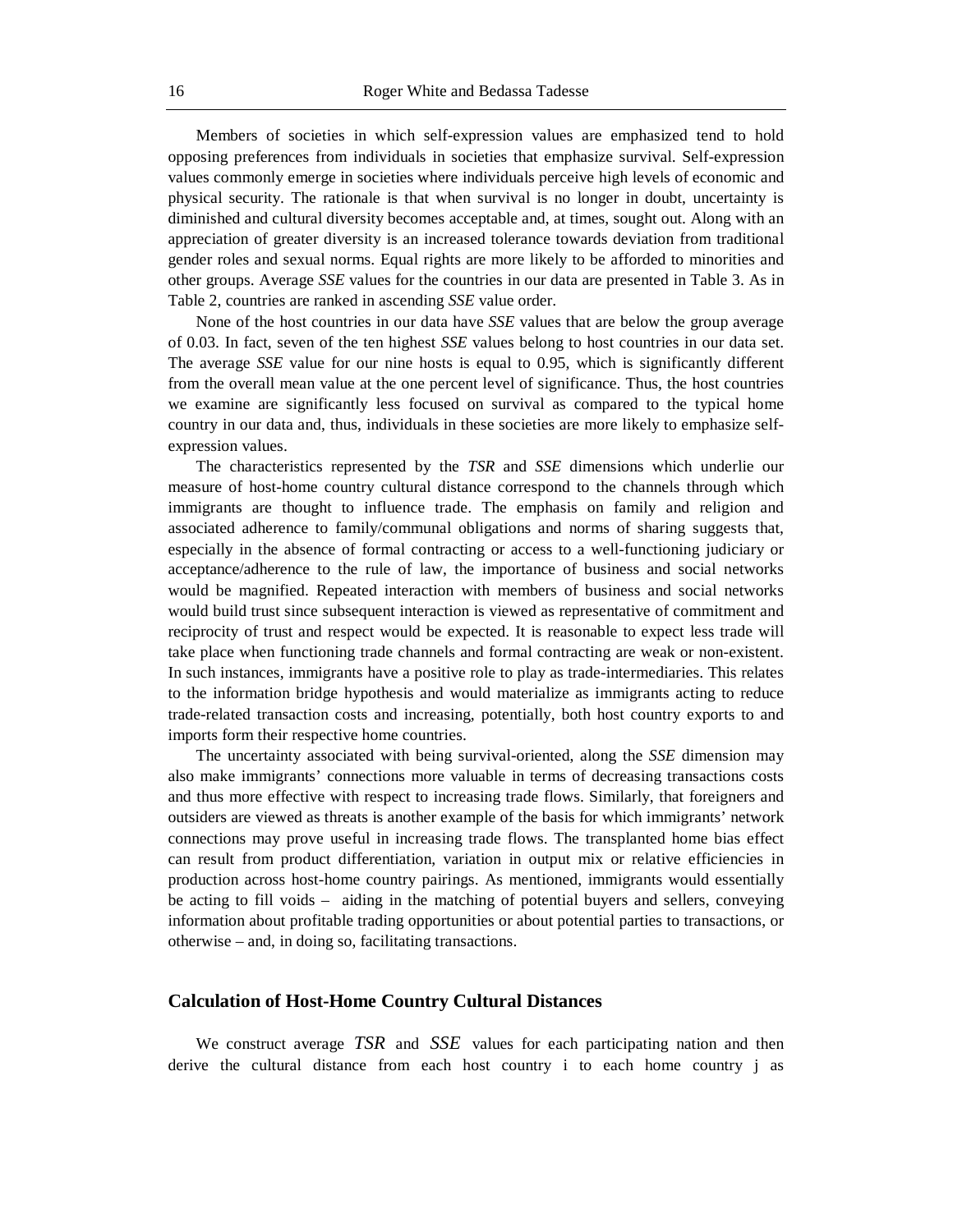Members of societies in which self-expression values are emphasized tend to hold opposing preferences from individuals in societies that emphasize survival. Self-expression values commonly emerge in societies where individuals perceive high levels of economic and physical security. The rationale is that when survival is no longer in doubt, uncertainty is diminished and cultural diversity becomes acceptable and, at times, sought out. Along with an appreciation of greater diversity is an increased tolerance towards deviation from traditional gender roles and sexual norms. Equal rights are more likely to be afforded to minorities and other groups. Average *SSE* values for the countries in our data are presented in Table 3. As in Table 2, countries are ranked in ascending *SSE* value order.

None of the host countries in our data have *SSE* values that are below the group average of 0.03. In fact, seven of the ten highest *SSE* values belong to host countries in our data set. The average *SSE* value for our nine hosts is equal to 0.95, which is significantly different from the overall mean value at the one percent level of significance. Thus, the host countries we examine are significantly less focused on survival as compared to the typical home country in our data and, thus, individuals in these societies are more likely to emphasize selfexpression values.

The characteristics represented by the *TSR* and *SSE* dimensions which underlie our measure of host-home country cultural distance correspond to the channels through which immigrants are thought to influence trade. The emphasis on family and religion and associated adherence to family/communal obligations and norms of sharing suggests that, especially in the absence of formal contracting or access to a well-functioning judiciary or acceptance/adherence to the rule of law, the importance of business and social networks would be magnified. Repeated interaction with members of business and social networks would build trust since subsequent interaction is viewed as representative of commitment and reciprocity of trust and respect would be expected. It is reasonable to expect less trade will take place when functioning trade channels and formal contracting are weak or non-existent. In such instances, immigrants have a positive role to play as trade-intermediaries. This relates to the information bridge hypothesis and would materialize as immigrants acting to reduce trade-related transaction costs and increasing, potentially, both host country exports to and imports form their respective home countries.

The uncertainty associated with being survival-oriented, along the *SSE* dimension may also make immigrants' connections more valuable in terms of decreasing transactions costs and thus more effective with respect to increasing trade flows. Similarly, that foreigners and outsiders are viewed as threats is another example of the basis for which immigrants' network connections may prove useful in increasing trade flows. The transplanted home bias effect can result from product differentiation, variation in output mix or relative efficiencies in production across host-home country pairings. As mentioned, immigrants would essentially be acting to fill voids – aiding in the matching of potential buyers and sellers, conveying information about profitable trading opportunities or about potential parties to transactions, or otherwise – and, in doing so, facilitating transactions.

#### **Calculation of Host-Home Country Cultural Distances**

We construct average *TSR* and *SSE* values for each participating nation and then derive the cultural distance from each host country i to each home country j as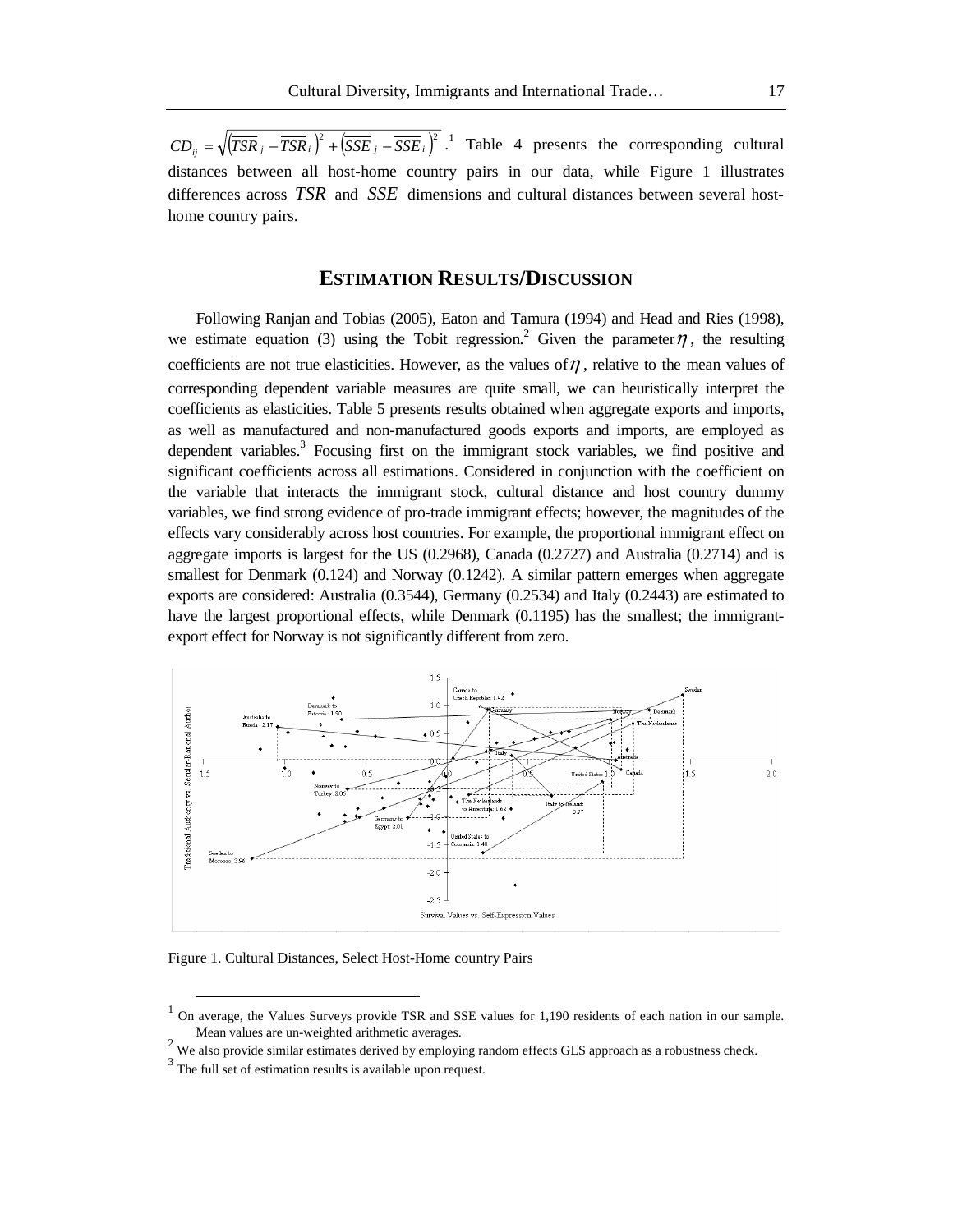$CD_{ij} = \sqrt{(TSR_j - TSR_i)^2 + (SSE_j - SSE_i)^2}$ .<sup>1</sup> Table 4 presents the corresponding cultural distances between all host-home country pairs in our data, while Figure 1 illustrates differences across *TSR* and *SSE* dimensions and cultural distances between several hosthome country pairs.

# **ESTIMATION RESULTS/DISCUSSION**

Following Ranjan and Tobias (2005), Eaton and Tamura (1994) and Head and Ries (1998), we estimate equation (3) using the Tobit regression.<sup>2</sup> Given the parameter  $\eta$ , the resulting coefficients are not true elasticities. However, as the values of  $\eta$ , relative to the mean values of corresponding dependent variable measures are quite small, we can heuristically interpret the coefficients as elasticities. Table 5 presents results obtained when aggregate exports and imports, as well as manufactured and non-manufactured goods exports and imports, are employed as dependent variables.<sup>3</sup> Focusing first on the immigrant stock variables, we find positive and significant coefficients across all estimations. Considered in conjunction with the coefficient on the variable that interacts the immigrant stock, cultural distance and host country dummy variables, we find strong evidence of pro-trade immigrant effects; however, the magnitudes of the effects vary considerably across host countries. For example, the proportional immigrant effect on aggregate imports is largest for the US (0.2968), Canada (0.2727) and Australia (0.2714) and is smallest for Denmark (0.124) and Norway (0.1242). A similar pattern emerges when aggregate exports are considered: Australia (0.3544), Germany (0.2534) and Italy (0.2443) are estimated to have the largest proportional effects, while Denmark (0.1195) has the smallest; the immigrantexport effect for Norway is not significantly different from zero.



Figure 1. Cultural Distances, Select Host-Home country Pairs

<sup>&</sup>lt;sup>1</sup> On average, the Values Surveys provide TSR and SSE values for 1,190 residents of each nation in our sample.

Mean values are un-weighted arithmetic averages.<br><sup>2</sup> We also provide similar estimates derived by employing random effects GLS approach as a robustness check.

<sup>&</sup>lt;sup>3</sup> The full set of estimation results is available upon request.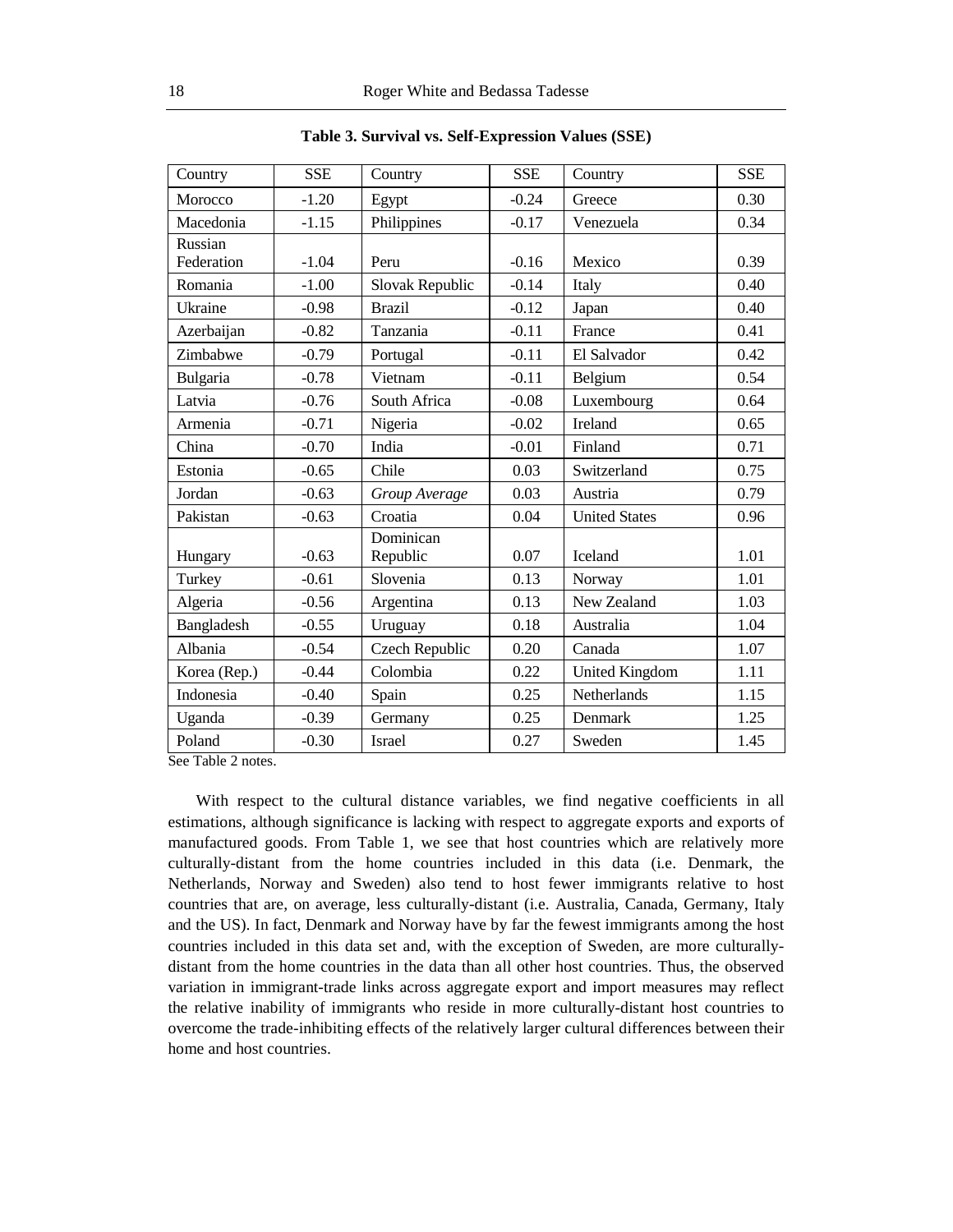| Country      | <b>SSE</b> | Country               | <b>SSE</b> | Country               | <b>SSE</b> |
|--------------|------------|-----------------------|------------|-----------------------|------------|
| Morocco      | $-1.20$    | Egypt                 | $-0.24$    | Greece                | 0.30       |
| Macedonia    | $-1.15$    | Philippines           | $-0.17$    | Venezuela             | 0.34       |
| Russian      |            |                       |            |                       |            |
| Federation   | $-1.04$    | Peru                  | $-0.16$    | Mexico                | 0.39       |
| Romania      | $-1.00$    | Slovak Republic       | $-0.14$    | Italy                 | 0.40       |
| Ukraine      | $-0.98$    | <b>Brazil</b>         | $-0.12$    | Japan                 | 0.40       |
| Azerbaijan   | $-0.82$    | Tanzania              | $-0.11$    | France                | 0.41       |
| Zimbabwe     | $-0.79$    | Portugal              | $-0.11$    | El Salvador           | 0.42       |
| Bulgaria     | $-0.78$    | Vietnam               | $-0.11$    | Belgium               | 0.54       |
| Latvia       | $-0.76$    | South Africa          | $-0.08$    | Luxembourg            | 0.64       |
| Armenia      | $-0.71$    | Nigeria               | $-0.02$    | Ireland               | 0.65       |
| China        | $-0.70$    | India                 | $-0.01$    | Finland               | 0.71       |
| Estonia      | $-0.65$    | Chile                 | 0.03       | Switzerland           | 0.75       |
| Jordan       | $-0.63$    | Group Average         | 0.03       | Austria               | 0.79       |
| Pakistan     | $-0.63$    | Croatia               | 0.04       | <b>United States</b>  | 0.96       |
| Hungary      | $-0.63$    | Dominican<br>Republic | 0.07       | <b>Iceland</b>        | 1.01       |
| Turkey       | $-0.61$    | Slovenia              | 0.13       | Norway                | 1.01       |
| Algeria      | $-0.56$    | Argentina             | 0.13       | New Zealand           | 1.03       |
| Bangladesh   | $-0.55$    | Uruguay               | 0.18       | Australia             | 1.04       |
| Albania      | $-0.54$    | <b>Czech Republic</b> | 0.20       | Canada                | 1.07       |
| Korea (Rep.) | $-0.44$    | Colombia              | 0.22       | <b>United Kingdom</b> | 1.11       |
| Indonesia    | $-0.40$    | Spain                 | 0.25       | Netherlands           | 1.15       |
| Uganda       | $-0.39$    | Germany               | 0.25       | Denmark               | 1.25       |
| Poland       | $-0.30$    | <b>Israel</b>         | 0.27       | Sweden                | 1.45       |

**Table 3. Survival vs. Self-Expression Values (SSE)** 

See Table 2 notes.

With respect to the cultural distance variables, we find negative coefficients in all estimations, although significance is lacking with respect to aggregate exports and exports of manufactured goods. From Table 1, we see that host countries which are relatively more culturally-distant from the home countries included in this data (i.e. Denmark, the Netherlands, Norway and Sweden) also tend to host fewer immigrants relative to host countries that are, on average, less culturally-distant (i.e. Australia, Canada, Germany, Italy and the US). In fact, Denmark and Norway have by far the fewest immigrants among the host countries included in this data set and, with the exception of Sweden, are more culturallydistant from the home countries in the data than all other host countries. Thus, the observed variation in immigrant-trade links across aggregate export and import measures may reflect the relative inability of immigrants who reside in more culturally-distant host countries to overcome the trade-inhibiting effects of the relatively larger cultural differences between their home and host countries.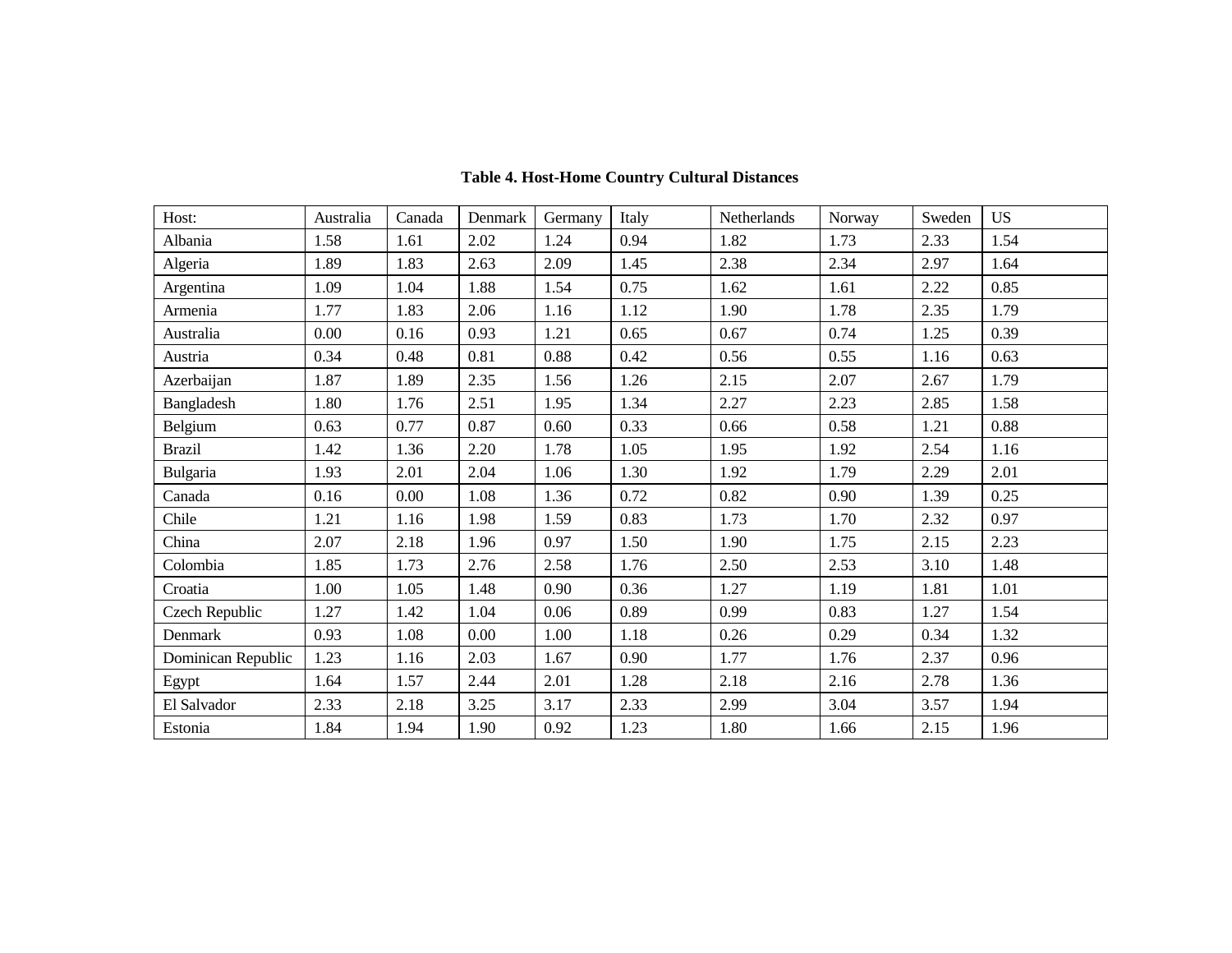| Host:              | Australia | Canada   | Denmark | Germany | Italy | Netherlands | Norway | Sweden | <b>US</b> |
|--------------------|-----------|----------|---------|---------|-------|-------------|--------|--------|-----------|
| Albania            | 1.58      | 1.61     | 2.02    | 1.24    | 0.94  | 1.82        | 1.73   | 2.33   | 1.54      |
| Algeria            | 1.89      | 1.83     | 2.63    | 2.09    | 1.45  | 2.38        | 2.34   | 2.97   | 1.64      |
| Argentina          | 1.09      | 1.04     | 1.88    | 1.54    | 0.75  | 1.62        | 1.61   | 2.22   | 0.85      |
| Armenia            | 1.77      | 1.83     | 2.06    | 1.16    | 1.12  | 1.90        | 1.78   | 2.35   | 1.79      |
| Australia          | 0.00      | 0.16     | 0.93    | 1.21    | 0.65  | 0.67        | 0.74   | 1.25   | 0.39      |
| Austria            | 0.34      | 0.48     | 0.81    | 0.88    | 0.42  | 0.56        | 0.55   | 1.16   | 0.63      |
| Azerbaijan         | 1.87      | 1.89     | 2.35    | 1.56    | 1.26  | 2.15        | 2.07   | 2.67   | 1.79      |
| Bangladesh         | 1.80      | 1.76     | 2.51    | 1.95    | 1.34  | 2.27        | 2.23   | 2.85   | 1.58      |
| Belgium            | 0.63      | 0.77     | 0.87    | 0.60    | 0.33  | 0.66        | 0.58   | 1.21   | 0.88      |
| <b>Brazil</b>      | 1.42      | 1.36     | 2.20    | 1.78    | 1.05  | 1.95        | 1.92   | 2.54   | 1.16      |
| Bulgaria           | 1.93      | 2.01     | 2.04    | 1.06    | 1.30  | 1.92        | 1.79   | 2.29   | 2.01      |
| Canada             | 0.16      | $0.00\,$ | 1.08    | 1.36    | 0.72  | 0.82        | 0.90   | 1.39   | 0.25      |
| Chile              | 1.21      | 1.16     | 1.98    | 1.59    | 0.83  | 1.73        | 1.70   | 2.32   | 0.97      |
| China              | 2.07      | 2.18     | 1.96    | 0.97    | 1.50  | 1.90        | 1.75   | 2.15   | 2.23      |
| Colombia           | 1.85      | 1.73     | 2.76    | 2.58    | 1.76  | 2.50        | 2.53   | 3.10   | 1.48      |
| Croatia            | 1.00      | 1.05     | 1.48    | 0.90    | 0.36  | 1.27        | 1.19   | 1.81   | 1.01      |
| Czech Republic     | 1.27      | 1.42     | 1.04    | 0.06    | 0.89  | 0.99        | 0.83   | 1.27   | 1.54      |
| Denmark            | 0.93      | 1.08     | 0.00    | 1.00    | 1.18  | 0.26        | 0.29   | 0.34   | 1.32      |
| Dominican Republic | 1.23      | 1.16     | 2.03    | 1.67    | 0.90  | 1.77        | 1.76   | 2.37   | 0.96      |
| Egypt              | 1.64      | 1.57     | 2.44    | 2.01    | 1.28  | 2.18        | 2.16   | 2.78   | 1.36      |
| El Salvador        | 2.33      | 2.18     | 3.25    | 3.17    | 2.33  | 2.99        | 3.04   | 3.57   | 1.94      |
| Estonia            | 1.84      | 1.94     | 1.90    | 0.92    | 1.23  | 1.80        | 1.66   | 2.15   | 1.96      |

# **Table 4. Host-Home Country Cultural Distances**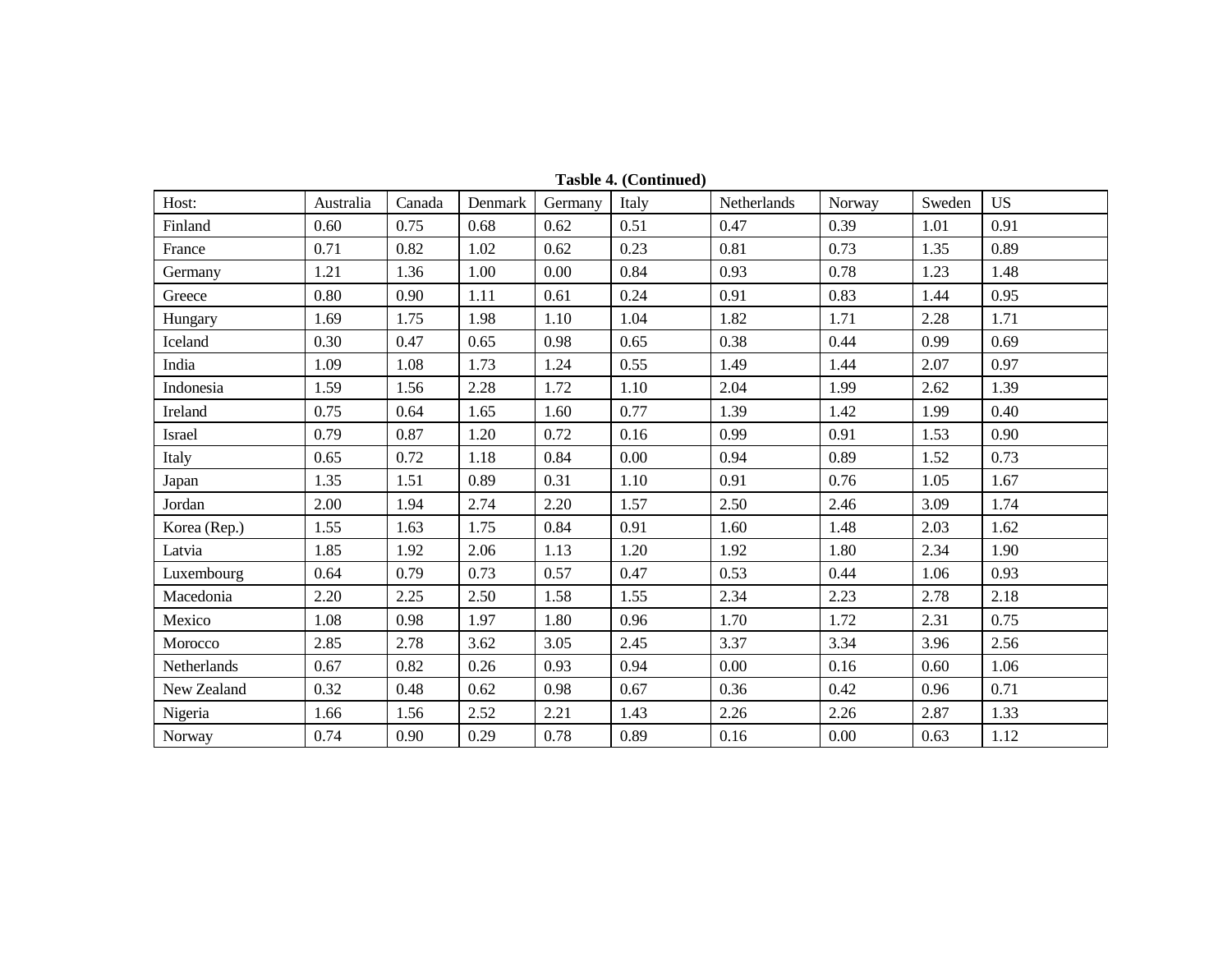| Host:        | Australia | Canada | Denmark | Germany | Italy | Netherlands | Norway | Sweden | <b>US</b> |
|--------------|-----------|--------|---------|---------|-------|-------------|--------|--------|-----------|
| Finland      | 0.60      | 0.75   | 0.68    | 0.62    | 0.51  | 0.47        | 0.39   | 1.01   | 0.91      |
| France       | 0.71      | 0.82   | 1.02    | 0.62    | 0.23  | 0.81        | 0.73   | 1.35   | 0.89      |
| Germany      | 1.21      | 1.36   | 1.00    | 0.00    | 0.84  | 0.93        | 0.78   | 1.23   | 1.48      |
| Greece       | 0.80      | 0.90   | 1.11    | 0.61    | 0.24  | 0.91        | 0.83   | 1.44   | 0.95      |
| Hungary      | 1.69      | 1.75   | 1.98    | 1.10    | 1.04  | 1.82        | 1.71   | 2.28   | 1.71      |
| Iceland      | 0.30      | 0.47   | 0.65    | 0.98    | 0.65  | 0.38        | 0.44   | 0.99   | 0.69      |
| India        | 1.09      | 1.08   | 1.73    | 1.24    | 0.55  | 1.49        | 1.44   | 2.07   | 0.97      |
| Indonesia    | 1.59      | 1.56   | 2.28    | 1.72    | 1.10  | 2.04        | 1.99   | 2.62   | 1.39      |
| Ireland      | 0.75      | 0.64   | 1.65    | 1.60    | 0.77  | 1.39        | 1.42   | 1.99   | 0.40      |
| Israel       | 0.79      | 0.87   | 1.20    | 0.72    | 0.16  | 0.99        | 0.91   | 1.53   | 0.90      |
| Italy        | 0.65      | 0.72   | 1.18    | 0.84    | 0.00  | 0.94        | 0.89   | 1.52   | 0.73      |
| Japan        | 1.35      | 1.51   | 0.89    | 0.31    | 1.10  | 0.91        | 0.76   | 1.05   | 1.67      |
| Jordan       | 2.00      | 1.94   | 2.74    | 2.20    | 1.57  | 2.50        | 2.46   | 3.09   | 1.74      |
| Korea (Rep.) | 1.55      | 1.63   | 1.75    | 0.84    | 0.91  | 1.60        | 1.48   | 2.03   | 1.62      |
| Latvia       | 1.85      | 1.92   | 2.06    | 1.13    | 1.20  | 1.92        | 1.80   | 2.34   | 1.90      |
| Luxembourg   | 0.64      | 0.79   | 0.73    | 0.57    | 0.47  | 0.53        | 0.44   | 1.06   | 0.93      |
| Macedonia    | 2.20      | 2.25   | 2.50    | 1.58    | 1.55  | 2.34        | 2.23   | 2.78   | 2.18      |
| Mexico       | 1.08      | 0.98   | 1.97    | 1.80    | 0.96  | 1.70        | 1.72   | 2.31   | 0.75      |
| Morocco      | 2.85      | 2.78   | 3.62    | 3.05    | 2.45  | 3.37        | 3.34   | 3.96   | 2.56      |
| Netherlands  | 0.67      | 0.82   | 0.26    | 0.93    | 0.94  | 0.00        | 0.16   | 0.60   | 1.06      |
| New Zealand  | 0.32      | 0.48   | 0.62    | 0.98    | 0.67  | 0.36        | 0.42   | 0.96   | 0.71      |
| Nigeria      | 1.66      | 1.56   | 2.52    | 2.21    | 1.43  | 2.26        | 2.26   | 2.87   | 1.33      |
| Norway       | 0.74      | 0.90   | 0.29    | 0.78    | 0.89  | 0.16        | 0.00   | 0.63   | 1.12      |

**Tasble 4. (Continued)**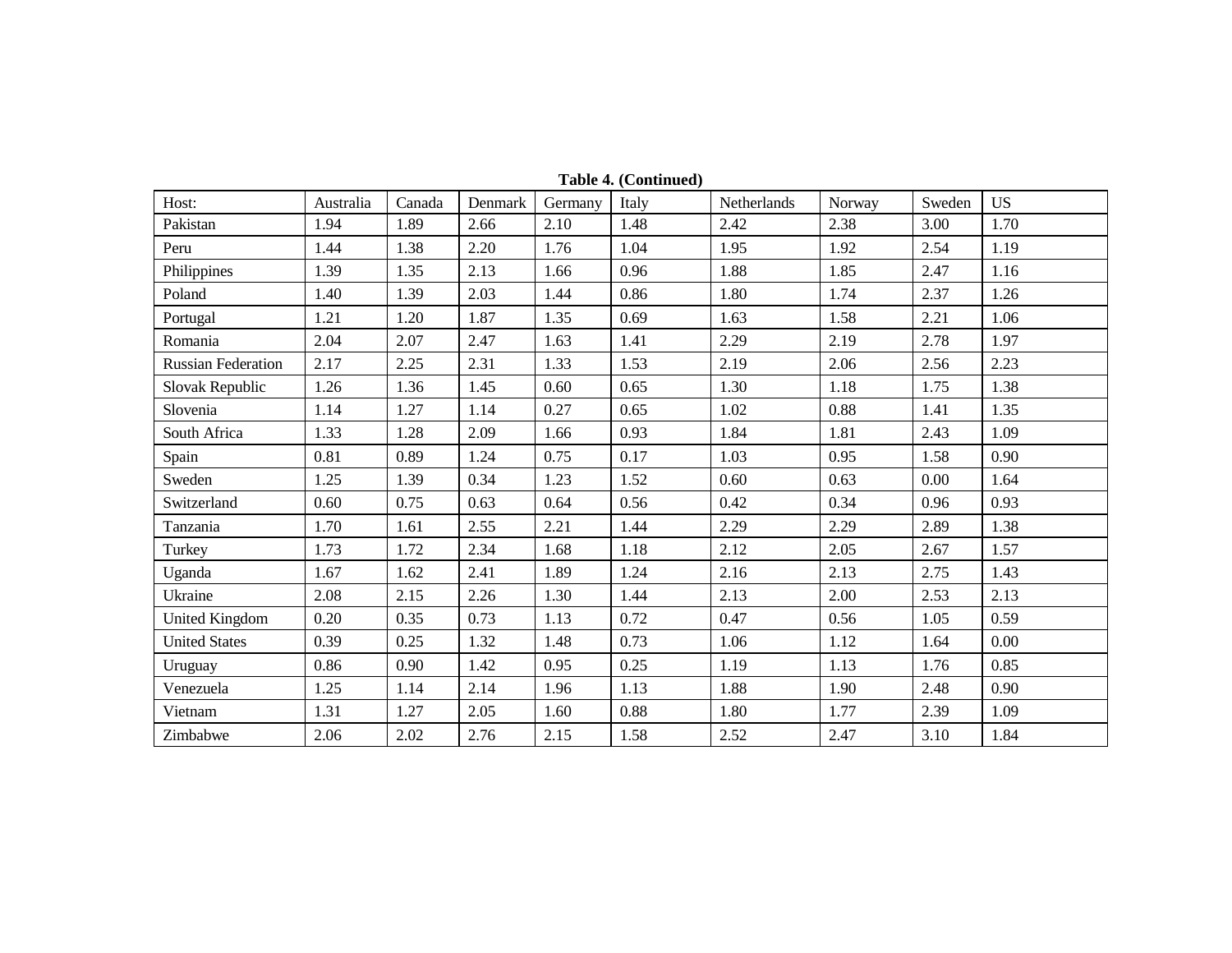| Host:                     | Australia | Canada | Denmark | Germany | Italy | Netherlands | Norway | Sweden   | <b>US</b> |
|---------------------------|-----------|--------|---------|---------|-------|-------------|--------|----------|-----------|
| Pakistan                  | 1.94      | 1.89   | 2.66    | 2.10    | 1.48  | 2.42        | 2.38   | 3.00     | 1.70      |
| Peru                      | 1.44      | 1.38   | 2.20    | 1.76    | 1.04  | 1.95        | 1.92   | 2.54     | 1.19      |
| Philippines               | 1.39      | 1.35   | 2.13    | 1.66    | 0.96  | 1.88        | 1.85   | 2.47     | 1.16      |
| Poland                    | 1.40      | 1.39   | 2.03    | 1.44    | 0.86  | 1.80        | 1.74   | 2.37     | 1.26      |
| Portugal                  | 1.21      | 1.20   | 1.87    | 1.35    | 0.69  | 1.63        | 1.58   | 2.21     | 1.06      |
| Romania                   | 2.04      | 2.07   | 2.47    | 1.63    | 1.41  | 2.29        | 2.19   | 2.78     | 1.97      |
| <b>Russian Federation</b> | 2.17      | 2.25   | 2.31    | 1.33    | 1.53  | 2.19        | 2.06   | 2.56     | 2.23      |
| Slovak Republic           | 1.26      | 1.36   | 1.45    | 0.60    | 0.65  | 1.30        | 1.18   | 1.75     | 1.38      |
| Slovenia                  | 1.14      | 1.27   | 1.14    | 0.27    | 0.65  | 1.02        | 0.88   | 1.41     | 1.35      |
| South Africa              | 1.33      | 1.28   | 2.09    | 1.66    | 0.93  | 1.84        | 1.81   | 2.43     | 1.09      |
| Spain                     | 0.81      | 0.89   | 1.24    | 0.75    | 0.17  | 1.03        | 0.95   | 1.58     | 0.90      |
| Sweden                    | 1.25      | 1.39   | 0.34    | 1.23    | 1.52  | 0.60        | 0.63   | $0.00\,$ | 1.64      |
| Switzerland               | 0.60      | 0.75   | 0.63    | 0.64    | 0.56  | 0.42        | 0.34   | 0.96     | 0.93      |
| Tanzania                  | 1.70      | 1.61   | 2.55    | 2.21    | 1.44  | 2.29        | 2.29   | 2.89     | 1.38      |
| Turkey                    | 1.73      | 1.72   | 2.34    | 1.68    | 1.18  | 2.12        | 2.05   | 2.67     | 1.57      |
| Uganda                    | 1.67      | 1.62   | 2.41    | 1.89    | 1.24  | 2.16        | 2.13   | 2.75     | 1.43      |
| Ukraine                   | 2.08      | 2.15   | 2.26    | 1.30    | 1.44  | 2.13        | 2.00   | 2.53     | 2.13      |
| <b>United Kingdom</b>     | 0.20      | 0.35   | 0.73    | 1.13    | 0.72  | 0.47        | 0.56   | 1.05     | 0.59      |
| <b>United States</b>      | 0.39      | 0.25   | 1.32    | 1.48    | 0.73  | 1.06        | 1.12   | 1.64     | 0.00      |
| Uruguay                   | 0.86      | 0.90   | 1.42    | 0.95    | 0.25  | 1.19        | 1.13   | 1.76     | 0.85      |
| Venezuela                 | 1.25      | 1.14   | 2.14    | 1.96    | 1.13  | 1.88        | 1.90   | 2.48     | 0.90      |
| Vietnam                   | 1.31      | 1.27   | 2.05    | 1.60    | 0.88  | 1.80        | 1.77   | 2.39     | 1.09      |
| Zimbabwe                  | 2.06      | 2.02   | 2.76    | 2.15    | 1.58  | 2.52        | 2.47   | 3.10     | 1.84      |

**Table 4. (Continued)**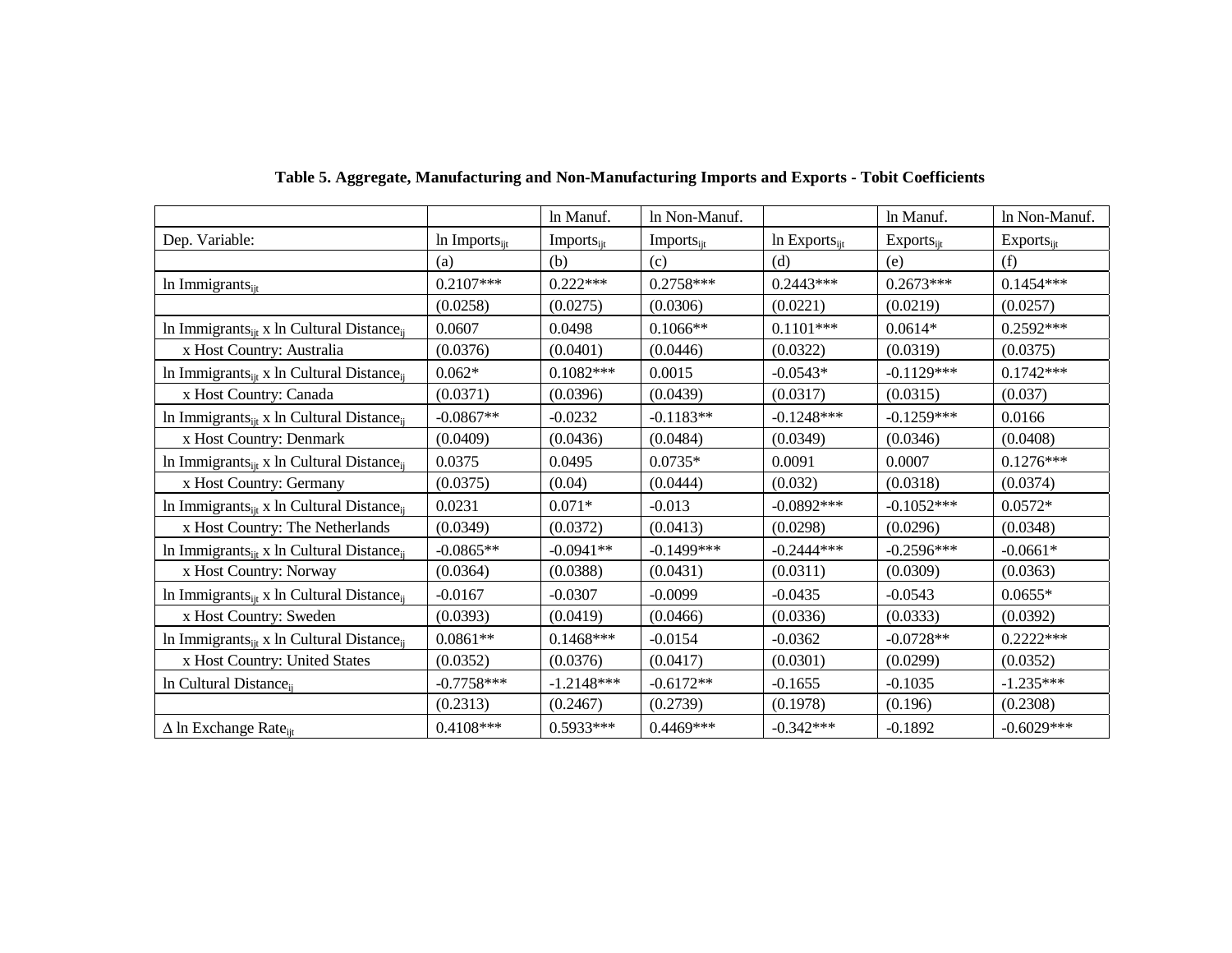|                                                                   |                     | In Manuf.                     | In Non-Manuf.   |                    | In Manuf.             | In Non-Manuf.   |
|-------------------------------------------------------------------|---------------------|-------------------------------|-----------------|--------------------|-----------------------|-----------------|
| Dep. Variable:                                                    | In Imports $_{ijt}$ | <b>Imports</b> <sub>iit</sub> | $Imports_{ijt}$ | In $Exports_{ijt}$ | $Exports_{\text{it}}$ | $Exports_{ijt}$ |
|                                                                   | (a)                 | (b)                           | (c)             | (d)                | (e)                   | (f)             |
| In Immigrants <sub>iit</sub>                                      | $0.2107***$         | $0.222***$                    | $0.2758***$     | $0.2443***$        | $0.2673***$           | $0.1454***$     |
|                                                                   | (0.0258)            | (0.0275)                      | (0.0306)        | (0.0221)           | (0.0219)              | (0.0257)        |
| In Immigrants <sub>ijt</sub> x In Cultural Distance <sub>ii</sub> | 0.0607              | 0.0498                        | $0.1066**$      | $0.1101***$        | $0.0614*$             | $0.2592***$     |
| x Host Country: Australia                                         | (0.0376)            | (0.0401)                      | (0.0446)        | (0.0322)           | (0.0319)              | (0.0375)        |
| In Immigrants <sub>ijt</sub> x In Cultural Distance <sub>ii</sub> | $0.062*$            | $0.1082***$                   | 0.0015          | $-0.0543*$         | $-0.1129***$          | $0.1742***$     |
| x Host Country: Canada                                            | (0.0371)            | (0.0396)                      | (0.0439)        | (0.0317)           | (0.0315)              | (0.037)         |
| In Immigrants <sub>ijt</sub> x In Cultural Distance <sub>ii</sub> | $-0.0867**$         | $-0.0232$                     | $-0.1183**$     | $-0.1248***$       | $-0.1259***$          | 0.0166          |
| x Host Country: Denmark                                           | (0.0409)            | (0.0436)                      | (0.0484)        | (0.0349)           | (0.0346)              | (0.0408)        |
| In Immigrants <sub>ijt</sub> x In Cultural Distance <sub>ij</sub> | 0.0375              | 0.0495                        | $0.0735*$       | 0.0091             | 0.0007                | $0.1276***$     |
| x Host Country: Germany                                           | (0.0375)            | (0.04)                        | (0.0444)        | (0.032)            | (0.0318)              | (0.0374)        |
| In Immigrants <sub>it</sub> x In Cultural Distance <sub>ii</sub>  | 0.0231              | $0.071*$                      | $-0.013$        | $-0.0892***$       | $-0.1052***$          | $0.0572*$       |
| x Host Country: The Netherlands                                   | (0.0349)            | (0.0372)                      | (0.0413)        | (0.0298)           | (0.0296)              | (0.0348)        |
| In Immigrants <sub>ijt</sub> x In Cultural Distance <sub>ii</sub> | $-0.0865**$         | $-0.0941**$                   | $-0.1499$ ***   | $-0.2444***$       | $-0.2596***$          | $-0.0661*$      |
| x Host Country: Norway                                            | (0.0364)            | (0.0388)                      | (0.0431)        | (0.0311)           | (0.0309)              | (0.0363)        |
| In Immigrants <sub>ijt</sub> x In Cultural Distance <sub>ij</sub> | $-0.0167$           | $-0.0307$                     | $-0.0099$       | $-0.0435$          | $-0.0543$             | $0.0655*$       |
| x Host Country: Sweden                                            | (0.0393)            | (0.0419)                      | (0.0466)        | (0.0336)           | (0.0333)              | (0.0392)        |
| In Immigrants <sub>it</sub> x In Cultural Distance <sub>ii</sub>  | $0.0861**$          | $0.1468***$                   | $-0.0154$       | $-0.0362$          | $-0.0728**$           | $0.2222***$     |
| x Host Country: United States                                     | (0.0352)            | (0.0376)                      | (0.0417)        | (0.0301)           | (0.0299)              | (0.0352)        |
| In Cultural Distance <sub>ii</sub>                                | $-0.7758***$        | $-1.2148***$                  | $-0.6172**$     | $-0.1655$          | $-0.1035$             | $-1.235***$     |
|                                                                   | (0.2313)            | (0.2467)                      | (0.2739)        | (0.1978)           | (0.196)               | (0.2308)        |
| $\Delta$ ln Exchange Rate <sub>it</sub>                           | $0.4108***$         | $0.5933***$                   | $0.4469***$     | $-0.342***$        | $-0.1892$             | $-0.6029***$    |

**Table 5. Aggregate, Manufacturing and Non-Manufacturing Imports and Exports - Tobit Coefficients**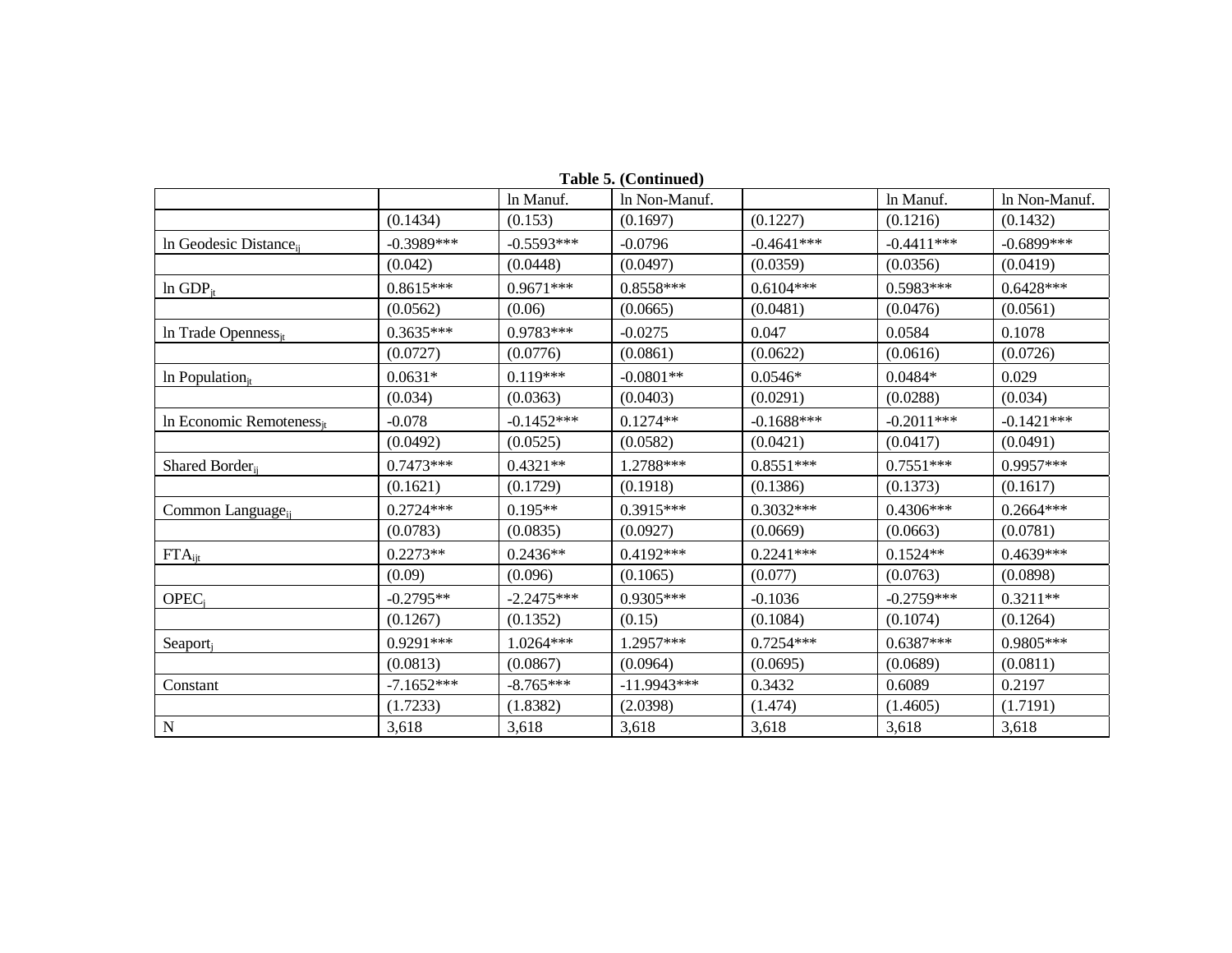|                                    |              | ln Manuf.    | rabic $\mathcal{P}_t$ (continued)<br>In Non-Manuf. |              | In Manuf.    | In Non-Manuf. |
|------------------------------------|--------------|--------------|----------------------------------------------------|--------------|--------------|---------------|
|                                    | (0.1434)     | (0.153)      | (0.1697)                                           | (0.1227)     | (0.1216)     | (0.1432)      |
| In Geodesic Distance <sub>ij</sub> | $-0.3989***$ | $-0.5593***$ | $-0.0796$                                          | $-0.4641***$ | $-0.4411***$ | $-0.6899$ *** |
|                                    | (0.042)      | (0.0448)     | (0.0497)                                           | (0.0359)     | (0.0356)     | (0.0419)      |
| $ln$ GDP <sub>it</sub>             | $0.8615***$  | $0.9671***$  | $0.8558***$                                        | $0.6104***$  | $0.5983***$  | $0.6428***$   |
|                                    | (0.0562)     | (0.06)       | (0.0665)                                           | (0.0481)     | (0.0476)     | (0.0561)      |
| In Trade Openness $s_{jt}$         | $0.3635***$  | 0.9783***    | $-0.0275$                                          | 0.047        | 0.0584       | 0.1078        |
|                                    | (0.0727)     | (0.0776)     | (0.0861)                                           | (0.0622)     | (0.0616)     | (0.0726)      |
| In Population $_{jt}$              | $0.0631*$    | $0.119***$   | $-0.0801**$                                        | $0.0546*$    | $0.0484*$    | 0.029         |
|                                    | (0.034)      | (0.0363)     | (0.0403)                                           | (0.0291)     | (0.0288)     | (0.034)       |
| In Economic Remoteness $_{it}$     | $-0.078$     | $-0.1452***$ | $0.1274**$                                         | $-0.1688***$ | $-0.2011***$ | $-0.1421***$  |
|                                    | (0.0492)     | (0.0525)     | (0.0582)                                           | (0.0421)     | (0.0417)     | (0.0491)      |
| Shared Border <sub>ij</sub>        | $0.7473***$  | $0.4321**$   | 1.2788***                                          | $0.8551***$  | $0.7551***$  | $0.9957***$   |
|                                    | (0.1621)     | (0.1729)     | (0.1918)                                           | (0.1386)     | (0.1373)     | (0.1617)      |
| Common Language <sub>ij</sub>      | $0.2724***$  | $0.195**$    | $0.3915***$                                        | $0.3032***$  | $0.4306***$  | $0.2664***$   |
|                                    | (0.0783)     | (0.0835)     | (0.0927)                                           | (0.0669)     | (0.0663)     | (0.0781)      |
| $FTA_{ijt}$                        | $0.2273**$   | $0.2436**$   | $0.4192***$                                        | $0.2241***$  | $0.1524**$   | $0.4639***$   |
|                                    | (0.09)       | (0.096)      | (0.1065)                                           | (0.077)      | (0.0763)     | (0.0898)      |
| OPEC <sub>i</sub>                  | $-0.2795**$  | $-2.2475***$ | $0.9305***$                                        | $-0.1036$    | $-0.2759***$ | $0.3211**$    |
|                                    | (0.1267)     | (0.1352)     | (0.15)                                             | (0.1084)     | (0.1074)     | (0.1264)      |
| Seaport <sub>j</sub>               | $0.9291***$  | 1.0264***    | 1.2957***                                          | $0.7254***$  | $0.6387***$  | $0.9805***$   |
|                                    | (0.0813)     | (0.0867)     | (0.0964)                                           | (0.0695)     | (0.0689)     | (0.0811)      |
| Constant                           | $-7.1652***$ | $-8.765***$  | $-11.9943***$                                      | 0.3432       | 0.6089       | 0.2197        |
|                                    | (1.7233)     | (1.8382)     | (2.0398)                                           | (1.474)      | (1.4605)     | (1.7191)      |
| N                                  | 3,618        | 3,618        | 3,618                                              | 3,618        | 3,618        | 3,618         |

**Table 5. (Continued)**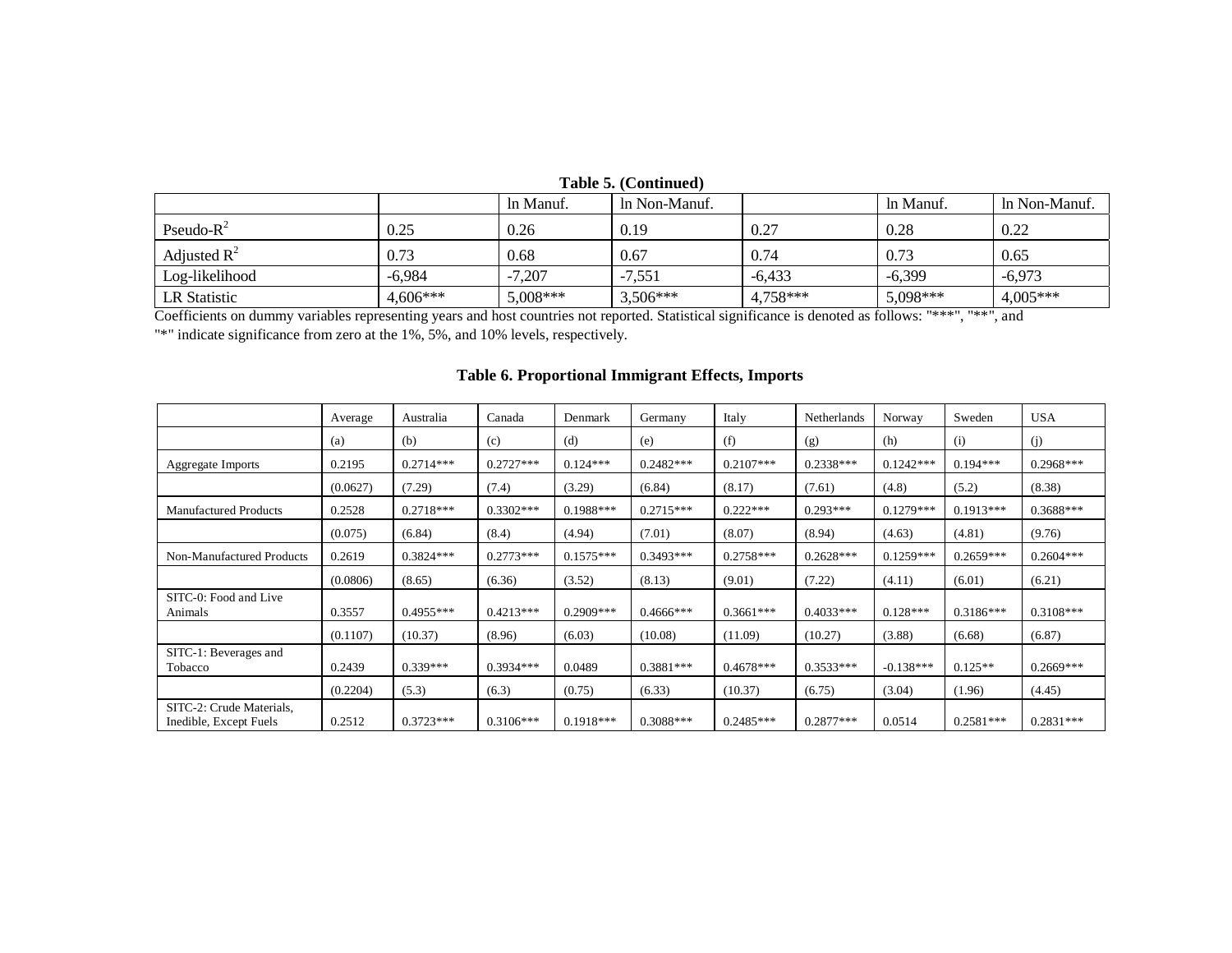|                |            |            | <b>Table 9. (Continue 1</b> |          |            |               |
|----------------|------------|------------|-----------------------------|----------|------------|---------------|
|                |            | In Manuf.  | In Non-Manuf.               |          | In Manuf.  | In Non-Manuf. |
| Pseudo- $R^2$  | 0.25       | 0.26       | 0.19                        | 0.27     | 0.28       | 0.22          |
| Adjusted $R^2$ | 0.73       | 0.68       | 0.67                        | 0.74     | 0.73       | 0.65          |
| Log-likelihood | $-6.984$   | $-7,207$   | $-7.551$                    | $-6.433$ | $-6.399$   | $-6.973$      |
| LR Statistic   | $4,606***$ | $5,008***$ | $3,506***$                  | 4,758*** | $5,098***$ | $4,005***$    |

# **Table 5. (Continued)**

Coefficients on dummy variables representing years and host countries not reported. Statistical significance is denoted as follows: "\*\*\*", "\*\*", and

"\*" indicate significance from zero at the 1%, 5%, and 10% levels, respectively.

|                                                    | Average  | Australia   | Canada      | Denmark     | Germany      | Italy       | Netherlands | Norway      | Sweden      | <b>USA</b>  |
|----------------------------------------------------|----------|-------------|-------------|-------------|--------------|-------------|-------------|-------------|-------------|-------------|
|                                                    | (a)      | (b)         | (c)         | (d)         | (e)          | (f)         | (g)         | (h)         | (i)         | (j)         |
| Aggregate Imports                                  | 0.2195   | $0.2714***$ | $0.2727***$ | $0.124***$  | $0.2482***$  | $0.2107***$ | $0.2338***$ | $0.1242***$ | $0.194***$  | $0.2968***$ |
|                                                    | (0.0627) | (7.29)      | (7.4)       | (3.29)      | (6.84)       | (8.17)      | (7.61)      | (4.8)       | (5.2)       | (8.38)      |
| <b>Manufactured Products</b>                       | 0.2528   | $0.2718***$ | $0.3302***$ | $0.1988***$ | $0.2715***$  | $0.222***$  | $0.293***$  | $0.1279***$ | $0.1913***$ | $0.3688***$ |
|                                                    | (0.075)  | (6.84)      | (8.4)       | (4.94)      | (7.01)       | (8.07)      | (8.94)      | (4.63)      | (4.81)      | (9.76)      |
| Non-Manufactured Products                          | 0.2619   | $0.3824***$ | $0.2773***$ | $0.1575***$ | $0.3493***$  | $0.2758***$ | $0.2628***$ | $0.1259***$ | $0.2659***$ | $0.2604***$ |
|                                                    | (0.0806) | (8.65)      | (6.36)      | (3.52)      | (8.13)       | (9.01)      | (7.22)      | (4.11)      | (6.01)      | (6.21)      |
| SITC-0: Food and Live<br>Animals                   | 0.3557   | $0.4955***$ | $0.4213***$ | $0.2909***$ | $0.4666$ *** | $0.3661***$ | $0.4033***$ | $0.128***$  | $0.3186***$ | $0.3108***$ |
|                                                    | (0.1107) | (10.37)     | (8.96)      | (6.03)      | (10.08)      | (11.09)     | (10.27)     | (3.88)      | (6.68)      | (6.87)      |
| SITC-1: Beverages and<br>Tobacco                   | 0.2439   | $0.339***$  | $0.3934***$ | 0.0489      | $0.3881***$  | $0.4678***$ | $0.3533***$ | $-0.138***$ | $0.125**$   | $0.2669***$ |
|                                                    | (0.2204) | (5.3)       | (6.3)       | (0.75)      | (6.33)       | (10.37)     | (6.75)      | (3.04)      | (1.96)      | (4.45)      |
| SITC-2: Crude Materials,<br>Inedible, Except Fuels | 0.2512   | $0.3723***$ | $0.3106***$ | $0.1918***$ | $0.3088***$  | $0.2485***$ | $0.2877***$ | 0.0514      | $0.2581***$ | $0.2831***$ |

# **Table 6. Proportional Immigrant Effects, Imports**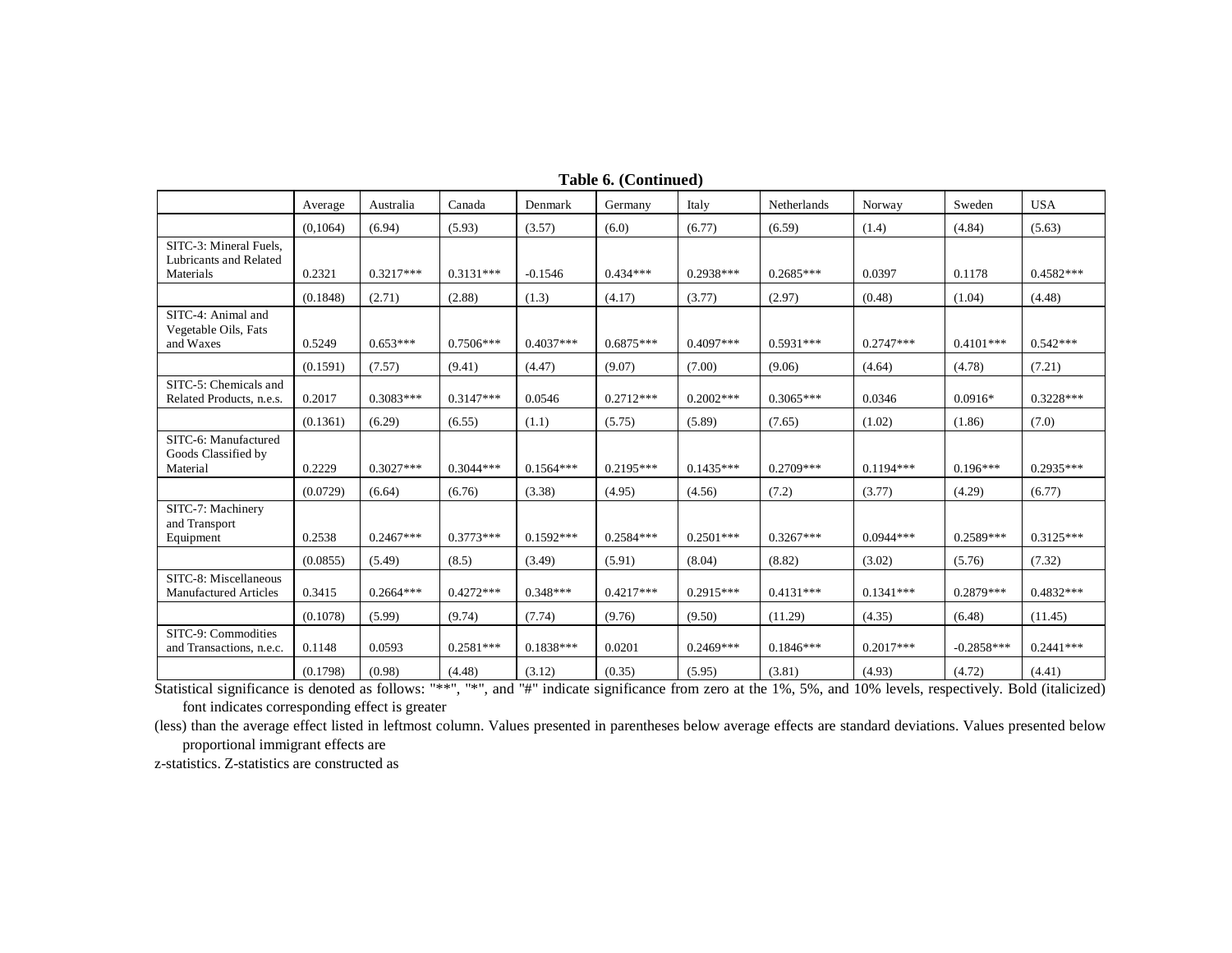|                                                               | Average  | Australia   | Canada      | Denmark     | Germany     | Italy       | Netherlands | Norway      | Sweden       | <b>USA</b>  |
|---------------------------------------------------------------|----------|-------------|-------------|-------------|-------------|-------------|-------------|-------------|--------------|-------------|
|                                                               | (0,1064) | (6.94)      | (5.93)      | (3.57)      | (6.0)       | (6.77)      | (6.59)      | (1.4)       | (4.84)       | (5.63)      |
| SITC-3: Mineral Fuels,<br>Lubricants and Related<br>Materials | 0.2321   | $0.3217***$ | $0.3131***$ | $-0.1546$   | $0.434***$  | 0.2938***   | $0.2685***$ | 0.0397      | 0.1178       | $0.4582***$ |
|                                                               | (0.1848) | (2.71)      | (2.88)      | (1.3)       | (4.17)      | (3.77)      | (2.97)      | (0.48)      | (1.04)       | (4.48)      |
| SITC-4: Animal and<br>Vegetable Oils, Fats<br>and Waxes       | 0.5249   | $0.653***$  | $0.7506***$ | $0.4037***$ | $0.6875***$ | $0.4097***$ | $0.5931***$ | $0.2747***$ | $0.4101***$  | $0.542***$  |
|                                                               | (0.1591) | (7.57)      | (9.41)      | (4.47)      | (9.07)      | (7.00)      | (9.06)      | (4.64)      | (4.78)       | (7.21)      |
| SITC-5: Chemicals and<br>Related Products, n.e.s.             | 0.2017   | $0.3083***$ | $0.3147***$ | 0.0546      | $0.2712***$ | $0.2002***$ | $0.3065***$ | 0.0346      | $0.0916*$    | $0.3228***$ |
|                                                               | (0.1361) | (6.29)      | (6.55)      | (1.1)       | (5.75)      | (5.89)      | (7.65)      | (1.02)      | (1.86)       | (7.0)       |
| SITC-6: Manufactured<br>Goods Classified by<br>Material       | 0.2229   | $0.3027***$ | $0.3044***$ | $0.1564***$ | $0.2195***$ | $0.1435***$ | $0.2709***$ | $0.1194***$ | $0.196***$   | $0.2935***$ |
|                                                               | (0.0729) | (6.64)      | (6.76)      | (3.38)      | (4.95)      | (4.56)      | (7.2)       | (3.77)      | (4.29)       | (6.77)      |
| SITC-7: Machinery<br>and Transport<br>Equipment               | 0.2538   | $0.2467***$ | $0.3773***$ | $0.1592***$ | $0.2584***$ | $0.2501***$ | $0.3267***$ | $0.0944***$ | $0.2589***$  | $0.3125***$ |
|                                                               | (0.0855) | (5.49)      | (8.5)       | (3.49)      | (5.91)      | (8.04)      | (8.82)      | (3.02)      | (5.76)       | (7.32)      |
| SITC-8: Miscellaneous<br><b>Manufactured Articles</b>         | 0.3415   | $0.2664***$ | $0.4272***$ | $0.348***$  | $0.4217***$ | $0.2915***$ | $0.4131***$ | $0.1341***$ | $0.2879***$  | $0.4832***$ |
|                                                               | (0.1078) | (5.99)      | (9.74)      | (7.74)      | (9.76)      | (9.50)      | (11.29)     | (4.35)      | (6.48)       | (11.45)     |
| SITC-9: Commodities<br>and Transactions, n.e.c.               | 0.1148   | 0.0593      | $0.2581***$ | $0.1838***$ | 0.0201      | $0.2469***$ | $0.1846***$ | $0.2017***$ | $-0.2858***$ | $0.2441***$ |
|                                                               | (0.1798) | (0.98)      | (4.48)      | (3.12)      | (0.35)      | (5.95)      | (3.81)      | (4.93)      | (4.72)       | (4.41)      |

**Table 6. (Continued)** 

Statistical significance is denoted as follows: "\*\*", "\*", and "#" indicate significance from zero at the 1%, 5%, and 10% levels, respectively. Bold (italicized) font indicates corresponding effect is greater

(less) than the average effect listed in leftmost column. Values presented in parentheses below average effects are standard deviations. Values presented below proportional immigrant effects are

z-statistics. Z-statistics are constructed as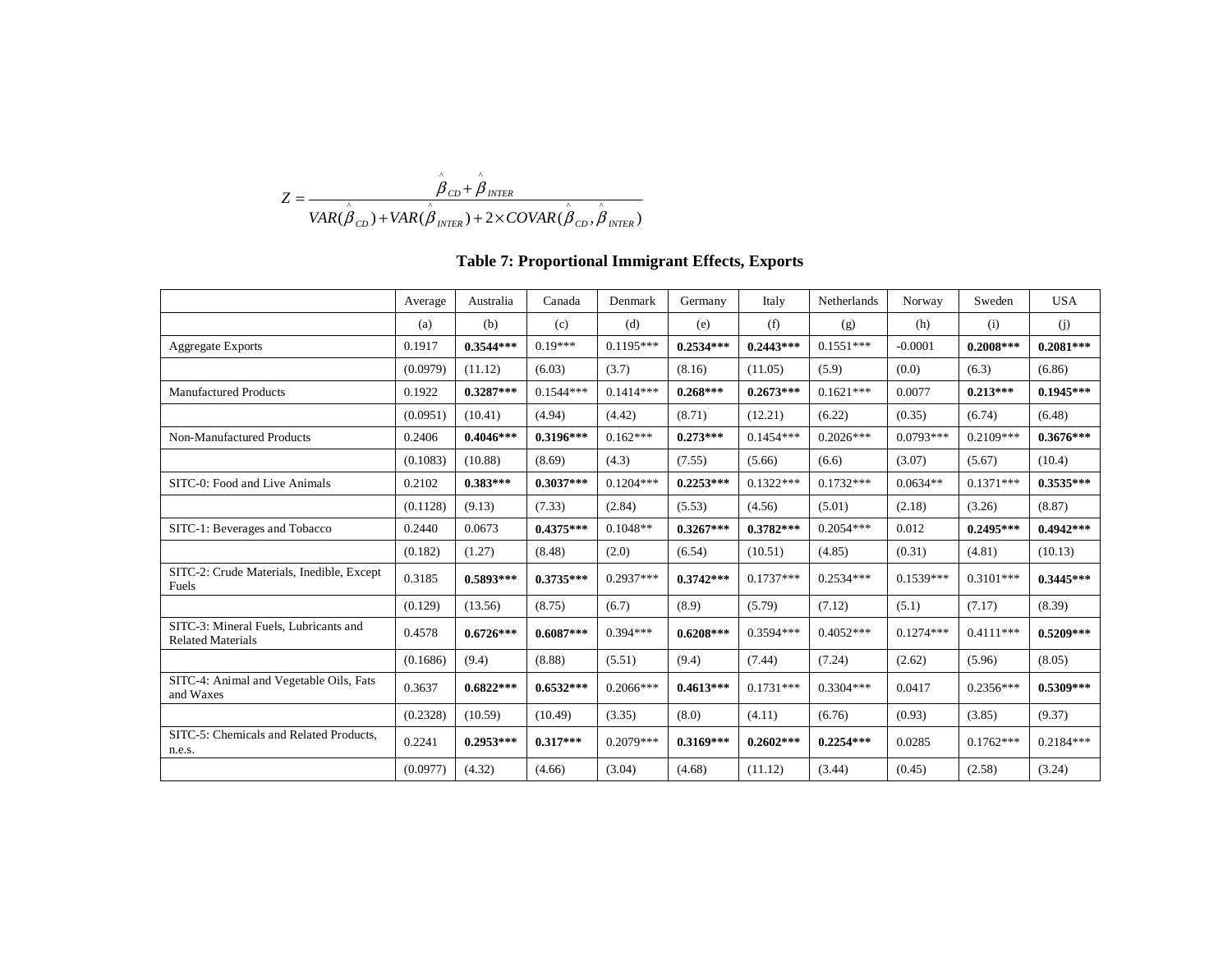$$
Z = \frac{\hat{\beta}_{CD} + \hat{\beta}_{INTER}}{VAR(\hat{\beta}_{CD}) + VAR(\hat{\beta}_{INTER}) + 2 \times COVAR(\hat{\beta}_{CD}, \hat{\beta}_{INTER})}
$$

# **Table 7: Proportional Immigrant Effects, Exports**

|                                                                   | Average  | Australia   | Canada      | Denmark     | Germany     | Italy       | Netherlands | Norway      | Sweden      | <b>USA</b>  |
|-------------------------------------------------------------------|----------|-------------|-------------|-------------|-------------|-------------|-------------|-------------|-------------|-------------|
|                                                                   | (a)      | (b)         | (c)         | (d)         | (e)         | (f)         | (g)         | (h)         | (i)         | (j)         |
| <b>Aggregate Exports</b>                                          | 0.1917   | $0.3544***$ | $0.19***$   | $0.1195***$ | $0.2534***$ | $0.2443***$ | $0.1551***$ | $-0.0001$   | $0.2008***$ | $0.2081***$ |
|                                                                   | (0.0979) | (11.12)     | (6.03)      | (3.7)       | (8.16)      | (11.05)     | (5.9)       | (0.0)       | (6.3)       | (6.86)      |
| <b>Manufactured Products</b>                                      | 0.1922   | $0.3287***$ | $0.1544***$ | $0.1414***$ | $0.268***$  | $0.2673***$ | $0.1621***$ | 0.0077      | $0.213***$  | $0.1945***$ |
|                                                                   | (0.0951) | (10.41)     | (4.94)      | (4.42)      | (8.71)      | (12.21)     | (6.22)      | (0.35)      | (6.74)      | (6.48)      |
| Non-Manufactured Products                                         | 0.2406   | $0.4046***$ | $0.3196***$ | $0.162***$  | $0.273***$  | $0.1454***$ | $0.2026***$ | $0.0793***$ | $0.2109***$ | $0.3676***$ |
|                                                                   | (0.1083) | (10.88)     | (8.69)      | (4.3)       | (7.55)      | (5.66)      | (6.6)       | (3.07)      | (5.67)      | (10.4)      |
| SITC-0: Food and Live Animals                                     | 0.2102   | $0.383***$  | $0.3037***$ | $0.1204***$ | $0.2253***$ | $0.1322***$ | $0.1732***$ | $0.0634**$  | $0.1371***$ | $0.3535***$ |
|                                                                   | (0.1128) | (9.13)      | (7.33)      | (2.84)      | (5.53)      | (4.56)      | (5.01)      | (2.18)      | (3.26)      | (8.87)      |
| SITC-1: Beverages and Tobacco                                     | 0.2440   | 0.0673      | $0.4375***$ | $0.1048**$  | $0.3267***$ | $0.3782***$ | $0.2054***$ | 0.012       | $0.2495***$ | $0.4942***$ |
|                                                                   | (0.182)  | (1.27)      | (8.48)      | (2.0)       | (6.54)      | (10.51)     | (4.85)      | (0.31)      | (4.81)      | (10.13)     |
| SITC-2: Crude Materials, Inedible, Except<br>Fuels                | 0.3185   | $0.5893***$ | $0.3735***$ | $0.2937***$ | $0.3742***$ | $0.1737***$ | $0.2534***$ | $0.1539***$ | $0.3101***$ | $0.3445***$ |
|                                                                   | (0.129)  | (13.56)     | (8.75)      | (6.7)       | (8.9)       | (5.79)      | (7.12)      | (5.1)       | (7.17)      | (8.39)      |
| SITC-3: Mineral Fuels, Lubricants and<br><b>Related Materials</b> | 0.4578   | $0.6726***$ | $0.6087***$ | $0.394***$  | $0.6208***$ | $0.3594***$ | $0.4052***$ | $0.1274***$ | $0.4111***$ | $0.5209***$ |
|                                                                   | (0.1686) | (9.4)       | (8.88)      | (5.51)      | (9.4)       | (7.44)      | (7.24)      | (2.62)      | (5.96)      | (8.05)      |
| SITC-4: Animal and Vegetable Oils, Fats<br>and Waxes              | 0.3637   | $0.6822***$ | $0.6532***$ | $0.2066***$ | $0.4613***$ | $0.1731***$ | $0.3304***$ | 0.0417      | $0.2356***$ | $0.5309***$ |
|                                                                   | (0.2328) | (10.59)     | (10.49)     | (3.35)      | (8.0)       | (4.11)      | (6.76)      | (0.93)      | (3.85)      | (9.37)      |
| SITC-5: Chemicals and Related Products,<br>n.e.s.                 | 0.2241   | $0.2953***$ | $0.317***$  | $0.2079***$ | $0.3169***$ | $0.2602***$ | $0.2254***$ | 0.0285      | $0.1762***$ | $0.2184***$ |
|                                                                   | (0.0977) | (4.32)      | (4.66)      | (3.04)      | (4.68)      | (11.12)     | (3.44)      | (0.45)      | (2.58)      | (3.24)      |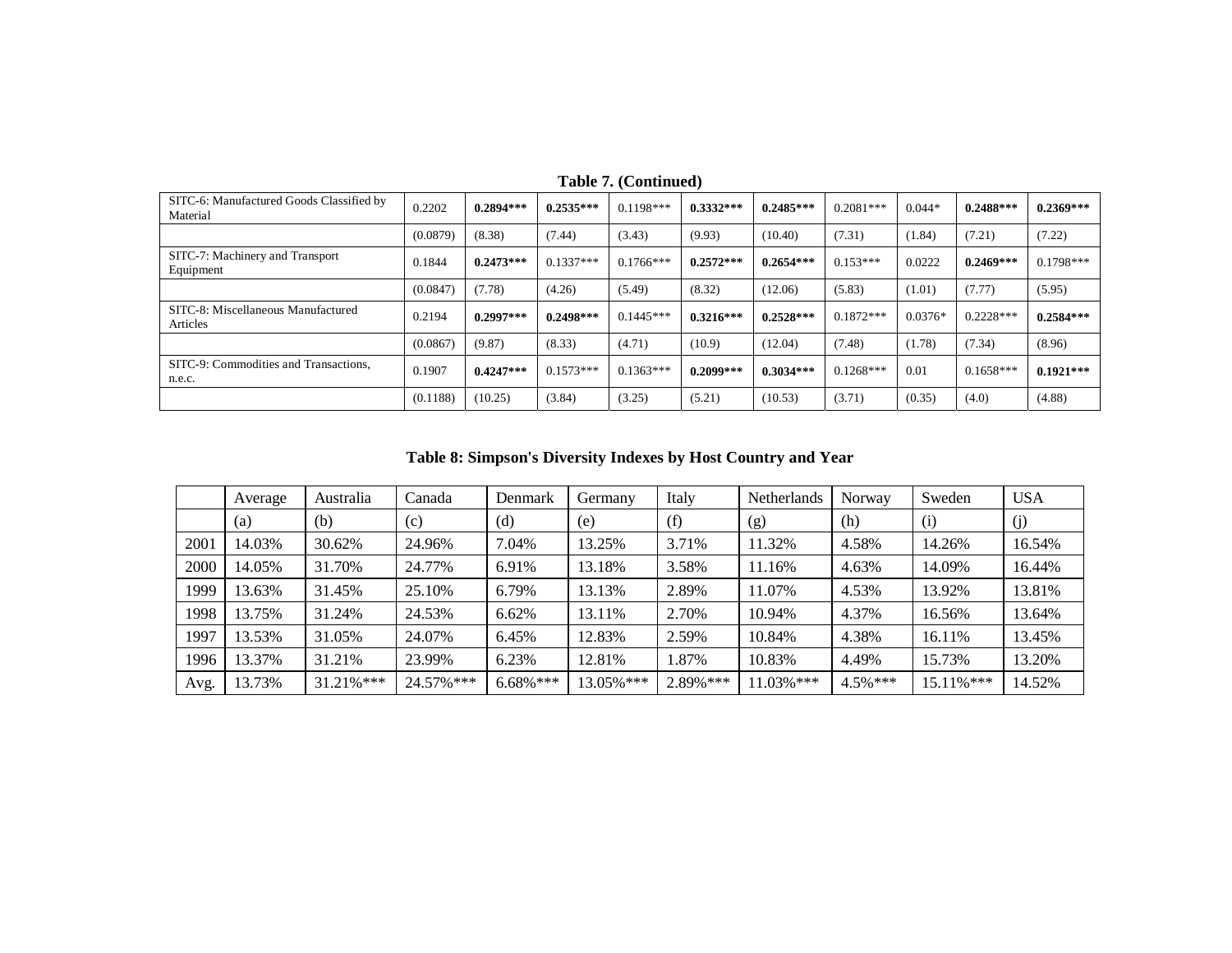| SITC-6: Manufactured Goods Classified by<br>Material | 0.2202   | $0.2894***$ | $0.2535***$ | $0.1198***$ | $0.3332***$ | $0.2485***$ | $0.2081***$ | $0.044*$  | $0.2488***$ | $0.2369***$ |
|------------------------------------------------------|----------|-------------|-------------|-------------|-------------|-------------|-------------|-----------|-------------|-------------|
|                                                      | (0.0879) | (8.38)      | (7.44)      | (3.43)      | (9.93)      | (10.40)     | (7.31)      | (1.84)    | (7.21)      | (7.22)      |
| SITC-7: Machinery and Transport<br>Equipment         | 0.1844   | $0.2473***$ | $0.1337***$ | $0.1766***$ | $0.2572***$ | $0.2654***$ | $0.153***$  | 0.0222    | $0.2469***$ | $0.1798***$ |
|                                                      | (0.0847) | (7.78)      | (4.26)      | (5.49)      | (8.32)      | (12.06)     | (5.83)      | (1.01)    | (7.77)      | (5.95)      |
| SITC-8: Miscellaneous Manufactured<br>Articles       | 0.2194   | $0.2997***$ | $0.2498***$ | $0.1445***$ | $0.3216***$ | $0.2528***$ | $0.1872***$ | $0.0376*$ | $0.2228***$ | $0.2584***$ |
|                                                      | (0.0867) | (9.87)      | (8.33)      | (4.71)      | (10.9)      | (12.04)     | (7.48)      | (1.78)    | (7.34)      | (8.96)      |
| SITC-9: Commodities and Transactions,<br>n.e.c.      | 0.1907   | $0.4247***$ | $0.1573***$ | $0.1363***$ | $0.2099***$ | $0.3034***$ | $0.1268***$ | 0.01      | $0.1658***$ | $0.1921***$ |
|                                                      | (0.1188) | (10.25)     | (3.84)      | (3.25)      | (5.21)      | (10.53)     | (3.71)      | (0.35)    | (4.0)       | (4.88)      |

**Table 7. (Continued)** 

**Table 8: Simpson's Diversity Indexes by Host Country and Year** 

|      | Average | Australia | Canada     | Denmark      | Germany   | Italy     | Netherlands | Norway      | Sweden    | <b>USA</b> |
|------|---------|-----------|------------|--------------|-----------|-----------|-------------|-------------|-----------|------------|
|      | (a)     | (b)       | (c)        | (d)          | (e)       | (f)       | (g)         | (h)         | (i)       | (i)        |
| 2001 | 14.03%  | 30.62%    | 24.96%     | 7.04%        | 13.25%    | 3.71%     | 11.32%      | 4.58%       | 14.26%    | 16.54%     |
| 2000 | 14.05%  | 31.70%    | 24.77%     | 6.91%        | 13.18%    | 3.58%     | 11.16%      | 4.63%       | 14.09%    | 16.44%     |
| 1999 | 13.63%  | 31.45%    | 25.10%     | 6.79%        | 13.13%    | 2.89%     | 11.07%      | 4.53%       | 13.92%    | 13.81%     |
| 1998 | 13.75%  | 31.24%    | 24.53%     | 6.62%        | 13.11%    | 2.70%     | 10.94%      | 4.37%       | 16.56%    | 13.64%     |
| 1997 | 13.53%  | 31.05%    | 24.07%     | 6.45%        | 12.83%    | 2.59%     | 10.84%      | 4.38%       | 16.11%    | 13.45%     |
| 1996 | 13.37%  | 31.21%    | 23.99%     | 6.23%        | 12.81%    | 1.87%     | 10.83%      | 4.49%       | 15.73%    | 13.20%     |
| Avg. | 13.73%  | 31.21%*** | 24.57% *** | $6.68\%$ *** | 13.05%*** | 2.89% *** | 11.03%***   | $4.5\%$ *** | 15.11%*** | 14.52%     |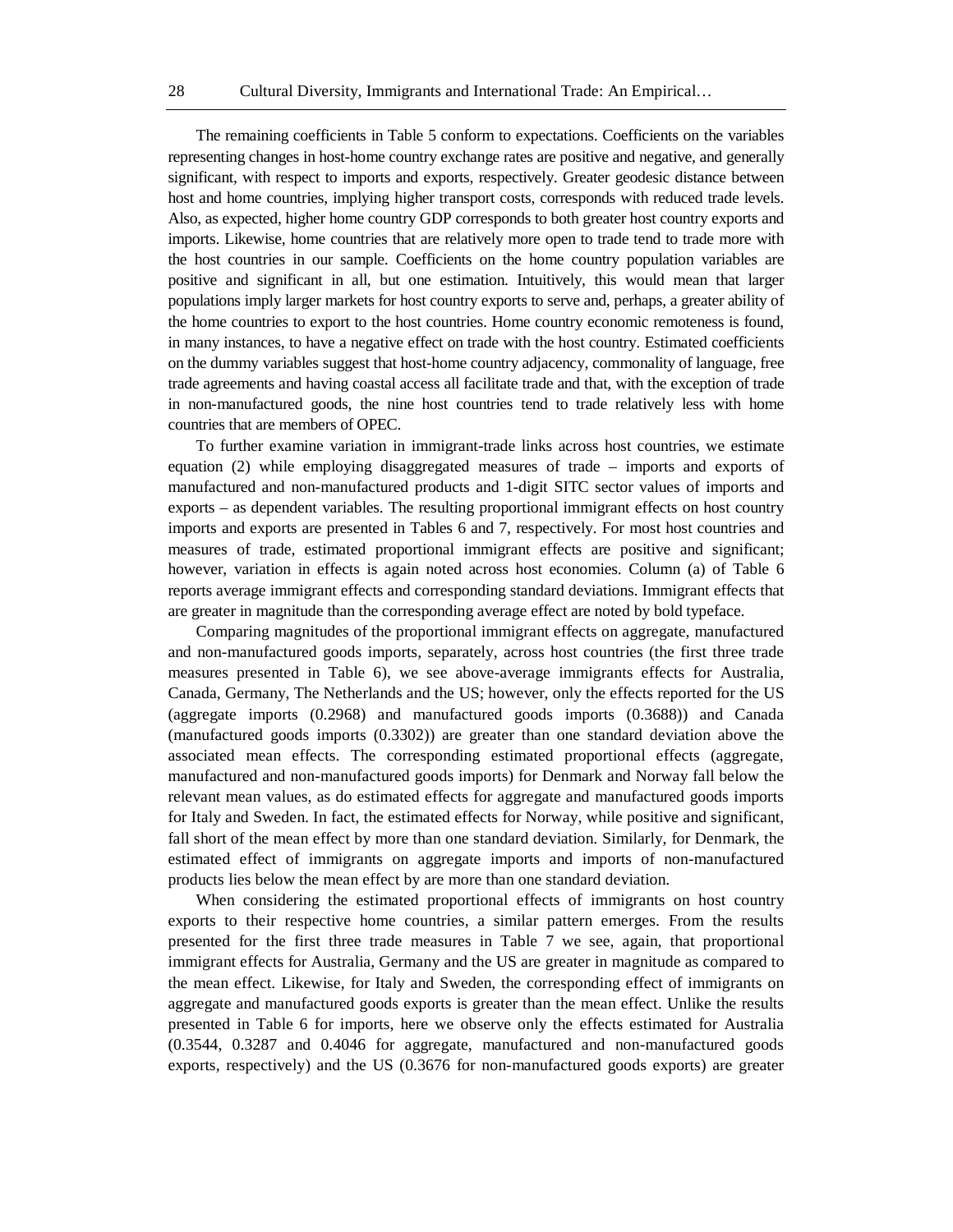The remaining coefficients in Table 5 conform to expectations. Coefficients on the variables representing changes in host-home country exchange rates are positive and negative, and generally significant, with respect to imports and exports, respectively. Greater geodesic distance between host and home countries, implying higher transport costs, corresponds with reduced trade levels. Also, as expected, higher home country GDP corresponds to both greater host country exports and imports. Likewise, home countries that are relatively more open to trade tend to trade more with the host countries in our sample. Coefficients on the home country population variables are positive and significant in all, but one estimation. Intuitively, this would mean that larger populations imply larger markets for host country exports to serve and, perhaps, a greater ability of the home countries to export to the host countries. Home country economic remoteness is found, in many instances, to have a negative effect on trade with the host country. Estimated coefficients on the dummy variables suggest that host-home country adjacency, commonality of language, free trade agreements and having coastal access all facilitate trade and that, with the exception of trade in non-manufactured goods, the nine host countries tend to trade relatively less with home countries that are members of OPEC.

To further examine variation in immigrant-trade links across host countries, we estimate equation (2) while employing disaggregated measures of trade – imports and exports of manufactured and non-manufactured products and 1-digit SITC sector values of imports and exports – as dependent variables. The resulting proportional immigrant effects on host country imports and exports are presented in Tables 6 and 7, respectively. For most host countries and measures of trade, estimated proportional immigrant effects are positive and significant; however, variation in effects is again noted across host economies. Column (a) of Table 6 reports average immigrant effects and corresponding standard deviations. Immigrant effects that are greater in magnitude than the corresponding average effect are noted by bold typeface.

Comparing magnitudes of the proportional immigrant effects on aggregate, manufactured and non-manufactured goods imports, separately, across host countries (the first three trade measures presented in Table 6), we see above-average immigrants effects for Australia, Canada, Germany, The Netherlands and the US; however, only the effects reported for the US (aggregate imports (0.2968) and manufactured goods imports (0.3688)) and Canada (manufactured goods imports (0.3302)) are greater than one standard deviation above the associated mean effects. The corresponding estimated proportional effects (aggregate, manufactured and non-manufactured goods imports) for Denmark and Norway fall below the relevant mean values, as do estimated effects for aggregate and manufactured goods imports for Italy and Sweden. In fact, the estimated effects for Norway, while positive and significant, fall short of the mean effect by more than one standard deviation. Similarly, for Denmark, the estimated effect of immigrants on aggregate imports and imports of non-manufactured products lies below the mean effect by are more than one standard deviation.

When considering the estimated proportional effects of immigrants on host country exports to their respective home countries, a similar pattern emerges. From the results presented for the first three trade measures in Table 7 we see, again, that proportional immigrant effects for Australia, Germany and the US are greater in magnitude as compared to the mean effect. Likewise, for Italy and Sweden, the corresponding effect of immigrants on aggregate and manufactured goods exports is greater than the mean effect. Unlike the results presented in Table 6 for imports, here we observe only the effects estimated for Australia (0.3544, 0.3287 and 0.4046 for aggregate, manufactured and non-manufactured goods exports, respectively) and the US (0.3676 for non-manufactured goods exports) are greater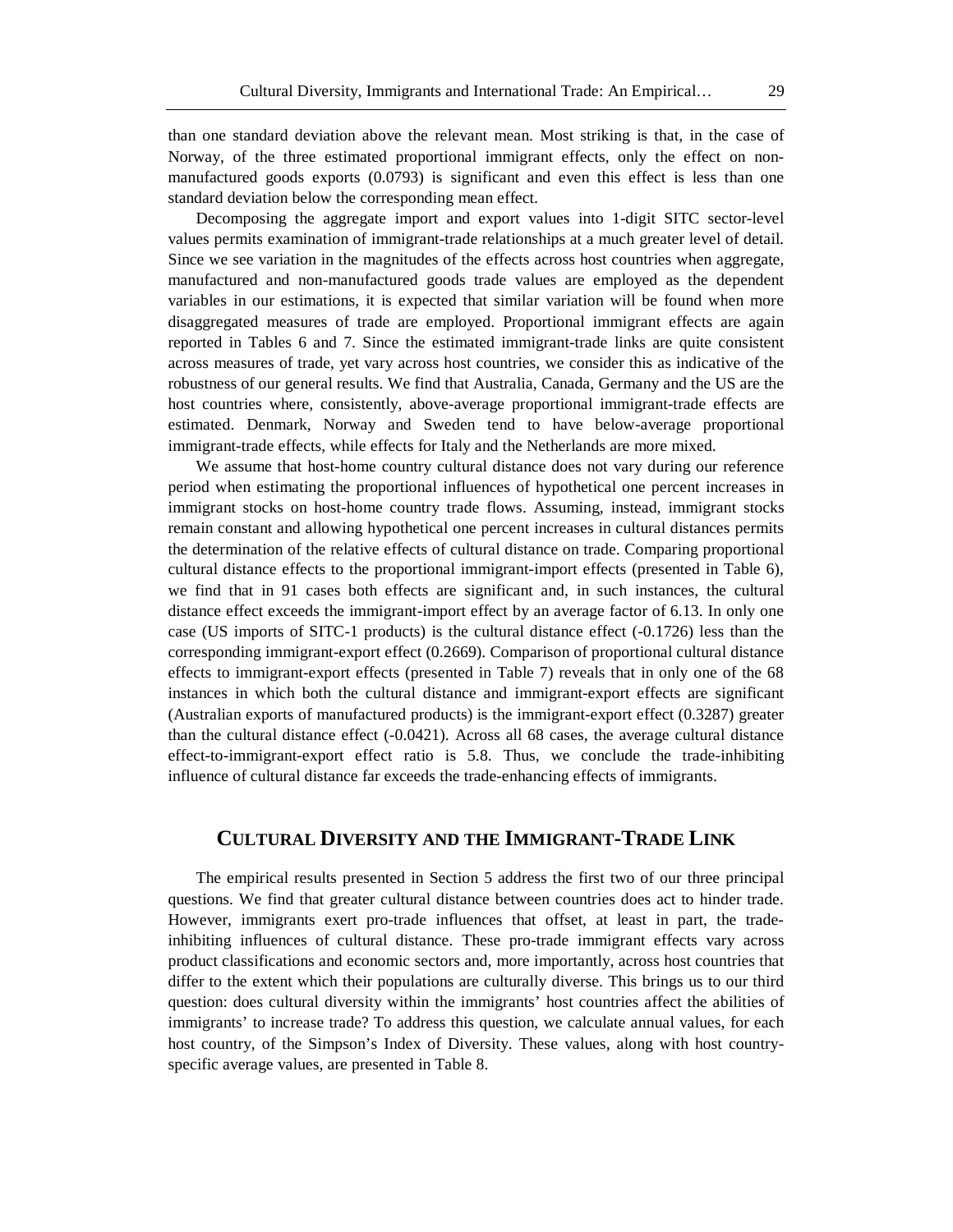than one standard deviation above the relevant mean. Most striking is that, in the case of Norway, of the three estimated proportional immigrant effects, only the effect on nonmanufactured goods exports (0.0793) is significant and even this effect is less than one standard deviation below the corresponding mean effect.

Decomposing the aggregate import and export values into 1-digit SITC sector-level values permits examination of immigrant-trade relationships at a much greater level of detail. Since we see variation in the magnitudes of the effects across host countries when aggregate, manufactured and non-manufactured goods trade values are employed as the dependent variables in our estimations, it is expected that similar variation will be found when more disaggregated measures of trade are employed. Proportional immigrant effects are again reported in Tables 6 and 7. Since the estimated immigrant-trade links are quite consistent across measures of trade, yet vary across host countries, we consider this as indicative of the robustness of our general results. We find that Australia, Canada, Germany and the US are the host countries where, consistently, above-average proportional immigrant-trade effects are estimated. Denmark, Norway and Sweden tend to have below-average proportional immigrant-trade effects, while effects for Italy and the Netherlands are more mixed.

We assume that host-home country cultural distance does not vary during our reference period when estimating the proportional influences of hypothetical one percent increases in immigrant stocks on host-home country trade flows. Assuming, instead, immigrant stocks remain constant and allowing hypothetical one percent increases in cultural distances permits the determination of the relative effects of cultural distance on trade. Comparing proportional cultural distance effects to the proportional immigrant-import effects (presented in Table 6), we find that in 91 cases both effects are significant and, in such instances, the cultural distance effect exceeds the immigrant-import effect by an average factor of 6.13. In only one case (US imports of SITC-1 products) is the cultural distance effect (-0.1726) less than the corresponding immigrant-export effect (0.2669). Comparison of proportional cultural distance effects to immigrant-export effects (presented in Table 7) reveals that in only one of the 68 instances in which both the cultural distance and immigrant-export effects are significant (Australian exports of manufactured products) is the immigrant-export effect (0.3287) greater than the cultural distance effect (-0.0421). Across all 68 cases, the average cultural distance effect-to-immigrant-export effect ratio is 5.8. Thus, we conclude the trade-inhibiting influence of cultural distance far exceeds the trade-enhancing effects of immigrants.

# **CULTURAL DIVERSITY AND THE IMMIGRANT-TRADE LINK**

The empirical results presented in Section 5 address the first two of our three principal questions. We find that greater cultural distance between countries does act to hinder trade. However, immigrants exert pro-trade influences that offset, at least in part, the tradeinhibiting influences of cultural distance. These pro-trade immigrant effects vary across product classifications and economic sectors and, more importantly, across host countries that differ to the extent which their populations are culturally diverse. This brings us to our third question: does cultural diversity within the immigrants' host countries affect the abilities of immigrants' to increase trade? To address this question, we calculate annual values, for each host country, of the Simpson's Index of Diversity. These values, along with host countryspecific average values, are presented in Table 8.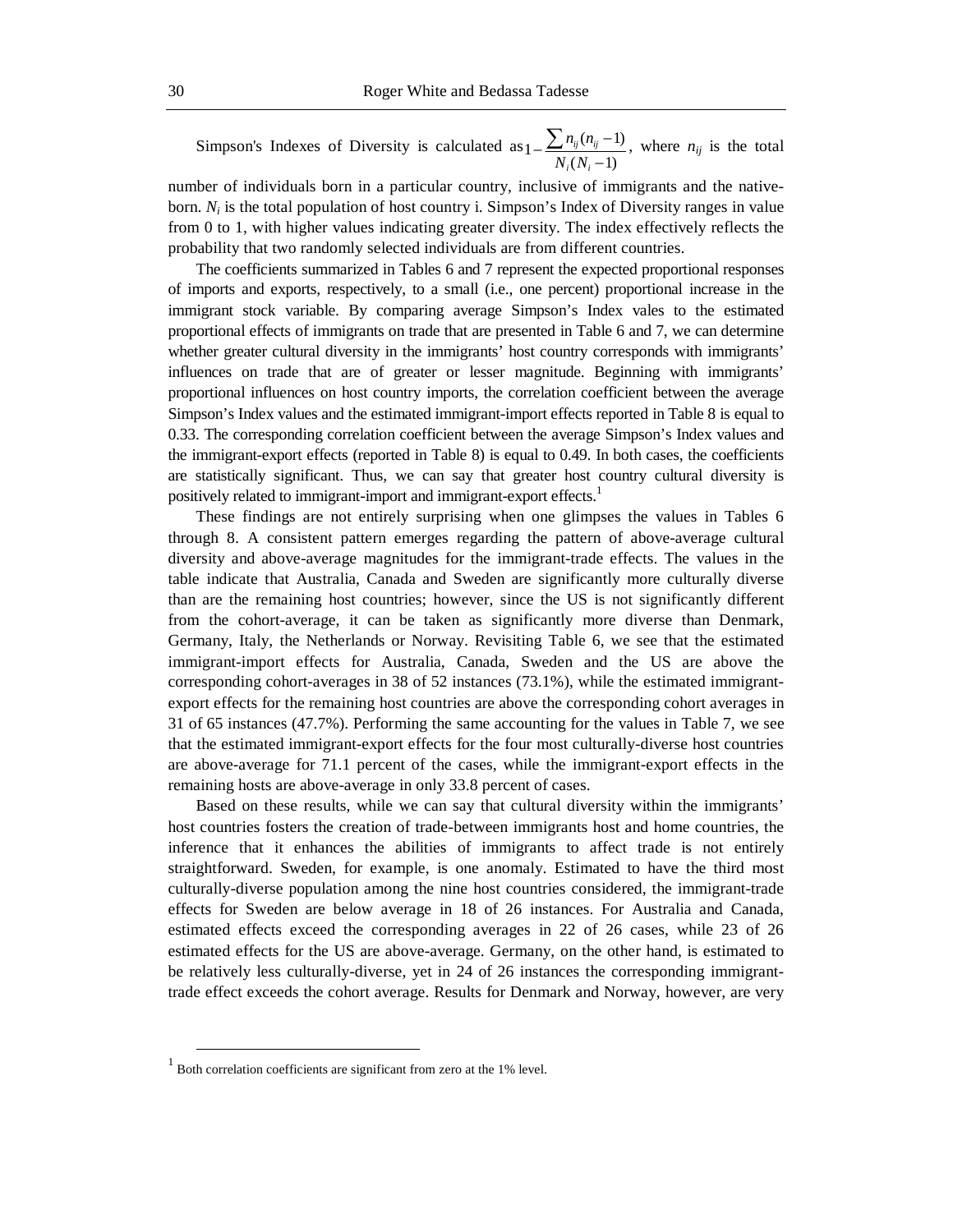Simpson's Indexes of Diversity is calculated as  $1 - \frac{\sum n_{ij} (n_{ij} - 1)}{N_i (N_i - 1)}$ *i i ij ij*  $N_i(N)$  $\frac{n_{ij}(n_{ij}-1)}{n_{ij}}$ , where  $n_{ij}$  is the total

number of individuals born in a particular country, inclusive of immigrants and the nativeborn. *Ni* is the total population of host country i. Simpson's Index of Diversity ranges in value from 0 to 1, with higher values indicating greater diversity. The index effectively reflects the probability that two randomly selected individuals are from different countries.

The coefficients summarized in Tables 6 and 7 represent the expected proportional responses of imports and exports, respectively, to a small (i.e., one percent) proportional increase in the immigrant stock variable. By comparing average Simpson's Index vales to the estimated proportional effects of immigrants on trade that are presented in Table 6 and 7, we can determine whether greater cultural diversity in the immigrants' host country corresponds with immigrants' influences on trade that are of greater or lesser magnitude. Beginning with immigrants' proportional influences on host country imports, the correlation coefficient between the average Simpson's Index values and the estimated immigrant-import effects reported in Table 8 is equal to 0.33. The corresponding correlation coefficient between the average Simpson's Index values and the immigrant-export effects (reported in Table 8) is equal to 0.49. In both cases, the coefficients are statistically significant. Thus, we can say that greater host country cultural diversity is positively related to immigrant-import and immigrant-export effects.<sup>1</sup>

These findings are not entirely surprising when one glimpses the values in Tables 6 through 8. A consistent pattern emerges regarding the pattern of above-average cultural diversity and above-average magnitudes for the immigrant-trade effects. The values in the table indicate that Australia, Canada and Sweden are significantly more culturally diverse than are the remaining host countries; however, since the US is not significantly different from the cohort-average, it can be taken as significantly more diverse than Denmark, Germany, Italy, the Netherlands or Norway. Revisiting Table 6, we see that the estimated immigrant-import effects for Australia, Canada, Sweden and the US are above the corresponding cohort-averages in 38 of 52 instances (73.1%), while the estimated immigrantexport effects for the remaining host countries are above the corresponding cohort averages in 31 of 65 instances (47.7%). Performing the same accounting for the values in Table 7, we see that the estimated immigrant-export effects for the four most culturally-diverse host countries are above-average for 71.1 percent of the cases, while the immigrant-export effects in the remaining hosts are above-average in only 33.8 percent of cases.

Based on these results, while we can say that cultural diversity within the immigrants' host countries fosters the creation of trade-between immigrants host and home countries, the inference that it enhances the abilities of immigrants to affect trade is not entirely straightforward. Sweden, for example, is one anomaly. Estimated to have the third most culturally-diverse population among the nine host countries considered, the immigrant-trade effects for Sweden are below average in 18 of 26 instances. For Australia and Canada, estimated effects exceed the corresponding averages in 22 of 26 cases, while 23 of 26 estimated effects for the US are above-average. Germany, on the other hand, is estimated to be relatively less culturally-diverse, yet in 24 of 26 instances the corresponding immigranttrade effect exceeds the cohort average. Results for Denmark and Norway, however, are very

 <sup>1</sup> Both correlation coefficients are significant from zero at the 1% level.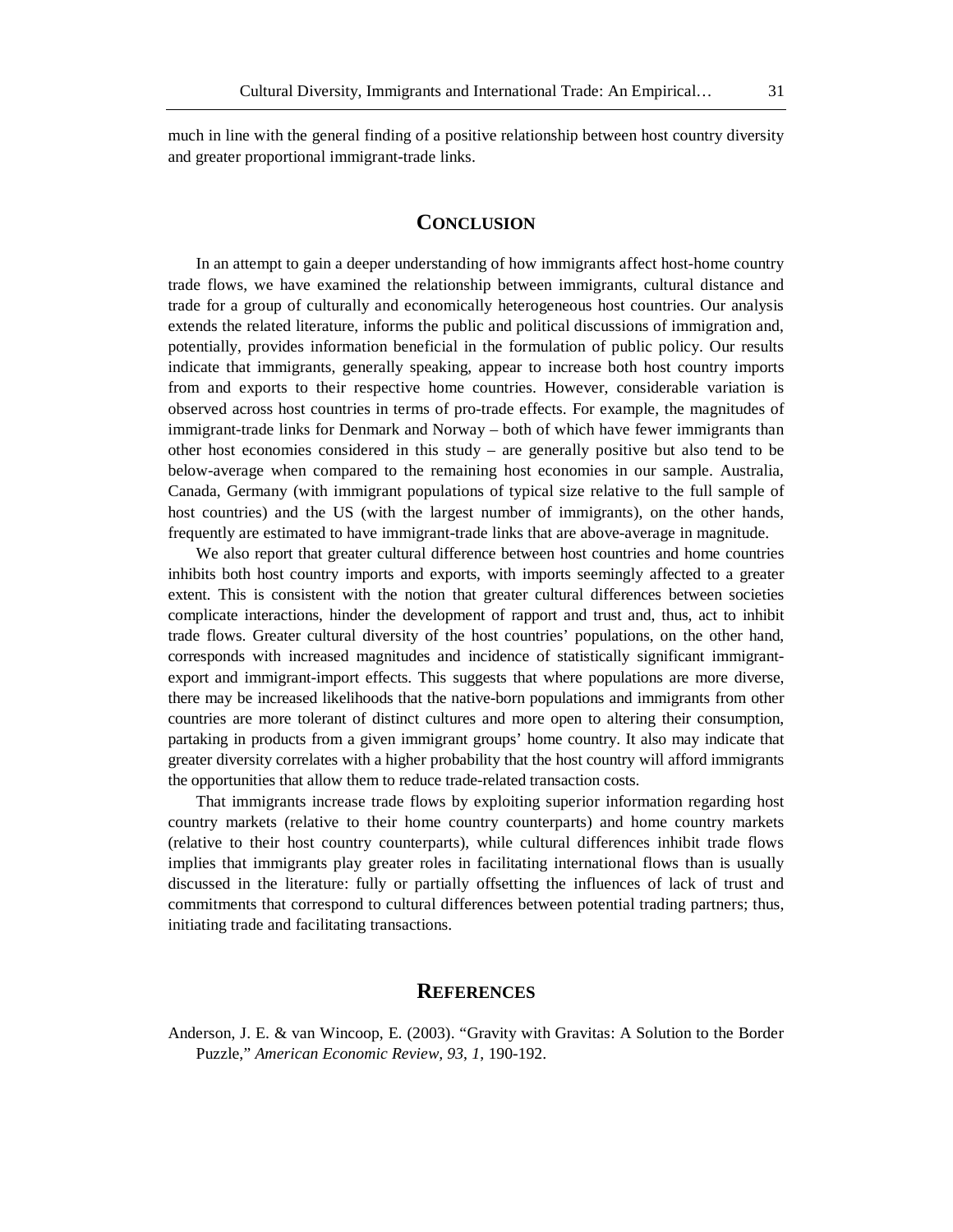much in line with the general finding of a positive relationship between host country diversity and greater proportional immigrant-trade links.

# **CONCLUSION**

In an attempt to gain a deeper understanding of how immigrants affect host-home country trade flows, we have examined the relationship between immigrants, cultural distance and trade for a group of culturally and economically heterogeneous host countries. Our analysis extends the related literature, informs the public and political discussions of immigration and, potentially, provides information beneficial in the formulation of public policy. Our results indicate that immigrants, generally speaking, appear to increase both host country imports from and exports to their respective home countries. However, considerable variation is observed across host countries in terms of pro-trade effects. For example, the magnitudes of immigrant-trade links for Denmark and Norway – both of which have fewer immigrants than other host economies considered in this study – are generally positive but also tend to be below-average when compared to the remaining host economies in our sample. Australia, Canada, Germany (with immigrant populations of typical size relative to the full sample of host countries) and the US (with the largest number of immigrants), on the other hands, frequently are estimated to have immigrant-trade links that are above-average in magnitude.

We also report that greater cultural difference between host countries and home countries inhibits both host country imports and exports, with imports seemingly affected to a greater extent. This is consistent with the notion that greater cultural differences between societies complicate interactions, hinder the development of rapport and trust and, thus, act to inhibit trade flows. Greater cultural diversity of the host countries' populations, on the other hand, corresponds with increased magnitudes and incidence of statistically significant immigrantexport and immigrant-import effects. This suggests that where populations are more diverse, there may be increased likelihoods that the native-born populations and immigrants from other countries are more tolerant of distinct cultures and more open to altering their consumption, partaking in products from a given immigrant groups' home country. It also may indicate that greater diversity correlates with a higher probability that the host country will afford immigrants the opportunities that allow them to reduce trade-related transaction costs.

That immigrants increase trade flows by exploiting superior information regarding host country markets (relative to their home country counterparts) and home country markets (relative to their host country counterparts), while cultural differences inhibit trade flows implies that immigrants play greater roles in facilitating international flows than is usually discussed in the literature: fully or partially offsetting the influences of lack of trust and commitments that correspond to cultural differences between potential trading partners; thus, initiating trade and facilitating transactions.

### **REFERENCES**

Anderson, J. E. & van Wincoop, E. (2003). "Gravity with Gravitas: A Solution to the Border Puzzle," *American Economic Review, 93*, *1*, 190-192.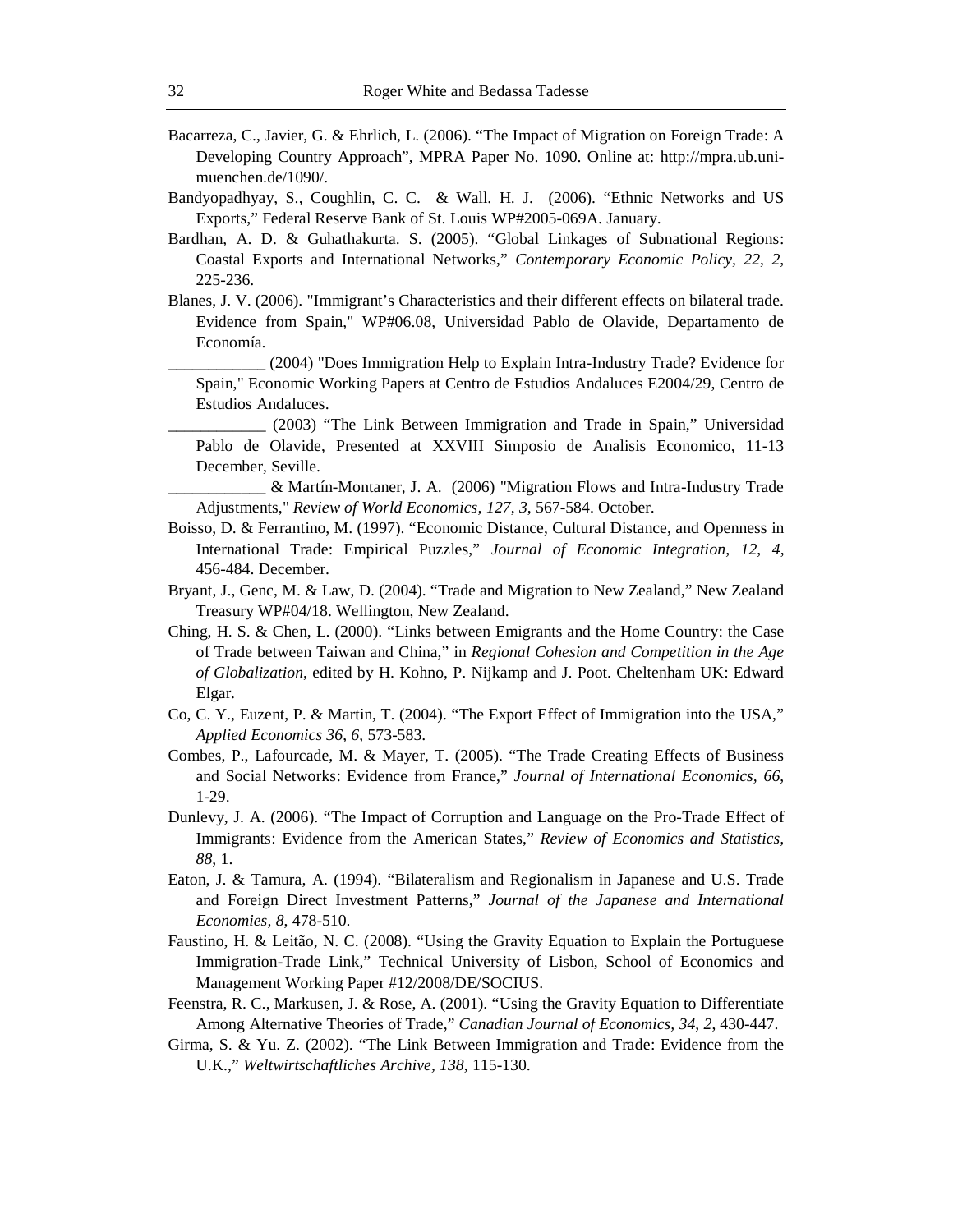- Bacarreza, C., Javier, G. & Ehrlich, L. (2006). "The Impact of Migration on Foreign Trade: A Developing Country Approach", MPRA Paper No. 1090. Online at: http://mpra.ub.unimuenchen.de/1090/.
- Bandyopadhyay, S., Coughlin, C. C. & Wall. H. J. (2006). "Ethnic Networks and US Exports," Federal Reserve Bank of St. Louis WP#2005-069A. January.
- Bardhan, A. D. & Guhathakurta. S. (2005). "Global Linkages of Subnational Regions: Coastal Exports and International Networks," *Contemporary Economic Policy, 22*, *2*, 225-236.
- Blanes, J. V. (2006). "Immigrant's Characteristics and their different effects on bilateral trade. Evidence from Spain," WP#06.08, Universidad Pablo de Olavide, Departamento de Economía.
	- \_\_\_\_\_\_\_\_\_\_\_\_ (2004) "Does Immigration Help to Explain Intra-Industry Trade? Evidence for Spain," Economic Working Papers at Centro de Estudios Andaluces E2004/29, Centro de Estudios Andaluces.
		- \_\_\_\_\_\_\_\_\_\_\_\_ (2003) "The Link Between Immigration and Trade in Spain," Universidad Pablo de Olavide, Presented at XXVIII Simposio de Analisis Economico, 11-13 December, Seville.

\_\_\_\_\_\_\_\_\_\_\_\_ & Martín-Montaner, J. A. (2006) "Migration Flows and Intra-Industry Trade Adjustments," *Review of World Economics, 127*, *3*, 567-584. October.

- Boisso, D. & Ferrantino, M. (1997). "Economic Distance, Cultural Distance, and Openness in International Trade: Empirical Puzzles," *Journal of Economic Integration, 12*, *4*, 456-484. December.
- Bryant, J., Genc, M. & Law, D. (2004). "Trade and Migration to New Zealand," New Zealand Treasury WP#04/18. Wellington, New Zealand.
- Ching, H. S. & Chen, L. (2000). "Links between Emigrants and the Home Country: the Case of Trade between Taiwan and China," in *Regional Cohesion and Competition in the Age of Globalization*, edited by H. Kohno, P. Nijkamp and J. Poot. Cheltenham UK: Edward Elgar.
- Co, C. Y., Euzent, P. & Martin, T. (2004). "The Export Effect of Immigration into the USA," *Applied Economics 36*, *6*, 573-583.
- Combes, P., Lafourcade, M. & Mayer, T. (2005). "The Trade Creating Effects of Business and Social Networks: Evidence from France," *Journal of International Economics, 66*, 1-29.
- Dunlevy, J. A. (2006). "The Impact of Corruption and Language on the Pro-Trade Effect of Immigrants: Evidence from the American States," *Review of Economics and Statistics, 88*, 1.
- Eaton, J. & Tamura, A. (1994). "Bilateralism and Regionalism in Japanese and U.S. Trade and Foreign Direct Investment Patterns," *Journal of the Japanese and International Economies, 8*, 478-510.
- Faustino, H. & Leitão, N. C. (2008). "Using the Gravity Equation to Explain the Portuguese Immigration-Trade Link," Technical University of Lisbon, School of Economics and Management Working Paper #12/2008/DE/SOCIUS.
- Feenstra, R. C., Markusen, J. & Rose, A. (2001). "Using the Gravity Equation to Differentiate Among Alternative Theories of Trade," *Canadian Journal of Economics, 34*, *2*, 430-447.
- Girma, S. & Yu. Z. (2002). "The Link Between Immigration and Trade: Evidence from the U.K.," *Weltwirtschaftliches Archive, 138*, 115-130.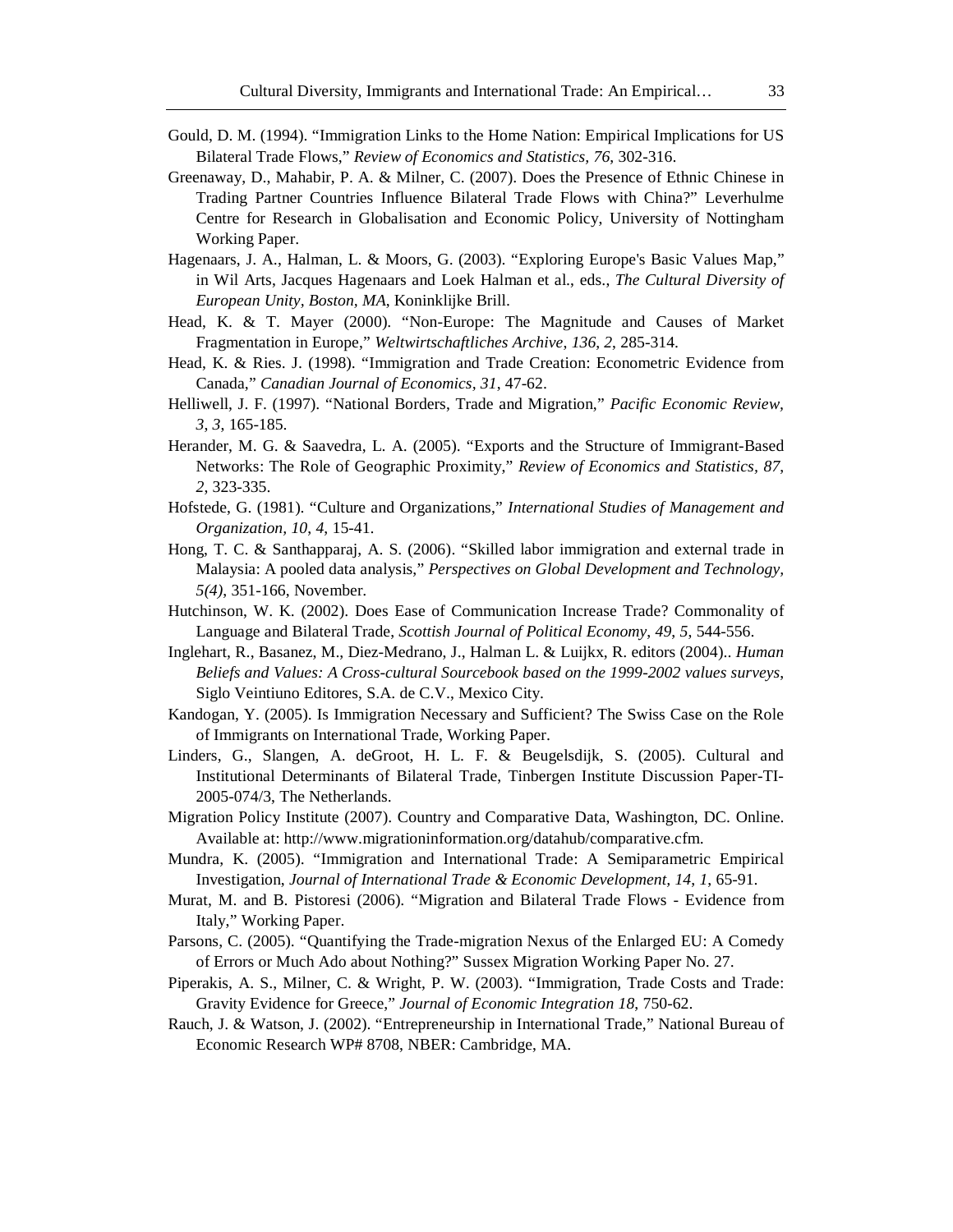- Gould, D. M. (1994). "Immigration Links to the Home Nation: Empirical Implications for US Bilateral Trade Flows," *Review of Economics and Statistics, 76*, 302-316.
- Greenaway, D., Mahabir, P. A. & Milner, C. (2007). Does the Presence of Ethnic Chinese in Trading Partner Countries Influence Bilateral Trade Flows with China?" Leverhulme Centre for Research in Globalisation and Economic Policy, University of Nottingham Working Paper.
- Hagenaars, J. A., Halman, L. & Moors, G. (2003). "Exploring Europe's Basic Values Map," in Wil Arts, Jacques Hagenaars and Loek Halman et al., eds., *The Cultural Diversity of European Unity, Boston, MA*, Koninklijke Brill.
- Head, K. & T. Mayer (2000). "Non-Europe: The Magnitude and Causes of Market Fragmentation in Europe," *Weltwirtschaftliches Archive*, *136*, *2*, 285-314.
- Head, K. & Ries. J. (1998). "Immigration and Trade Creation: Econometric Evidence from Canada," *Canadian Journal of Economics, 31*, 47-62.
- Helliwell, J. F. (1997). "National Borders, Trade and Migration," *Pacific Economic Review, 3*, *3*, 165-185.
- Herander, M. G. & Saavedra, L. A. (2005). "Exports and the Structure of Immigrant-Based Networks: The Role of Geographic Proximity," *Review of Economics and Statistics, 87*, *2*, 323-335.
- Hofstede, G. (1981). "Culture and Organizations," *International Studies of Management and Organization, 10*, *4*, 15-41.
- Hong, T. C. & Santhapparaj, A. S. (2006). "Skilled labor immigration and external trade in Malaysia: A pooled data analysis," *Perspectives on Global Development and Technology, 5(4)*, 351-166, November.
- Hutchinson, W. K. (2002). Does Ease of Communication Increase Trade? Commonality of Language and Bilateral Trade, *Scottish Journal of Political Economy*, *49*, *5*, 544-556.
- Inglehart, R., Basanez, M., Diez-Medrano, J., Halman L. & Luijkx, R. editors (2004).. *Human Beliefs and Values: A Cross-cultural Sourcebook based on the 1999-2002 values surveys*, Siglo Veintiuno Editores, S.A. de C.V., Mexico City.
- Kandogan, Y. (2005). Is Immigration Necessary and Sufficient? The Swiss Case on the Role of Immigrants on International Trade, Working Paper.
- Linders, G., Slangen, A. deGroot, H. L. F. & Beugelsdijk, S. (2005). Cultural and Institutional Determinants of Bilateral Trade, Tinbergen Institute Discussion Paper-TI-2005-074/3, The Netherlands.
- Migration Policy Institute (2007). Country and Comparative Data, Washington, DC. Online. Available at: http://www.migrationinformation.org/datahub/comparative.cfm.
- Mundra, K. (2005). "Immigration and International Trade: A Semiparametric Empirical Investigation, *Journal of International Trade & Economic Development, 14*, *1*, 65-91.
- Murat, M. and B. Pistoresi (2006). "Migration and Bilateral Trade Flows Evidence from Italy," Working Paper.
- Parsons, C. (2005). "Quantifying the Trade-migration Nexus of the Enlarged EU: A Comedy of Errors or Much Ado about Nothing?" Sussex Migration Working Paper No. 27.
- Piperakis, A. S., Milner, C. & Wright, P. W. (2003). "Immigration, Trade Costs and Trade: Gravity Evidence for Greece," *Journal of Economic Integration 18*, 750-62.
- Rauch, J. & Watson, J. (2002). "Entrepreneurship in International Trade," National Bureau of Economic Research WP# 8708, NBER: Cambridge, MA.